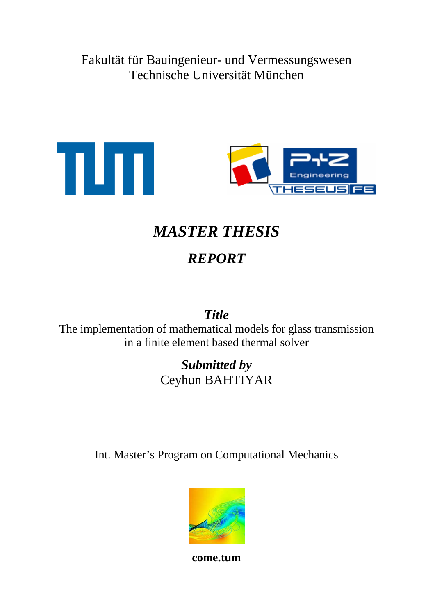Fakultät für Bauingenieur- und Vermessungswesen Technische Universität München



# *MASTER THESIS*

## *REPORT*

*Title* 

The implementation of mathematical models for glass transmission in a finite element based thermal solver

### *Submitted by*  Ceyhun BAHTIYAR

Int. Master's Program on Computational Mechanics



**come.tum**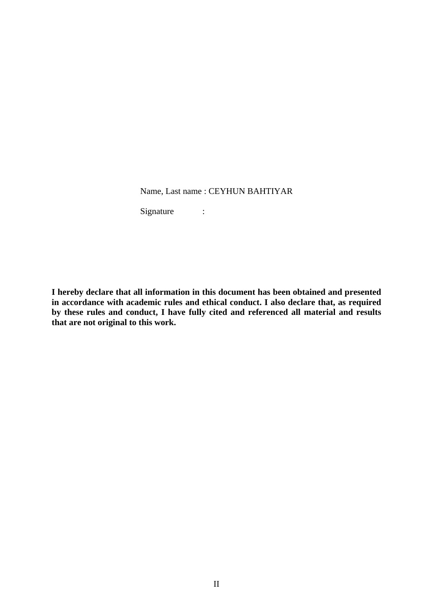Name, Last name : CEYHUN BAHTIYAR

Signature :

**I hereby declare that all information in this document has been obtained and presented in accordance with academic rules and ethical conduct. I also declare that, as required by these rules and conduct, I have fully cited and referenced all material and results that are not original to this work.**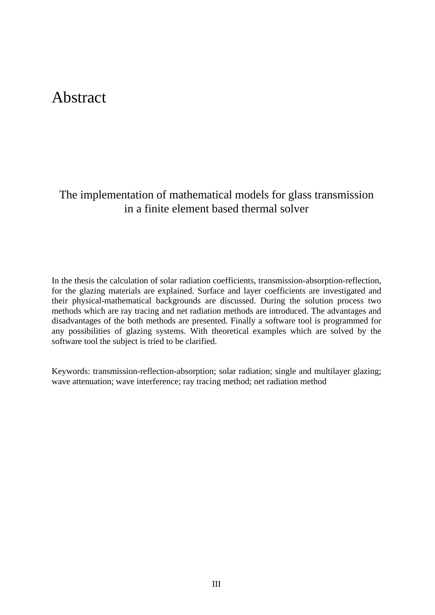### Abstract

#### The implementation of mathematical models for glass transmission in a finite element based thermal solver

In the thesis the calculation of solar radiation coefficients, transmission-absorption-reflection, for the glazing materials are explained. Surface and layer coefficients are investigated and their physical-mathematical backgrounds are discussed. During the solution process two methods which are ray tracing and net radiation methods are introduced. The advantages and disadvantages of the both methods are presented. Finally a software tool is programmed for any possibilities of glazing systems. With theoretical examples which are solved by the software tool the subject is tried to be clarified.

Keywords: transmission-reflection-absorption; solar radiation; single and multilayer glazing; wave attenuation; wave interference; ray tracing method; net radiation method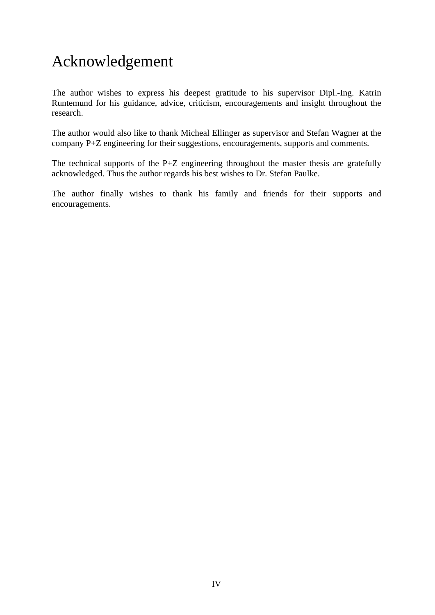## Acknowledgement

The author wishes to express his deepest gratitude to his supervisor Dipl.-Ing. Katrin Runtemund for his guidance, advice, criticism, encouragements and insight throughout the research.

The author would also like to thank Micheal Ellinger as supervisor and Stefan Wagner at the company P+Z engineering for their suggestions, encouragements, supports and comments.

The technical supports of the P+Z engineering throughout the master thesis are gratefully acknowledged. Thus the author regards his best wishes to Dr. Stefan Paulke.

The author finally wishes to thank his family and friends for their supports and encouragements.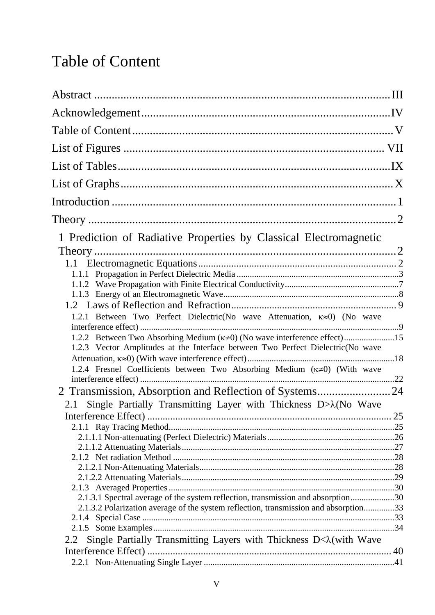## Table of Content

| 1 Prediction of Radiative Properties by Classical Electromagnetic                     |  |
|---------------------------------------------------------------------------------------|--|
|                                                                                       |  |
|                                                                                       |  |
|                                                                                       |  |
|                                                                                       |  |
|                                                                                       |  |
|                                                                                       |  |
|                                                                                       |  |
| 1.2.1 Between Two Perfect Dielectric(No wave Attenuation, K≈0) (No wave               |  |
| 1.2.2 Between Two Absorbing Medium ( $\kappa \ne 0$ ) (No wave interference effect)15 |  |
| 1.2.3 Vector Amplitudes at the Interface between Two Perfect Dielectric (No wave      |  |
|                                                                                       |  |
| 1.2.4 Fresnel Coefficients between Two Absorbing Medium (K=0) (With wave              |  |
|                                                                                       |  |
| 2 Transmission, Absorption and Reflection of Systems24                                |  |
| Single Partially Transmitting Layer with Thickness $D>\lambda(No$ Wave<br>2.1         |  |
|                                                                                       |  |
|                                                                                       |  |
|                                                                                       |  |
|                                                                                       |  |
|                                                                                       |  |
|                                                                                       |  |
|                                                                                       |  |
|                                                                                       |  |
|                                                                                       |  |
| 2.1.3.1 Spectral average of the system reflection, transmission and absorption30      |  |
| 2.1.3.2 Polarization average of the system reflection, transmission and absorption33  |  |
|                                                                                       |  |
|                                                                                       |  |
| Single Partially Transmitting Layers with Thickness D< $\lambda$ (with Wave<br>2.2    |  |
|                                                                                       |  |
|                                                                                       |  |
|                                                                                       |  |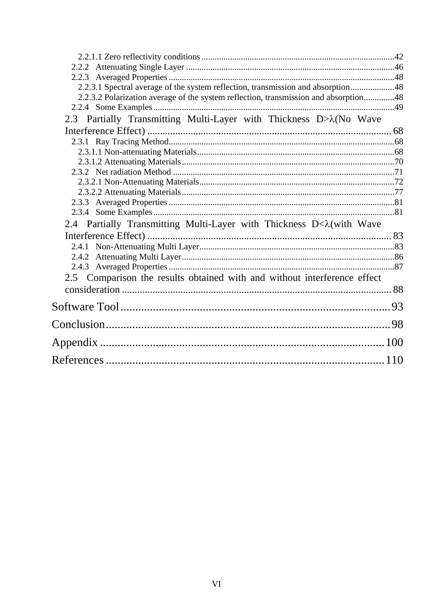| 2.2.3.1 Spectral average of the system reflection, transmission and absorption48     |
|--------------------------------------------------------------------------------------|
| 2.2.3.2 Polarization average of the system reflection, transmission and absorption48 |
|                                                                                      |
| 2.3 Partially Transmitting Multi-Layer with Thickness D> $\lambda$ (No Wave          |
|                                                                                      |
|                                                                                      |
|                                                                                      |
|                                                                                      |
|                                                                                      |
|                                                                                      |
|                                                                                      |
|                                                                                      |
|                                                                                      |
| 2.4 Partially Transmitting Multi-Layer with Thickness D< $\lambda$ (with Wave        |
|                                                                                      |
|                                                                                      |
|                                                                                      |
|                                                                                      |
| 2.5 Comparison the results obtained with and without interference effect             |
|                                                                                      |
|                                                                                      |
|                                                                                      |
|                                                                                      |
|                                                                                      |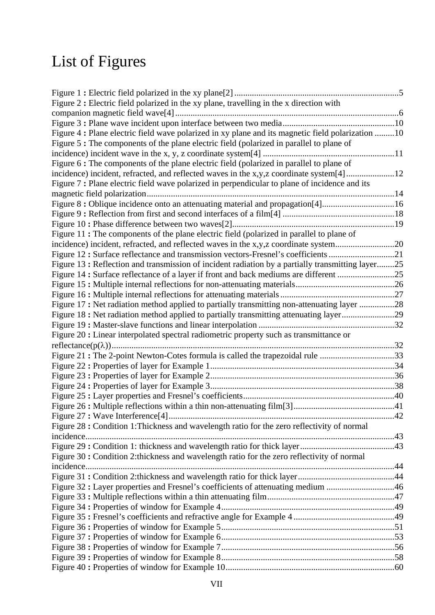# List of Figures

| Figure 2 : Electric field polarized in the xy plane, travelling in the x direction with          |  |
|--------------------------------------------------------------------------------------------------|--|
|                                                                                                  |  |
|                                                                                                  |  |
| Figure 4: Plane electric field wave polarized in xy plane and its magnetic field polarization 10 |  |
| Figure 5: The components of the plane electric field (polarized in parallel to plane of          |  |
|                                                                                                  |  |
| Figure 6 : The components of the plane electric field (polarized in parallel to plane of         |  |
| incidence) incident, refracted, and reflected waves in the x,y,z coordinate system[4]12          |  |
| Figure 7: Plane electric field wave polarized in perpendicular to plane of incidence and its     |  |
|                                                                                                  |  |
| Figure 8: Oblique incidence onto an attenuating material and propagation[4]16                    |  |
|                                                                                                  |  |
|                                                                                                  |  |
| Figure 11: The components of the plane electric field (polarized in parallel to plane of         |  |
| incidence) incident, refracted, and reflected waves in the x,y,z coordinate system20             |  |
| Figure 12: Surface reflectance and transmission vectors-Fresnel's coefficients21                 |  |
| Figure 13: Reflection and transmission of incident radiation by a partially transmitting layer25 |  |
| Figure 14: Surface reflectance of a layer if front and back mediums are different 25             |  |
|                                                                                                  |  |
|                                                                                                  |  |
| Figure 17: Net radiation method applied to partially transmitting non-attenuating layer 28       |  |
| Figure 18: Net radiation method applied to partially transmitting attenuating layer29            |  |
|                                                                                                  |  |
| Figure 20 : Linear interpolated spectral radiometric property such as transmittance or           |  |
|                                                                                                  |  |
| Figure 21: The 2-point Newton-Cotes formula is called the trapezoidal rule 33                    |  |
|                                                                                                  |  |
|                                                                                                  |  |
|                                                                                                  |  |
|                                                                                                  |  |
|                                                                                                  |  |
|                                                                                                  |  |
| Figure 28 : Condition 1: Thickness and wavelength ratio for the zero reflectivity of normal      |  |
|                                                                                                  |  |
|                                                                                                  |  |
| Figure 30: Condition 2:thickness and wavelength ratio for the zero reflectivity of normal        |  |
|                                                                                                  |  |
|                                                                                                  |  |
| Figure 32: Layer properties and Fresnel's coefficients of attenuating medium 46                  |  |
|                                                                                                  |  |
|                                                                                                  |  |
|                                                                                                  |  |
|                                                                                                  |  |
|                                                                                                  |  |
|                                                                                                  |  |
|                                                                                                  |  |
|                                                                                                  |  |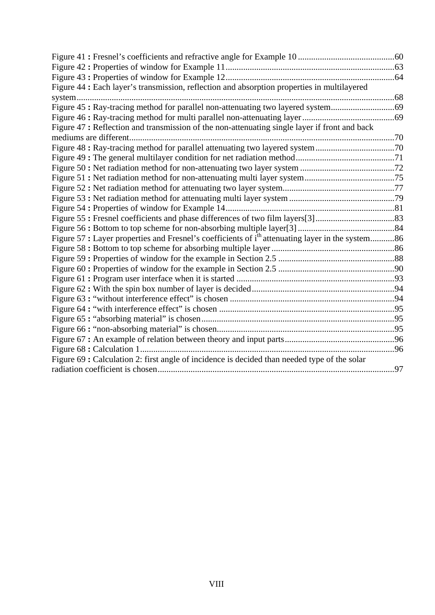| Figure 44: Each layer's transmission, reflection and absorption properties in multilayered                   |  |
|--------------------------------------------------------------------------------------------------------------|--|
|                                                                                                              |  |
| Figure 45: Ray-tracing method for parallel non-attenuating two layered system69                              |  |
|                                                                                                              |  |
| Figure 47: Reflection and transmission of the non-attenuating single layer if front and back                 |  |
|                                                                                                              |  |
|                                                                                                              |  |
|                                                                                                              |  |
|                                                                                                              |  |
|                                                                                                              |  |
|                                                                                                              |  |
|                                                                                                              |  |
|                                                                                                              |  |
|                                                                                                              |  |
|                                                                                                              |  |
| Figure 57 : Layer properties and Fresnel's coefficients of i <sup>th</sup> attenuating layer in the system86 |  |
|                                                                                                              |  |
|                                                                                                              |  |
|                                                                                                              |  |
|                                                                                                              |  |
|                                                                                                              |  |
|                                                                                                              |  |
|                                                                                                              |  |
|                                                                                                              |  |
|                                                                                                              |  |
|                                                                                                              |  |
|                                                                                                              |  |
| Figure 69 : Calculation 2: first angle of incidence is decided than needed type of the solar                 |  |
|                                                                                                              |  |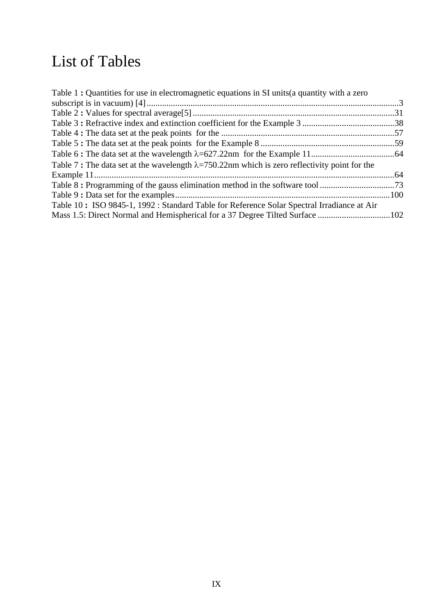## List of Tables

| Table 1: Quantities for use in electromagnetic equations in SI units (a quantity with a zero         |  |
|------------------------------------------------------------------------------------------------------|--|
|                                                                                                      |  |
|                                                                                                      |  |
|                                                                                                      |  |
|                                                                                                      |  |
|                                                                                                      |  |
|                                                                                                      |  |
| Table 7: The data set at the wavelength $\lambda$ =750.22nm which is zero reflectivity point for the |  |
|                                                                                                      |  |
|                                                                                                      |  |
|                                                                                                      |  |
| Table 10: ISO 9845-1, 1992: Standard Table for Reference Solar Spectral Irradiance at Air            |  |
|                                                                                                      |  |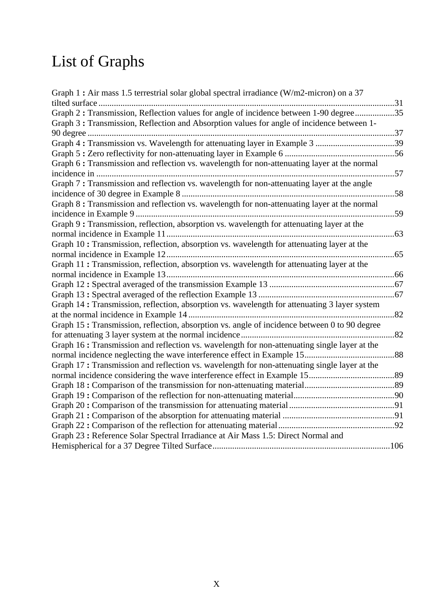# List of Graphs

| Graph 1 : Air mass 1.5 terrestrial solar global spectral irradiance (W/m2-micron) on a 37    |  |
|----------------------------------------------------------------------------------------------|--|
| 31                                                                                           |  |
| Graph 2: Transmission, Reflection values for angle of incidence between 1-90 degree35        |  |
| Graph 3: Transmission, Reflection and Absorption values for angle of incidence between 1-    |  |
|                                                                                              |  |
| Graph 4: Transmission vs. Wavelength for attenuating layer in Example 3 39                   |  |
|                                                                                              |  |
| Graph 6 : Transmission and reflection vs. wavelength for non-attenuating layer at the normal |  |
|                                                                                              |  |
| Graph 7: Transmission and reflection vs. wavelength for non-attenuating layer at the angle   |  |
|                                                                                              |  |
| Graph 8 : Transmission and reflection vs. wavelength for non-attenuating layer at the normal |  |
|                                                                                              |  |
| Graph 9: Transmission, reflection, absorption vs. wavelength for attenuating layer at the    |  |
|                                                                                              |  |
| Graph 10: Transmission, reflection, absorption vs. wavelength for attenuating layer at the   |  |
|                                                                                              |  |
| Graph 11: Transmission, reflection, absorption vs. wavelength for attenuating layer at the   |  |
|                                                                                              |  |
|                                                                                              |  |
|                                                                                              |  |
| Graph 14: Transmission, reflection, absorption vs. wavelength for attenuating 3 layer system |  |
|                                                                                              |  |
| Graph 15: Transmission, reflection, absorption vs. angle of incidence between 0 to 90 degree |  |
|                                                                                              |  |
| Graph 16: Transmission and reflection vs. wavelength for non-attenuating single layer at the |  |
|                                                                                              |  |
| Graph 17: Transmission and reflection vs. wavelength for non-attenuating single layer at the |  |
|                                                                                              |  |
|                                                                                              |  |
|                                                                                              |  |
|                                                                                              |  |
|                                                                                              |  |
|                                                                                              |  |
| Graph 23: Reference Solar Spectral Irradiance at Air Mass 1.5: Direct Normal and             |  |
|                                                                                              |  |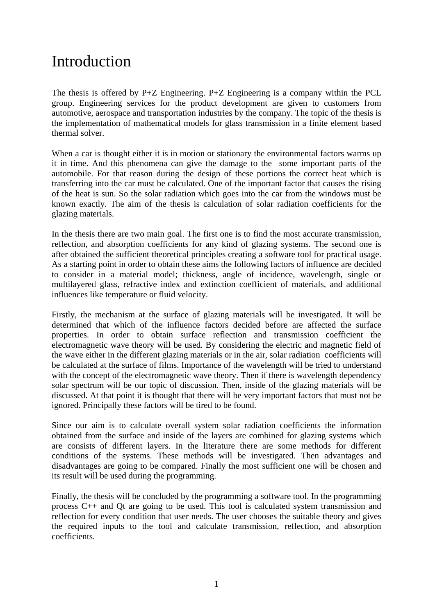## Introduction

The thesis is offered by P+Z Engineering. P+Z Engineering is a company within the PCL group. Engineering services for the product development are given to customers from automotive, aerospace and transportation industries by the company. The topic of the thesis is the implementation of mathematical models for glass transmission in a finite element based thermal solver.

When a car is thought either it is in motion or stationary the environmental factors warms up it in time. And this phenomena can give the damage to the some important parts of the automobile. For that reason during the design of these portions the correct heat which is transferring into the car must be calculated. One of the important factor that causes the rising of the heat is sun. So the solar radiation which goes into the car from the windows must be known exactly. The aim of the thesis is calculation of solar radiation coefficients for the glazing materials.

In the thesis there are two main goal. The first one is to find the most accurate transmission, reflection, and absorption coefficients for any kind of glazing systems. The second one is after obtained the sufficient theoretical principles creating a software tool for practical usage. As a starting point in order to obtain these aims the following factors of influence are decided to consider in a material model; thickness, angle of incidence, wavelength, single or multilayered glass, refractive index and extinction coefficient of materials, and additional influences like temperature or fluid velocity.

Firstly, the mechanism at the surface of glazing materials will be investigated. It will be determined that which of the influence factors decided before are affected the surface properties. In order to obtain surface reflection and transmission coefficient the electromagnetic wave theory will be used. By considering the electric and magnetic field of the wave either in the different glazing materials or in the air, solar radiation coefficients will be calculated at the surface of films. Importance of the wavelength will be tried to understand with the concept of the electromagnetic wave theory. Then if there is wavelength dependency solar spectrum will be our topic of discussion. Then, inside of the glazing materials will be discussed. At that point it is thought that there will be very important factors that must not be ignored. Principally these factors will be tired to be found.

Since our aim is to calculate overall system solar radiation coefficients the information obtained from the surface and inside of the layers are combined for glazing systems which are consists of different layers. In the literature there are some methods for different conditions of the systems. These methods will be investigated. Then advantages and disadvantages are going to be compared. Finally the most sufficient one will be chosen and its result will be used during the programming.

Finally, the thesis will be concluded by the programming a software tool. In the programming process C++ and Qt are going to be used. This tool is calculated system transmission and reflection for every condition that user needs. The user chooses the suitable theory and gives the required inputs to the tool and calculate transmission, reflection, and absorption coefficients.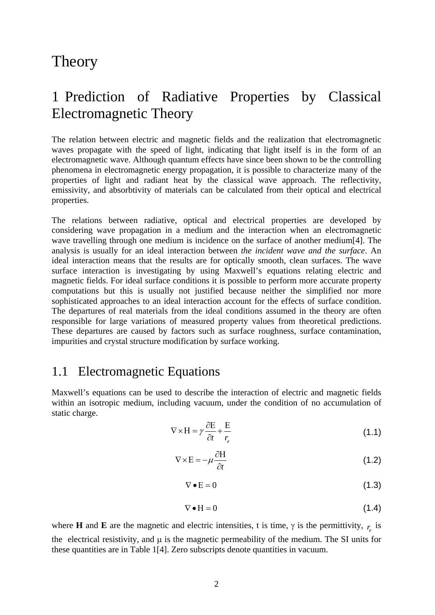### Theory

### 1 Prediction of Radiative Properties by Classical Electromagnetic Theory

The relation between electric and magnetic fields and the realization that electromagnetic waves propagate with the speed of light, indicating that light itself is in the form of an electromagnetic wave. Although quantum effects have since been shown to be the controlling phenomena in electromagnetic energy propagation, it is possible to characterize many of the properties of light and radiant heat by the classical wave approach. The reflectivity, emissivity, and absorbtivity of materials can be calculated from their optical and electrical properties.

The relations between radiative, optical and electrical properties are developed by considering wave propagation in a medium and the interaction when an electromagnetic wave travelling through one medium is incidence on the surface of another medium[4]. The analysis is usually for an ideal interaction between *the incident wave and the surface*. An ideal interaction means that the results are for optically smooth, clean surfaces. The wave surface interaction is investigating by using Maxwell's equations relating electric and magnetic fields. For ideal surface conditions it is possible to perform more accurate property computations but this is usually not justified because neither the simplified nor more sophisticated approaches to an ideal interaction account for the effects of surface condition. The departures of real materials from the ideal conditions assumed in the theory are often responsible for large variations of measured property values from theoretical predictions. These departures are caused by factors such as surface roughness, surface contamination, impurities and crystal structure modification by surface working.

#### 1.1 Electromagnetic Equations

Maxwell's equations can be used to describe the interaction of electric and magnetic fields within an isotropic medium, including vacuum, under the condition of no accumulation of static charge.

$$
\nabla \times \mathbf{H} = \gamma \frac{\partial \mathbf{E}}{\partial t} + \frac{\mathbf{E}}{r_e}
$$
 (1.1)

$$
\nabla \times \mathbf{E} = -\mu \frac{\partial \mathbf{H}}{\partial t}
$$
 (1.2)

$$
\nabla \bullet \mathbf{E} = 0 \tag{1.3}
$$

$$
\nabla \bullet H = 0 \tag{1.4}
$$

where **H** and **E** are the magnetic and electric intensities, t is time,  $\gamma$  is the permittivity,  $r_c$  is the electrical resistivity, and  $\mu$  is the magnetic permeability of the medium. The SI units for these quantities are in Table 1[4]. Zero subscripts denote quantities in vacuum.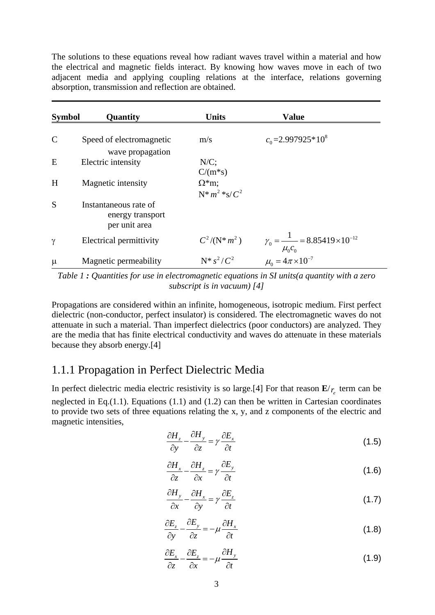The solutions to these equations reveal how radiant waves travel within a material and how the electrical and magnetic fields interact. By knowing how waves move in each of two adjacent media and applying coupling relations at the interface, relations governing absorption, transmission and reflection are obtained.

| <b>Symbol</b> | Quantity                                                   | <b>Units</b>         | <b>Value</b>                                                                                |
|---------------|------------------------------------------------------------|----------------------|---------------------------------------------------------------------------------------------|
| $\mathsf{C}$  | Speed of electromagnetic                                   | m/s                  | $c_0$ =2.997925*10 <sup>8</sup>                                                             |
| E             | wave propagation<br>Electric intensity                     | $N/C$ ;              |                                                                                             |
|               |                                                            | $C/(m*s)$            |                                                                                             |
| H             | Magnetic intensity                                         | $\Omega^*$ m;        |                                                                                             |
|               |                                                            | $N^*m^2 * s/C^2$     |                                                                                             |
| S             | Instantaneous rate of<br>energy transport<br>per unit area |                      |                                                                                             |
| γ             | Electrical permittivity                                    | $C^2/({\rm N}^*m^2)$ | $\gamma_0 = \frac{1}{\mu_0 c_0} = 8.85419 \times 10^{-12}$<br>$\mu_0 = 4\pi \times 10^{-7}$ |
| $\mu$         | Magnetic permeability                                      | $N^* s^2 / C^2$      |                                                                                             |

*Table 1 : Quantities for use in electromagnetic equations in SI units(a quantity with a zero subscript is in vacuum) [4]* 

Propagations are considered within an infinite, homogeneous, isotropic medium. First perfect dielectric (non-conductor, perfect insulator) is considered. The electromagnetic waves do not attenuate in such a material. Than imperfect dielectrics (poor conductors) are analyzed. They are the media that has finite electrical conductivity and waves do attenuate in these materials because they absorb energy.[4]

#### 1.1.1 Propagation in Perfect Dielectric Media

In perfect dielectric media electric resistivity is so large.[4] For that reason  $\mathbf{E}/r$  term can be neglected in Eq.(1.1). Equations (1.1) and (1.2) can then be written in Cartesian coordinates to provide two sets of three equations relating the x, y, and z components of the electric and magnetic intensities,

$$
\frac{\partial H_z}{\partial y} - \frac{\partial H_y}{\partial z} = \gamma \frac{\partial E_x}{\partial t}
$$
 (1.5)

$$
\frac{\partial H_x}{\partial z} - \frac{\partial H_z}{\partial x} = \gamma \frac{\partial E_y}{\partial t}
$$
 (1.6)

$$
\frac{\partial H_{y}}{\partial x} - \frac{\partial H_{x}}{\partial y} = \gamma \frac{\partial E_{z}}{\partial t}
$$
 (1.7)

$$
\frac{\partial E_z}{\partial y} - \frac{\partial E_y}{\partial z} = -\mu \frac{\partial H_x}{\partial t}
$$
 (1.8)

$$
\frac{\partial E_x}{\partial z} - \frac{\partial E_z}{\partial x} = -\mu \frac{\partial H_y}{\partial t}
$$
 (1.9)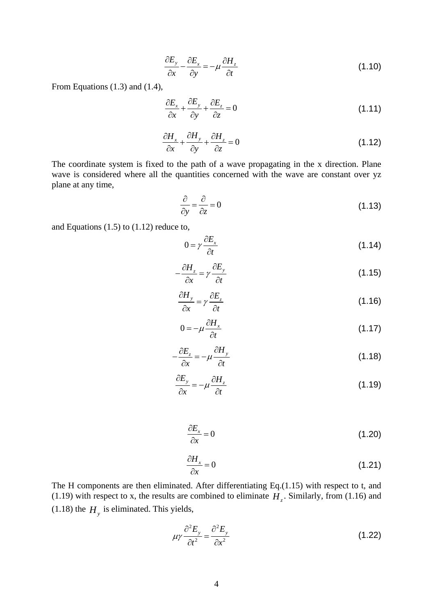$$
\frac{\partial E_y}{\partial x} - \frac{\partial E_x}{\partial y} = -\mu \frac{\partial H_z}{\partial t}
$$
\n(1.10)

From Equations (1.3) and (1.4),

$$
\frac{\partial E_x}{\partial x} + \frac{\partial E_y}{\partial y} + \frac{\partial E_z}{\partial z} = 0
$$
\n(1.11)

$$
\frac{\partial H_x}{\partial x} + \frac{\partial H_y}{\partial y} + \frac{\partial H_z}{\partial z} = 0
$$
\n(1.12)

The coordinate system is fixed to the path of a wave propagating in the x direction. Plane wave is considered where all the quantities concerned with the wave are constant over yz plane at any time,

$$
\frac{\partial}{\partial y} = \frac{\partial}{\partial z} = 0\tag{1.13}
$$

and Equations (1.5) to (1.12) reduce to,

$$
0 = \gamma \frac{\partial E_x}{\partial t} \tag{1.14}
$$

$$
-\frac{\partial H_z}{\partial x} = \gamma \frac{\partial E_y}{\partial t}
$$
 (1.15)

$$
\frac{\partial H_{y}}{\partial x} = \gamma \frac{\partial E_{z}}{\partial t}
$$
 (1.16)

$$
0 = -\mu \frac{\partial H_x}{\partial t} \tag{1.17}
$$

$$
-\frac{\partial E_z}{\partial x} = -\mu \frac{\partial H_y}{\partial t}
$$
 (1.18)

$$
\frac{\partial E_y}{\partial x} = -\mu \frac{\partial H_z}{\partial t} \tag{1.19}
$$

$$
\frac{\partial E_x}{\partial x} = 0 \tag{1.20}
$$

$$
\frac{\partial H_x}{\partial x} = 0 \tag{1.21}
$$

The H components are then eliminated. After differentiating Eq.(1.15) with respect to t, and (1.19) with respect to x, the results are combined to eliminate  $H<sub>z</sub>$ . Similarly, from (1.16) and  $(1.18)$  the  $H<sub>y</sub>$  is eliminated. This yields,

$$
\mu \gamma \frac{\partial^2 E_y}{\partial t^2} = \frac{\partial^2 E_y}{\partial x^2}
$$
 (1.22)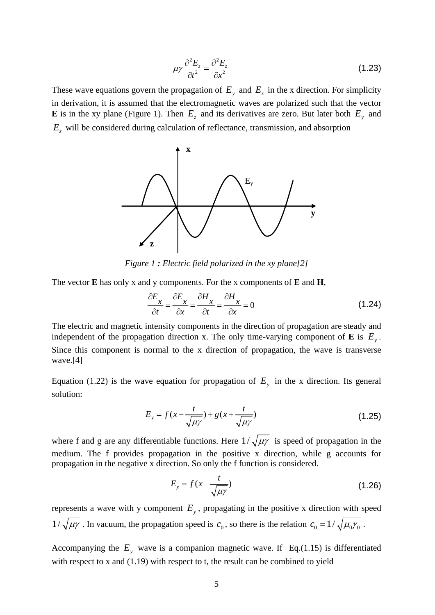$$
\mu \gamma \frac{\partial^2 E_z}{\partial t^2} = \frac{\partial^2 E_z}{\partial x^2}
$$
 (1.23)

These wave equations govern the propagation of  $E_y$  and  $E_z$  in the x direction. For simplicity in derivation, it is assumed that the electromagnetic waves are polarized such that the vector **E** is in the xy plane (Figure 1). Then  $E_z$  and its derivatives are zero. But later both  $E_y$  and *Ez* will be considered during calculation of reflectance, transmission, and absorption



*Figure 1 : Electric field polarized in the xy plane[2]* 

The vector **E** has only x and y components. For the x components of **E** and **H**,

$$
\frac{\partial E_x}{\partial t} = \frac{\partial E_x}{\partial x} = \frac{\partial H_x}{\partial t} = \frac{\partial H_x}{\partial x} = 0
$$
\n(1.24)

The electric and magnetic intensity components in the direction of propagation are steady and independent of the propagation direction x. The only time-varying component of **E** is  $E_y$ . Since this component is normal to the x direction of propagation, the wave is transverse wave.[4]

Equation (1.22) is the wave equation for propagation of  $E_y$  in the x direction. Its general solution:

$$
E_y = f(x - \frac{t}{\sqrt{\mu \gamma}}) + g(x + \frac{t}{\sqrt{\mu \gamma}})
$$
\n(1.25)

where f and g are any differentiable functions. Here  $1/\sqrt{\mu\gamma}$  is speed of propagation in the medium. The f provides propagation in the positive x direction, while g accounts for propagation in the negative x direction. So only the f function is considered.

$$
E_y = f(x - \frac{t}{\sqrt{\mu \gamma}})
$$
\n(1.26)

represents a wave with y component  $E<sub>y</sub>$ , propagating in the positive x direction with speed  $1/\sqrt{\mu\gamma}$ . In vacuum, the propagation speed is  $c_0$ , so there is the relation  $c_0 = 1/\sqrt{\mu_0\gamma_0}$ .

Accompanying the  $E_y$  wave is a companion magnetic wave. If Eq.(1.15) is differentiated with respect to x and (1.19) with respect to t, the result can be combined to yield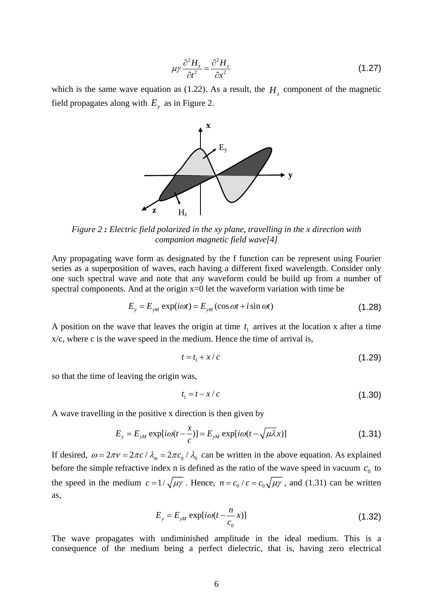$$
\mu \gamma \frac{\partial^2 H_z}{\partial t^2} = \frac{\partial^2 H_z}{\partial x^2}
$$
 (1.27)

which is the same wave equation as (1.22). As a result, the  $H<sub>z</sub>$  component of the magnetic field propagates along with  $E_y$  as in Figure 2.



*Figure 2 : Electric field polarized in the xy plane, travelling in the x direction with companion magnetic field wave[4]* 

Any propagating wave form as designated by the f function can be represent using Fourier series as a superposition of waves, each having a different fixed wavelength. Consider only one such spectral wave and note that any waveform could be build up from a number of spectral components. And at the origin  $x=0$  let the waveform variation with time be

$$
E_y = E_{yM} \exp(i\omega t) = E_{yM} (\cos \omega t + i \sin \omega t)
$$
 (1.28)

A position on the wave that leaves the origin at time  $t_1$  arrives at the location x after a time x/c, where c is the wave speed in the medium. Hence the time of arrival is,

$$
t = t_1 + x/c \tag{1.29}
$$

so that the time of leaving the origin was,

$$
t_1 = t - x/c \tag{1.30}
$$

A wave travelling in the positive x direction is then given by

$$
E_y = E_{yM} \exp[i\omega(t - \frac{x}{c})] = E_{yM} \exp[i\omega(t - \sqrt{\mu\lambda}x)]
$$
\n(1.31)

If desired,  $\omega = 2\pi v = 2\pi c / \lambda_m = 2\pi c_0 / \lambda_0$  can be written in the above equation. As explained before the simple refractive index n is defined as the ratio of the wave speed in vacuum  $c_0$  to the speed in the medium  $c = 1/\sqrt{\mu\gamma}$ . Hence,  $n = c_0/c = c_0\sqrt{\mu\gamma}$ , and (1.31) can be written as,

$$
E_y = E_{yM} \exp[i\omega(t - \frac{n}{c_0}x)]
$$
\n(1.32)

The wave propagates with undiminished amplitude in the ideal medium. This is a consequence of the medium being a perfect dielectric, that is, having zero electrical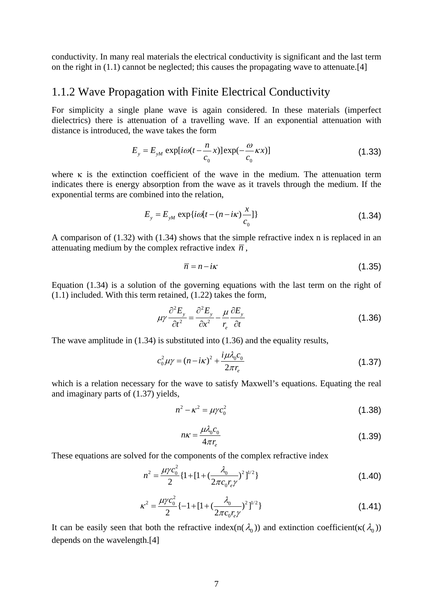conductivity. In many real materials the electrical conductivity is significant and the last term on the right in (1.1) cannot be neglected; this causes the propagating wave to attenuate.[4]

#### 1.1.2 Wave Propagation with Finite Electrical Conductivity

For simplicity a single plane wave is again considered. In these materials (imperfect dielectrics) there is attenuation of a travelling wave. If an exponential attenuation with distance is introduced, the wave takes the form

$$
E_y = E_{yM} \exp[i\omega(t - \frac{n}{c_0}x)] \exp(-\frac{\omega}{c_0}kx)]
$$
\n(1.33)

where κ is the extinction coefficient of the wave in the medium. The attenuation term indicates there is energy absorption from the wave as it travels through the medium. If the exponential terms are combined into the relation,

$$
E_y = E_{yM} \exp\{i\omega\left[t - (n - i\kappa)\frac{x}{c_0}\right]\}\tag{1.34}
$$

A comparison of (1.32) with (1.34) shows that the simple refractive index n is replaced in an attenuating medium by the complex refractive index  $\overline{n}$ ,

$$
\overline{n} = n - i\kappa \tag{1.35}
$$

Equation (1.34) is a solution of the governing equations with the last term on the right of (1.1) included. With this term retained, (1.22) takes the form,

$$
\mu \gamma \frac{\partial^2 E_y}{\partial t^2} = \frac{\partial^2 E_y}{\partial x^2} - \frac{\mu}{r_e} \frac{\partial E_y}{\partial t}
$$
 (1.36)

The wave amplitude in (1.34) is substituted into (1.36) and the equality results,

$$
c_0^2 \mu \gamma = (n - i\kappa)^2 + \frac{i\mu \lambda_0 c_0}{2\pi r_e}
$$
 (1.37)

which is a relation necessary for the wave to satisfy Maxwell's equations. Equating the real and imaginary parts of (1.37) yields,

$$
n^2 - \kappa^2 = \mu \gamma c_0^2 \tag{1.38}
$$

$$
n\kappa = \frac{\mu \lambda_0 c_0}{4\pi r_e} \tag{1.39}
$$

These equations are solved for the components of the complex refractive index

$$
n^{2} = \frac{\mu\gamma c_{0}^{2}}{2} \{1 + [1 + (\frac{\lambda_{0}}{2\pi c_{0}r_{e}\gamma})^{2}]^{1/2}\}
$$
\n(1.40)

$$
\kappa^2 = \frac{\mu \gamma c_0^2}{2} \{-1 + [1 + (\frac{\lambda_0}{2\pi c_0 r_e \gamma})^2]^{1/2} \}
$$
\n(1.41)

It can be easily seen that both the refractive index(n( $\lambda_0$ )) and extinction coefficient( $\kappa(\lambda_0)$ ) depends on the wavelength.[4]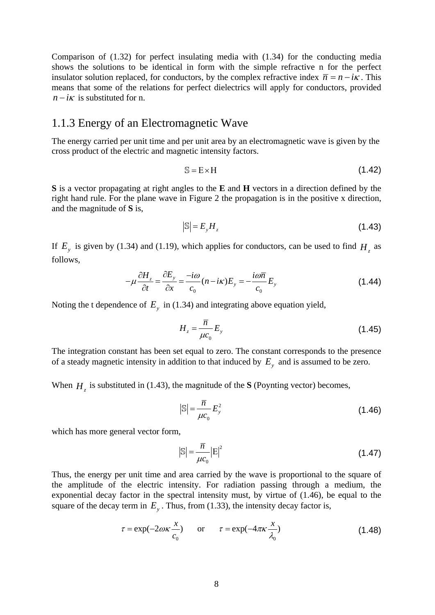Comparison of (1.32) for perfect insulating media with (1.34) for the conducting media shows the solutions to be identical in form with the simple refractive n for the perfect insulator solution replaced, for conductors, by the complex refractive index  $\bar{n} = n - i\kappa$ . This means that some of the relations for perfect dielectrics will apply for conductors, provided  $n - i\kappa$  is substituted for n.

#### 1.1.3 Energy of an Electromagnetic Wave

The energy carried per unit time and per unit area by an electromagnetic wave is given by the cross product of the electric and magnetic intensity factors.

$$
S = E \times H \tag{1.42}
$$

**S** is a vector propagating at right angles to the **E** and **H** vectors in a direction defined by the right hand rule. For the plane wave in Figure 2 the propagation is in the positive x direction, and the magnitude of **S** is,

$$
|\mathbb{S}| = E_y H_z \tag{1.43}
$$

If  $E_y$  is given by (1.34) and (1.19), which applies for conductors, can be used to find  $H_z$  as follows,

$$
-\mu \frac{\partial H_z}{\partial t} = \frac{\partial E_y}{\partial x} = \frac{-i\omega}{c_0} (n - i\kappa) E_y = -\frac{i\omega \overline{n}}{c_0} E_y \tag{1.44}
$$

Noting the t dependence of  $E_y$  in (1.34) and integrating above equation yield,

$$
H_z = \frac{\overline{n}}{\mu c_0} E_y \tag{1.45}
$$

The integration constant has been set equal to zero. The constant corresponds to the presence of a steady magnetic intensity in addition to that induced by  $E_y$  and is assumed to be zero.

When  $H<sub>z</sub>$  is substituted in (1.43), the magnitude of the **S** (Poynting vector) becomes,

$$
\mathbb{S} = \frac{\overline{n}}{\mu c_0} E_y^2 \tag{1.46}
$$

which has more general vector form,

$$
\left|\mathbb{S}\right| = \frac{\overline{n}}{\mu c_0} \left|\mathbb{E}\right|^2 \tag{1.47}
$$

Thus, the energy per unit time and area carried by the wave is proportional to the square of the amplitude of the electric intensity. For radiation passing through a medium, the exponential decay factor in the spectral intensity must, by virtue of (1.46), be equal to the square of the decay term in  $E_y$ . Thus, from (1.33), the intensity decay factor is,

$$
\tau = \exp(-2\omega\kappa \frac{x}{c_0}) \qquad \text{or} \qquad \tau = \exp(-4\pi\kappa \frac{x}{\lambda_0}) \tag{1.48}
$$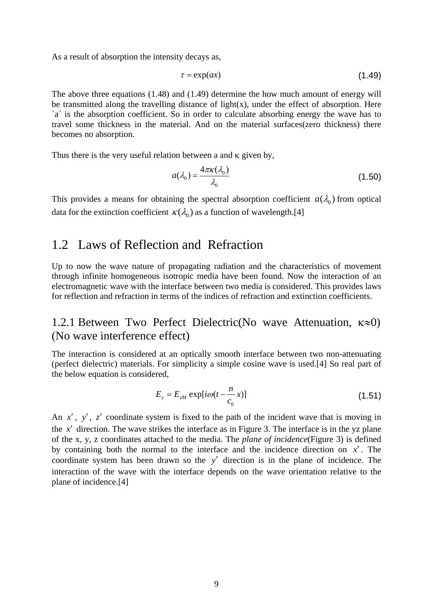As a result of absorption the intensity decays as,

$$
\tau = \exp(ax) \tag{1.49}
$$

The above three equations (1.48) and (1.49) determine the how much amount of energy will be transmitted along the travelling distance of light $(x)$ , under the effect of absorption. Here `a´ is the absorption coefficient. So in order to calculate absorbing energy the wave has to travel some thickness in the material. And on the material surfaces(zero thickness) there becomes no absorption.

Thus there is the very useful relation between a and  $\kappa$  given by,

$$
a(\lambda_0) = \frac{4\pi\kappa(\lambda_0)}{\lambda_0} \tag{1.50}
$$

This provides a means for obtaining the spectral absorption coefficient  $a(\lambda_0)$  from optical data for the extinction coefficient  $\kappa(\lambda_0)$  as a function of wavelength.[4]

#### 1.2 Laws of Reflection and Refraction

Up to now the wave nature of propagating radiation and the characteristics of movement through infinite homogeneous isotropic media have been found. Now the interaction of an electromagnetic wave with the interface between two media is considered. This provides laws for reflection and refraction in terms of the indices of refraction and extinction coefficients.

#### 1.2.1 Between Two Perfect Dielectric(No wave Attenuation, κ≈0) (No wave interference effect)

The interaction is considered at an optically smooth interface between two non-attenuating (perfect dielectric) materials. For simplicity a simple cosine wave is used.[4] So real part of the below equation is considered,

$$
E_y = E_{yM} \exp[i\omega(t - \frac{n}{c_0}x)] \tag{1.51}
$$

An *x*′ , *y*′, *z*′ coordinate system is fixed to the path of the incident wave that is moving in the *x'* direction. The wave strikes the interface as in Figure 3. The interface is in the yz plane of the x, y, z coordinates attached to the media. The *plane of incidence*(Figure 3) is defined by containing both the normal to the interface and the incidence direction on *x*′ . The coordinate system has been drawn so the *y*′ direction is in the plane of incidence. The interaction of the wave with the interface depends on the wave orientation relative to the plane of incidence.[4]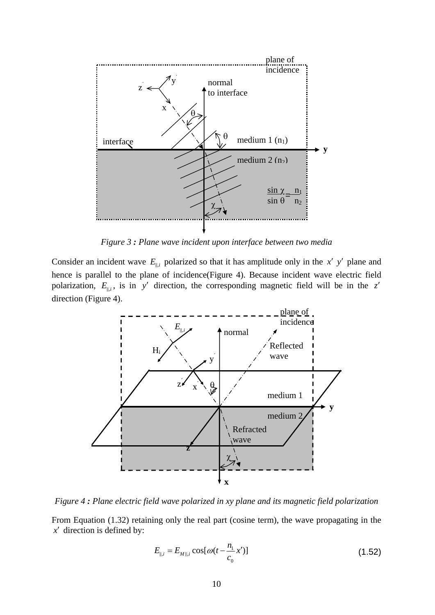

*Figure 3 : Plane wave incident upon interface between two media*

Consider an incident wave  $E_{\parallel,i}$  polarized so that it has amplitude only in the *x' y'* plane and hence is parallel to the plane of incidence(Figure 4). Because incident wave electric field polarization,  $E_{\parallel,i}$ , is in *y'* direction, the corresponding magnetic field will be in the *z'* direction (Figure 4).



*Figure 4 : Plane electric field wave polarized in xy plane and its magnetic field polarization* 

From Equation (1.32) retaining only the real part (cosine term), the wave propagating in the *x*′ direction is defined by:

$$
E_{\parallel,i} = E_{M \parallel,i} \cos[\omega(t - \frac{n_1}{c_0} x')] \tag{1.52}
$$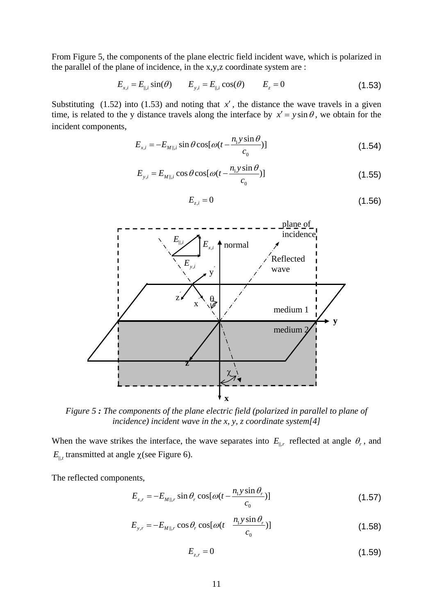From Figure 5, the components of the plane electric field incident wave, which is polarized in the parallel of the plane of incidence, in the x,y,z coordinate system are :

$$
E_{x,i} = E_{\parallel,i} \sin(\theta) \qquad E_{y,i} = E_{\parallel,i} \cos(\theta) \qquad E_{z} = 0 \tag{1.53}
$$

Substituting  $(1.52)$  into  $(1.53)$  and noting that *x'*, the distance the wave travels in a given time, is related to the y distance travels along the interface by  $x' = y \sin \theta$ , we obtain for the incident components,

$$
E_{x,i} = -E_{M||,i} \sin \theta \cos[\omega(t - \frac{n_1 y \sin \theta}{c_0})]
$$
\n(1.54)

$$
E_{y,i} = E_{M||,i} \cos \theta \cos[\omega(t - \frac{n_1 y \sin \theta}{c_0})]
$$
\n(1.55)

$$
E_{z,i} = 0 \tag{1.56}
$$



*Figure 5 : The components of the plane electric field (polarized in parallel to plane of incidence) incident wave in the x, y, z coordinate system[4]* 

When the wave strikes the interface, the wave separates into  $E_{\parallel,r}$  reflected at angle  $\theta_r$ , and  $E_{\parallel t}$  transmitted at angle  $\chi$  (see Figure 6).

The reflected components,

$$
E_{x,r} = -E_{M||,r} \sin \theta_r \cos[\omega(t - \frac{n_1 y \sin \theta_r}{c_0})]
$$
\n(1.57)

$$
E_{y,r} = -E_{M||,r} \cos \theta_r \cos[\omega(t - \frac{n_1 y \sin \theta_r}{c_0})]
$$
\n(1.58)

$$
E_{z,r} = 0 \tag{1.59}
$$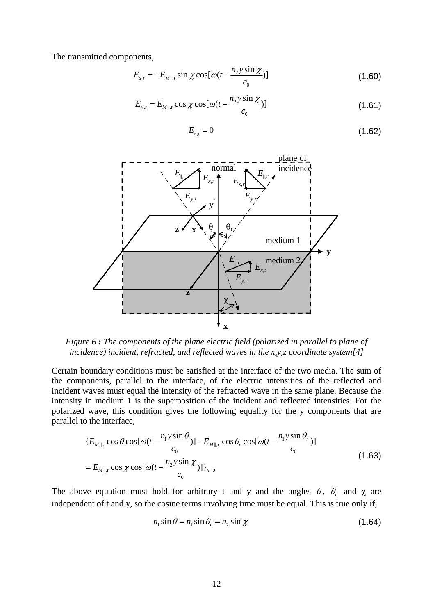The transmitted components,

$$
E_{x,t} = -E_{M||,t} \sin \chi \cos[\omega(t - \frac{n_2 y \sin \chi}{c_0})]
$$
 (1.60)

$$
E_{y,t} = E_{M||,t} \cos \chi \cos[\omega(t - \frac{n_2 y \sin \chi}{c_0})]
$$
\n(1.61)

$$
E_{z,t} = 0 \tag{1.62}
$$



*Figure 6 : The components of the plane electric field (polarized in parallel to plane of incidence) incident, refracted, and reflected waves in the x,y,z coordinate system[4]* 

Certain boundary conditions must be satisfied at the interface of the two media. The sum of the components, parallel to the interface, of the electric intensities of the reflected and incident waves must equal the intensity of the refracted wave in the same plane. Because the intensity in medium 1 is the superposition of the incident and reflected intensities. For the polarized wave, this condition gives the following equality for the y components that are parallel to the interface,

$$
\{E_{M\parallel,i}\cos\theta\cos[\omega(t-\frac{n_1y\sin\theta}{c_0})]-E_{M\parallel,r}\cos\theta_r\cos[\omega(t-\frac{n_1y\sin\theta_r}{c_0})]
$$
  
=  $E_{M\parallel,t}\cos\chi\cos[\omega(t-\frac{n_2y\sin\chi}{c_0})]\}_{x=0}$  (1.63)

The above equation must hold for arbitrary t and y and the angles  $\theta$ ,  $\theta$  and  $\gamma$  are independent of t and y, so the cosine terms involving time must be equal. This is true only if,

$$
n_1 \sin \theta = n_1 \sin \theta_r = n_2 \sin \chi \tag{1.64}
$$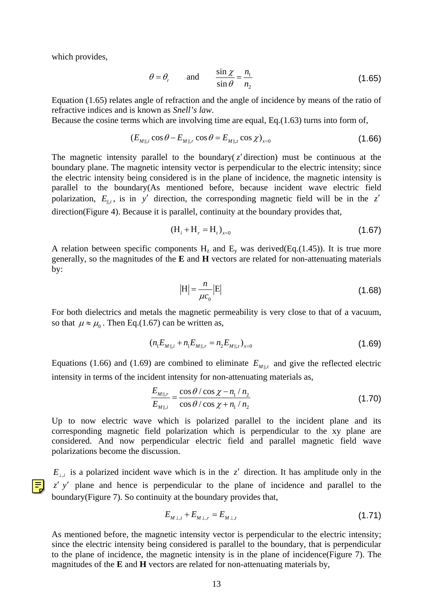which provides,

$$
\theta = \theta_r
$$
 and  $\frac{\sin \chi}{\sin \theta} = \frac{n_1}{n_2}$  (1.65)

Equation (1.65) relates angle of refraction and the angle of incidence by means of the ratio of refractive indices and is known as *Snell's law*.

Because the cosine terms which are involving time are equal, Eq.(1.63) turns into form of,

$$
(E_{M\parallel,i}\cos\theta - E_{M\parallel,r}\cos\theta = E_{M\parallel,t}\cos\chi)_{x=0}
$$
\n(1.66)

The magnetic intensity parallel to the boundary( $z'$  direction) must be continuous at the boundary plane. The magnetic intensity vector is perpendicular to the electric intensity; since the electric intensity being considered is in the plane of incidence, the magnetic intensity is parallel to the boundary(As mentioned before, because incident wave electric field polarization,  $E_{\parallel i}$ , is in *y'* direction, the corresponding magnetic field will be in the *z'* direction(Figure 4). Because it is parallel, continuity at the boundary provides that,

$$
(H_i + H_r = H_t)_{x=0}
$$
 (1.67)

A relation between specific components  $H_z$  and  $E_y$  was derived(Eq.(1.45)). It is true more generally, so the magnitudes of the **E** and **H** vectors are related for non-attenuating materials by:

$$
|\mathbf{H}| = \frac{n}{\mu c_0} |\mathbf{E}| \tag{1.68}
$$

For both dielectrics and metals the magnetic permeability is very close to that of a vacuum, so that  $\mu \approx \mu_0$ . Then Eq.(1.67) can be written as,

$$
(n_1 E_{M||,i} + n_1 E_{M||,r} = n_2 E_{M||,t})_{x=0}
$$
\n(1.69)

Equations (1.66) and (1.69) are combined to eliminate  $E_{M||,t}$  and give the reflected electric intensity in terms of the incident intensity for non-attenuating materials as,

$$
\frac{E_{M||,r}}{E_{M||,i}} = \frac{\cos\theta/\cos\chi - n_1/n_2}{\cos\theta/\cos\chi + n_1/n_2}
$$
\n(1.70)

Up to now electric wave which is polarized parallel to the incident plane and its corresponding magnetic field polarization which is perpendicular to the xy plane are considered. And now perpendicular electric field and parallel magnetic field wave polarizations become the discussion.

 $E_{\perp i}$  is a polarized incident wave which is in the *z'* direction. It has amplitude only in the *z' y'* plane and hence is perpendicular to the plane of incidence and parallel to the boundary(Figure 7). So continuity at the boundary provides that,

$$
E_{M\perp,i} + E_{M\perp,r} = E_{M\perp,t} \tag{1.71}
$$

As mentioned before, the magnetic intensity vector is perpendicular to the electric intensity; since the electric intensity being considered is parallel to the boundary, that is perpendicular to the plane of incidence, the magnetic intensity is in the plane of incidence(Figure 7). The magnitudes of the **E** and **H** vectors are related for non-attenuating materials by,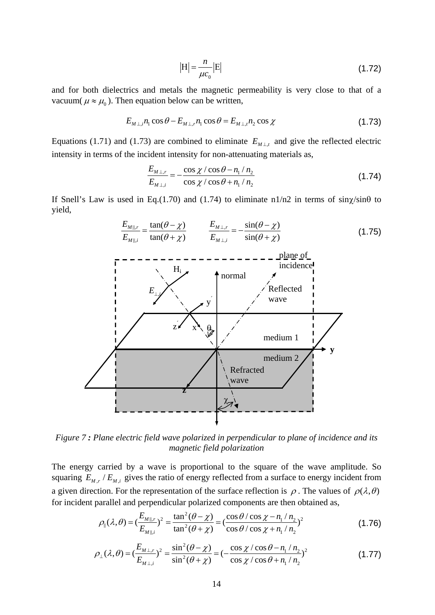$$
\left|\mathbf{H}\right| = \frac{n}{\mu c_0} \left|\mathbf{E}\right| \tag{1.72}
$$

and for both dielectrics and metals the magnetic permeability is very close to that of a vacuum( $\mu \approx \mu_0$ ). Then equation below can be written,

$$
E_{M\perp,i}n_1\cos\theta - E_{M\perp,r}n_1\cos\theta = E_{M\perp,i}n_2\cos\chi\tag{1.73}
$$

Equations (1.71) and (1.73) are combined to eliminate  $E_{M\perp t}$  and give the reflected electric intensity in terms of the incident intensity for non-attenuating materials as,

$$
\frac{E_{M\perp,r}}{E_{M\perp,i}} = -\frac{\cos\chi/\cos\theta - n_1/n_2}{\cos\chi/\cos\theta + n_1/n_2}
$$
(1.74)

If Snell's Law is used in Eq.(1.70) and (1.74) to eliminate  $n1/n2$  in terms of  $\sin \chi / \sin \theta$  to yield,



*Figure 7 : Plane electric field wave polarized in perpendicular to plane of incidence and its magnetic field polarization* 

The energy carried by a wave is proportional to the square of the wave amplitude. So squaring  $E_{M,r}$  /  $E_{M,i}$  gives the ratio of energy reflected from a surface to energy incident from a given direction. For the representation of the surface reflection is  $\rho$ . The values of  $\rho(\lambda,\theta)$ for incident parallel and perpendicular polarized components are then obtained as,

$$
\rho_{\parallel}(\lambda,\theta) = (\frac{E_{M\parallel,r}}{E_{M\parallel,i}})^2 = \frac{\tan^2(\theta - \chi)}{\tan^2(\theta + \chi)} = (\frac{\cos\theta/\cos\chi - n_1/n_2}{\cos\theta/\cos\chi + n_1/n_2})^2
$$
(1.76)

$$
\rho_{\perp}(\lambda,\theta) = \left(\frac{E_{M\perp,r}}{E_{M\perp,i}}\right)^2 = \frac{\sin^2(\theta - \chi)}{\sin^2(\theta + \chi)} = \left(-\frac{\cos\chi/\cos\theta - n_1/n_2}{\cos\chi/\cos\theta + n_1/n_2}\right)^2\tag{1.77}
$$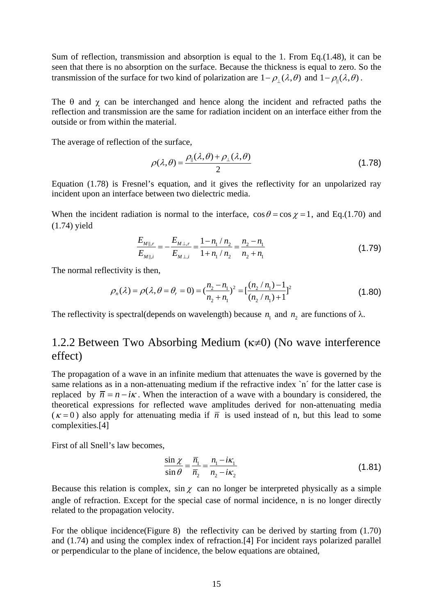Sum of reflection, transmission and absorption is equal to the 1. From Eq.  $(1.48)$ , it can be seen that there is no absorption on the surface. Because the thickness is equal to zero. So the transmission of the surface for two kind of polarization are  $1 - \rho_1(\lambda, \theta)$  and  $1 - \rho_0(\lambda, \theta)$ .

The  $\theta$  and  $\gamma$  can be interchanged and hence along the incident and refracted paths the reflection and transmission are the same for radiation incident on an interface either from the outside or from within the material.

The average of reflection of the surface,

$$
\rho(\lambda,\theta) = \frac{\rho_{\parallel}(\lambda,\theta) + \rho_{\perp}(\lambda,\theta)}{2}
$$
\n(1.78)

Equation (1.78) is Fresnel's equation, and it gives the reflectivity for an unpolarized ray incident upon an interface between two dielectric media.

When the incident radiation is normal to the interface,  $\cos \theta = \cos \chi = 1$ , and Eq.(1.70) and (1.74) yield

$$
\frac{E_{M||,r}}{E_{M||,i}} = -\frac{E_{M\perp,r}}{E_{M\perp,i}} = \frac{1 - n_1 / n_2}{1 + n_1 / n_2} = \frac{n_2 - n_1}{n_2 + n_1}
$$
\n(1.79)

The normal reflectivity is then,

$$
\rho_n(\lambda) = \rho(\lambda, \theta = \theta_r = 0) = \left(\frac{n_2 - n_1}{n_2 + n_1}\right)^2 = \left[\frac{(n_2 / n_1) - 1}{(n_2 / n_1) + 1}\right]^2
$$
\n(1.80)

The reflectivity is spectral(depends on wavelength) because  $n_1$  and  $n_2$  are functions of  $\lambda$ .

#### 1.2.2 Between Two Absorbing Medium (κ≠0) (No wave interference effect)

The propagation of a wave in an infinite medium that attenuates the wave is governed by the same relations as in a non-attenuating medium if the refractive index `n' for the latter case is replaced by  $\overline{n} = n - i\kappa$ . When the interaction of a wave with a boundary is considered, the theoretical expressions for reflected wave amplitudes derived for non-attenuating media  $(\kappa = 0)$  also apply for attenuating media if  $\bar{n}$  is used instead of n, but this lead to some complexities.[4]

First of all Snell's law becomes,

$$
\frac{\sin \chi}{\sin \theta} = \frac{\overline{n}_1}{\overline{n}_2} = \frac{n_1 - i\kappa_1}{n_2 - i\kappa_2}
$$
\n(1.81)

Because this relation is complex, sin  $\chi$  can no longer be interpreted physically as a simple angle of refraction. Except for the special case of normal incidence, n is no longer directly related to the propagation velocity.

For the oblique incidence(Figure 8) the reflectivity can be derived by starting from (1.70) and (1.74) and using the complex index of refraction.[4] For incident rays polarized parallel or perpendicular to the plane of incidence, the below equations are obtained,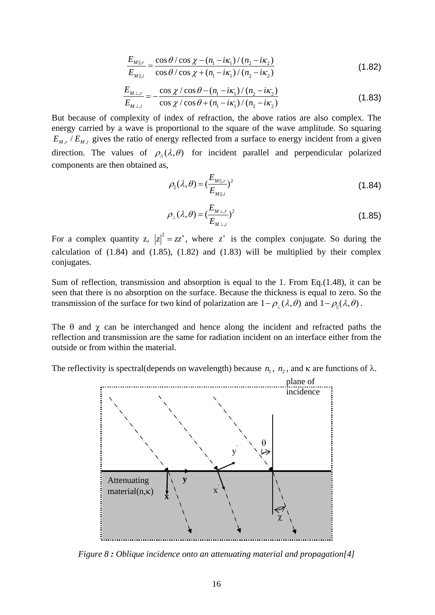$$
\frac{E_{M||,r}}{E_{M||,i}} = \frac{\cos\theta/\cos\chi - (n_1 - i\kappa_1)/(n_2 - i\kappa_2)}{\cos\theta/\cos\chi + (n_1 - i\kappa_1)/(n_2 - i\kappa_2)}
$$
(1.82)

$$
\frac{E_{M\perp,r}}{E_{M\perp,i}} = -\frac{\cos\chi/\cos\theta - (n_1 - i\kappa_1)/(n_2 - i\kappa_2)}{\cos\chi/\cos\theta + (n_1 - i\kappa_1)/(n_2 - i\kappa_2)}
$$
(1.83)

But because of complexity of index of refraction, the above ratios are also complex. The energy carried by a wave is proportional to the square of the wave amplitude. So squaring  $E_{M,r}/E_{M,i}$  gives the ratio of energy reflected from a surface to energy incident from a given direction. The values of  $\rho_{\lambda}(\lambda, \theta)$  for incident parallel and perpendicular polarized components are then obtained as,

$$
\rho_{\parallel}(\lambda,\theta) = (\frac{E_{M||,r}}{E_{M||,i}})^2
$$
\n(1.84)

$$
\rho_{\perp}(\lambda,\theta) = \left(\frac{E_{M\perp,r}}{E_{M\perp,i}}\right)^2
$$
\n(1.85)

For a complex quantity z,  $|z|^2 = zz^*$ , where  $z^*$  is the complex conjugate. So during the calculation of  $(1.84)$  and  $(1.85)$ ,  $(1.82)$  and  $(1.83)$  will be multiplied by their complex conjugates.

Sum of reflection, transmission and absorption is equal to the 1. From Eq.(1.48), it can be seen that there is no absorption on the surface. Because the thickness is equal to zero. So the transmission of the surface for two kind of polarization are  $1 - \rho_1(\lambda, \theta)$  and  $1 - \rho_1(\lambda, \theta)$ .

The  $\theta$  and  $\chi$  can be interchanged and hence along the incident and refracted paths the reflection and transmission are the same for radiation incident on an interface either from the outside or from within the material.

The reflectivity is spectral(depends on wavelength) because  $n_1$ ,  $n_2$ , and  $\kappa$  are functions of  $\lambda$ .



*Figure 8 : Oblique incidence onto an attenuating material and propagation[4]*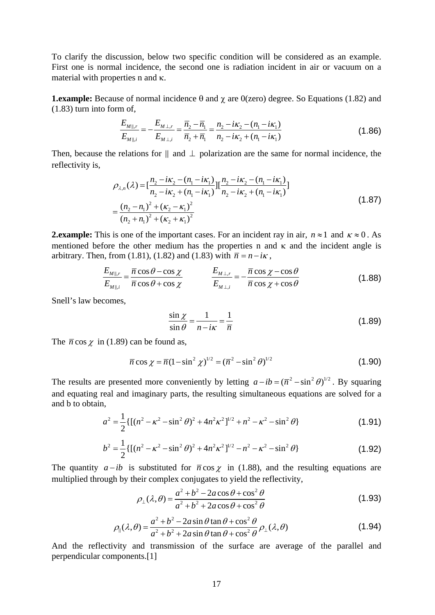To clarify the discussion, below two specific condition will be considered as an example. First one is normal incidence, the second one is radiation incident in air or vacuum on a material with properties n and κ.

**1.example:** Because of normal incidence  $\theta$  and  $\chi$  are 0(zero) degree. So Equations (1.82) and (1.83) turn into form of,

$$
\frac{E_{M||,r}}{E_{M||,i}} = -\frac{E_{M\perp,r}}{E_{M\perp,i}} = \frac{\overline{n}_2 - \overline{n}_1}{\overline{n}_2 + \overline{n}_1} = \frac{n_2 - i\kappa_2 - (n_1 - i\kappa_1)}{n_2 - i\kappa_2 + (n_1 - i\kappa_1)}
$$
(1.86)

Then, because the relations for  $\parallel$  and  $\perp$  polarization are the same for normal incidence, the reflectivity is,

$$
\rho_{\lambda,n}(\lambda) = \left[\frac{n_2 - i\kappa_2 - (n_1 - i\kappa_1)}{n_2 - i\kappa_2 + (n_1 - i\kappa_1)}\right] \left[\frac{n_2 - i\kappa_2 - (n_1 - i\kappa_1)}{n_2 - i\kappa_2 + (n_1 - i\kappa_1)}\right]
$$
\n
$$
= \frac{(n_2 - n_1)^2 + (\kappa_2 - \kappa_1)^2}{(n_2 + n_1)^2 + (\kappa_2 + \kappa_1)^2}
$$
\n(1.87)

**2.example:** This is one of the important cases. For an incident ray in air,  $n \approx 1$  and  $\kappa \approx 0$ . As mentioned before the other medium has the properties n and  $\kappa$  and the incident angle is arbitrary. Then, from (1.81), (1.82) and (1.83) with  $\overline{n} = n - i\kappa$ ,

$$
\frac{E_{M||,r}}{E_{M||,i}} = \frac{\overline{n}\cos\theta - \cos\chi}{\overline{n}\cos\theta + \cos\chi} \qquad \qquad \frac{E_{M\perp,r}}{E_{M\perp,i}} = -\frac{\overline{n}\cos\chi - \cos\theta}{\overline{n}\cos\chi + \cos\theta} \qquad (1.88)
$$

Snell's law becomes,

$$
\frac{\sin \chi}{\sin \theta} = \frac{1}{n - i\kappa} = \frac{1}{\overline{n}}
$$
\n(1.89)

The  $\bar{n}$  cos  $\chi$  in (1.89) can be found as,

$$
\overline{n}\cos\chi = \overline{n}(1-\sin^2\chi)^{1/2} = (\overline{n}^2-\sin^2\theta)^{1/2}
$$
 (1.90)

The results are presented more conveniently by letting  $a - ib = (\overline{n}^2 - \sin^2 \theta)^{1/2}$ . By squaring and equating real and imaginary parts, the resulting simultaneous equations are solved for a and b to obtain,

$$
a^{2} = \frac{1}{2} \{ [(n^{2} - \kappa^{2} - \sin^{2} \theta)^{2} + 4n^{2}\kappa^{2}]^{1/2} + n^{2} - \kappa^{2} - \sin^{2} \theta \}
$$
 (1.91)

$$
b^{2} = \frac{1}{2} \{ [(n^{2} - \kappa^{2} - \sin^{2} \theta)^{2} + 4n^{2}\kappa^{2}]^{1/2} - n^{2} - \kappa^{2} - \sin^{2} \theta \}
$$
 (1.92)

The quantity  $a - ib$  is substituted for  $\bar{n} \cos \chi$  in (1.88), and the resulting equations are multiplied through by their complex conjugates to yield the reflectivity,

$$
\rho_{\perp}(\lambda,\theta) = \frac{a^2 + b^2 - 2a\cos\theta + \cos^2\theta}{a^2 + b^2 + 2a\cos\theta + \cos^2\theta}
$$
\n(1.93)

$$
\rho_{\parallel}(\lambda,\theta) = \frac{a^2 + b^2 - 2a\sin\theta\tan\theta + \cos^2\theta}{a^2 + b^2 + 2a\sin\theta\tan\theta + \cos^2\theta}\rho_{\perp}(\lambda,\theta)
$$
(1.94)

And the reflectivity and transmission of the surface are average of the parallel and perpendicular components.[1]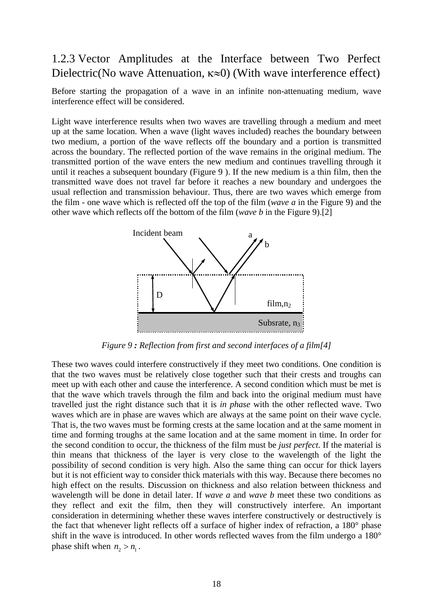#### 1.2.3 Vector Amplitudes at the Interface between Two Perfect Dielectric(No wave Attenuation, κ≈0) (With wave interference effect)

Before starting the propagation of a wave in an infinite non-attenuating medium, wave interference effect will be considered.

Light wave interference results when two waves are travelling through a medium and meet up at the same location. When a wave (light waves included) reaches the boundary between two medium, a portion of the wave reflects off the boundary and a portion is transmitted across the boundary. The reflected portion of the wave remains in the original medium. The transmitted portion of the wave enters the new medium and continues travelling through it until it reaches a subsequent boundary (Figure 9 ). If the new medium is a thin film, then the transmitted wave does not travel far before it reaches a new boundary and undergoes the usual reflection and transmission behaviour. Thus, there are two waves which emerge from the film - one wave which is reflected off the top of the film (*wave a* in the Figure 9) and the other wave which reflects off the bottom of the film (*wave b* in the Figure 9).[2]



*Figure 9 : Reflection from first and second interfaces of a film[4]* 

These two waves could interfere constructively if they meet two conditions. One condition is that the two waves must be relatively close together such that their crests and troughs can meet up with each other and cause the interference. A second condition which must be met is that the wave which travels through the film and back into the original medium must have travelled just the right distance such that it is *in phase* with the other reflected wave. Two waves which are in phase are waves which are always at the same point on their wave cycle. That is, the two waves must be forming crests at the same location and at the same moment in time and forming troughs at the same location and at the same moment in time. In order for the second condition to occur, the thickness of the film must be *just perfect*. If the material is thin means that thickness of the layer is very close to the wavelength of the light the possibility of second condition is very high. Also the same thing can occur for thick layers but it is not efficient way to consider thick materials with this way. Because there becomes no high effect on the results. Discussion on thickness and also relation between thickness and wavelength will be done in detail later. If *wave a* and *wave b* meet these two conditions as they reflect and exit the film, then they will constructively interfere. An important consideration in determining whether these waves interfere constructively or destructively is the fact that whenever light reflects off a surface of higher index of refraction, a 180° phase shift in the wave is introduced. In other words reflected waves from the film undergo a 180° phase shift when  $n_2 > n_1$ .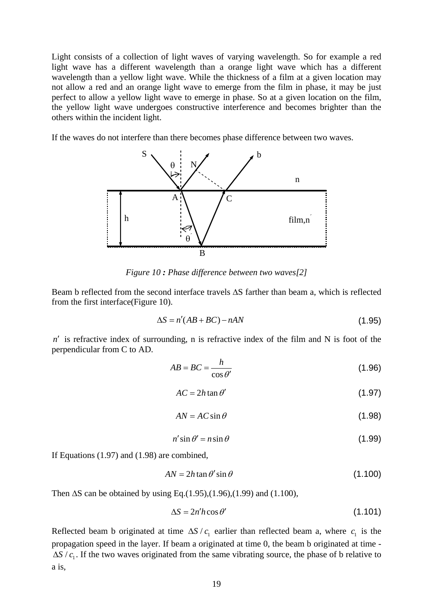Light consists of a collection of light waves of varying wavelength. So for example a red light wave has a different wavelength than a orange light wave which has a different wavelength than a yellow light wave. While the thickness of a film at a given location may not allow a red and an orange light wave to emerge from the film in phase, it may be just perfect to allow a yellow light wave to emerge in phase. So at a given location on the film, the yellow light wave undergoes constructive interference and becomes brighter than the others within the incident light.

If the waves do not interfere than there becomes phase difference between two waves.



*Figure 10 : Phase difference between two waves[2]* 

Beam b reflected from the second interface travels ΔS farther than beam a, which is reflected from the first interface(Figure 10).

$$
\Delta S = n'(AB + BC) - nAN \tag{1.95}
$$

 $n'$  is refractive index of surrounding, n is refractive index of the film and N is foot of the perpendicular from C to AD.

$$
AB = BC = \frac{h}{\cos \theta'}\tag{1.96}
$$

$$
AC = 2h \tan \theta' \tag{1.97}
$$

$$
AN = AC \sin \theta \tag{1.98}
$$

$$
n' \sin \theta' = n \sin \theta \tag{1.99}
$$

If Equations (1.97) and (1.98) are combined,

$$
AN = 2h \tan \theta' \sin \theta \tag{1.100}
$$

Then  $\Delta S$  can be obtained by using Eq.(1.95),(1.96),(1.99) and (1.100),

$$
\Delta S = 2n'h\cos\theta' \tag{1.101}
$$

Reflected beam b originated at time  $\Delta S / c_1$  earlier than reflected beam a, where  $c_1$  is the propagation speed in the layer. If beam a originated at time 0, the beam b originated at time - <sup>1</sup> Δ*S c*/ . If the two waves originated from the same vibrating source, the phase of b relative to a is,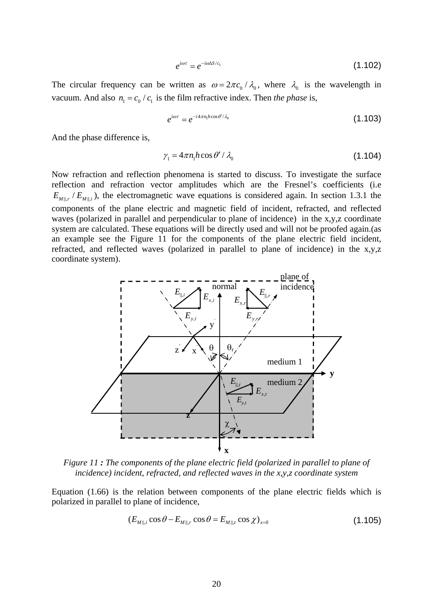$$
e^{i\omega\tau} = e^{-i\omega\Delta S/c_1} \tag{1.102}
$$

The circular frequency can be written as  $\omega = 2\pi c_0 / \lambda_0$ , where  $\lambda_0$  is the wavelength in vacuum. And also  $n_1 = c_0 / c_1$  is the film refractive index. Then *the phase* is,

$$
e^{i\omega\tau} = e^{-i4\pi n_1 h \cos \theta'/\lambda_0} \tag{1.103}
$$

And the phase difference is,

$$
\gamma_1 = 4\pi n_1 h \cos \theta' / \lambda_0 \tag{1.104}
$$

Now refraction and reflection phenomena is started to discuss. To investigate the surface reflection and refraction vector amplitudes which are the Fresnel's coefficients (i.e  $E_{M||r}/E_{M||i}$ ), the electromagnetic wave equations is considered again. In section 1.3.1 the components of the plane electric and magnetic field of incident, refracted, and reflected waves (polarized in parallel and perpendicular to plane of incidence) in the x,y,z coordinate system are calculated. These equations will be directly used and will not be proofed again.(as an example see the Figure 11 for the components of the plane electric field incident, refracted, and reflected waves (polarized in parallel to plane of incidence) in the x,y,z coordinate system).



*Figure 11 : The components of the plane electric field (polarized in parallel to plane of incidence) incident, refracted, and reflected waves in the x,y,z coordinate system* 

Equation (1.66) is the relation between components of the plane electric fields which is polarized in parallel to plane of incidence,

$$
(E_{M||,i}\cos\theta - E_{M||,r}\cos\theta = E_{M||,t}\cos\chi)_{x=0}
$$
\n(1.105)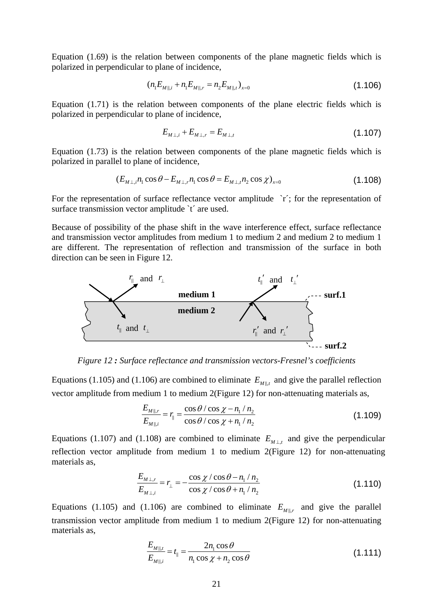Equation (1.69) is the relation between components of the plane magnetic fields which is polarized in perpendicular to plane of incidence,

$$
(n_1 E_{M||,i} + n_1 E_{M||,r} = n_2 E_{M||,t})_{x=0}
$$
\n(1.106)

Equation (1.71) is the relation between components of the plane electric fields which is polarized in perpendicular to plane of incidence,

$$
E_{M\perp,i} + E_{M\perp,r} = E_{M\perp,t} \tag{1.107}
$$

Equation (1.73) is the relation between components of the plane magnetic fields which is polarized in parallel to plane of incidence,

$$
(E_{M\perp,i}n_1\cos\theta - E_{M\perp,i}n_1\cos\theta = E_{M\perp,i}n_2\cos\chi)_{x=0}
$$
\n(1.108)

For the representation of surface reflectance vector amplitude `r'; for the representation of surface transmission vector amplitude 't' are used.

Because of possibility of the phase shift in the wave interference effect, surface reflectance and transmission vector amplitudes from medium 1 to medium 2 and medium 2 to medium 1 are different. The representation of reflection and transmission of the surface in both direction can be seen in Figure 12.



*Figure 12 : Surface reflectance and transmission vectors-Fresnel's coefficients* 

Equations (1.105) and (1.106) are combined to eliminate  $E_{M||,t}$  and give the parallel reflection vector amplitude from medium 1 to medium 2(Figure 12) for non-attenuating materials as,

$$
\frac{E_{M||,r}}{E_{M||,i}} = r_{\parallel} = \frac{\cos\theta/\cos\chi - n_1/n_2}{\cos\theta/\cos\chi + n_1/n_2}
$$
(1.109)

Equations (1.107) and (1.108) are combined to eliminate  $E_{M \perp t}$  and give the perpendicular reflection vector amplitude from medium 1 to medium 2(Figure 12) for non-attenuating materials as,

$$
\frac{E_{M\perp,r}}{E_{M\perp,i}} = r_{\perp} = -\frac{\cos\chi/\cos\theta - n_1/n_2}{\cos\chi/\cos\theta + n_1/n_2}
$$
(1.110)

Equations (1.105) and (1.106) are combined to eliminate  $E_{M||,r}$  and give the parallel transmission vector amplitude from medium 1 to medium 2(Figure 12) for non-attenuating materials as,

$$
\frac{E_{M||,t}}{E_{M||,i}} = t_{\parallel} = \frac{2n_1 \cos \theta}{n_1 \cos \chi + n_2 \cos \theta}
$$
\n(1.111)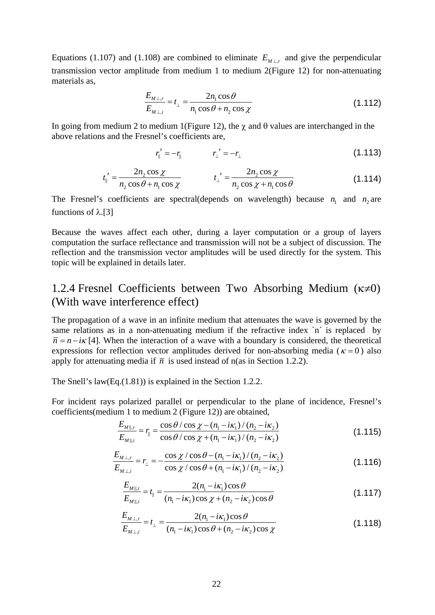Equations (1.107) and (1.108) are combined to eliminate  $E_{M\perp,r}$  and give the perpendicular transmission vector amplitude from medium 1 to medium 2(Figure 12) for non-attenuating materials as,

$$
\frac{E_{M\perp,r}}{E_{M\perp,i}} = t_{\perp} = \frac{2n_1\cos\theta}{n_1\cos\theta + n_2\cos\chi}
$$
(1.112)

In going from medium 2 to medium 1(Figure 12), the  $\chi$  and  $\theta$  values are interchanged in the above relations and the Fresnel's coefficients are,

$$
r_{\parallel}' = -r_{\parallel} \qquad r_{\perp}' = -r_{\perp} \qquad (1.113)
$$

$$
t_{\parallel}' = \frac{2n_2 \cos \chi}{n_2 \cos \theta + n_1 \cos \chi} \qquad t_{\perp}' = \frac{2n_2 \cos \chi}{n_2 \cos \chi + n_1 \cos \theta} \tag{1.114}
$$

The Fresnel's coefficients are spectral(depends on wavelength) because  $n_1$  and  $n_2$  are functions of  $λ$ .[3]

Because the waves affect each other, during a layer computation or a group of layers computation the surface reflectance and transmission will not be a subject of discussion. The reflection and the transmission vector amplitudes will be used directly for the system. This topic will be explained in details later.

#### 1.2.4 Fresnel Coefficients between Two Absorbing Medium (κ≠0) (With wave interference effect)

The propagation of a wave in an infinite medium that attenuates the wave is governed by the same relations as in a non-attenuating medium if the refractive index `n' is replaced by  $\overline{n} = n - i\kappa$  [4]. When the interaction of a wave with a boundary is considered, the theoretical expressions for reflection vector amplitudes derived for non-absorbing media ( $\kappa = 0$ ) also apply for attenuating media if  $\bar{n}$  is used instead of n(as in Section 1.2.2).

The Snell's law(Eq.(1.81)) is explained in the Section 1.2.2.

For incident rays polarized parallel or perpendicular to the plane of incidence, Fresnel's coefficients(medium 1 to medium 2 (Figure 12)) are obtained,

$$
\frac{E_{M||,r}}{E_{M||,i}} = r_{\parallel} = \frac{\cos\theta/\cos\chi - (n_1 - i\kappa_1)/(n_2 - i\kappa_2)}{\cos\theta/\cos\chi + (n_1 - i\kappa_1)/(n_2 - i\kappa_2)}
$$
(1.115)

$$
\frac{E_{M\perp,r}}{E_{M\perp,i}} = r_{\perp} = -\frac{\cos\chi/\cos\theta - (n_1 - i\kappa_1)/(n_2 - i\kappa_2)}{\cos\chi/\cos\theta + (n_1 - i\kappa_1)/(n_2 - i\kappa_2)}
$$
(1.116)

$$
\frac{E_{M||,t}}{E_{M||,i}} = t_{\parallel} = \frac{2(n_1 - i\kappa_1)\cos\theta}{(n_1 - i\kappa_1)\cos\chi + (n_2 - i\kappa_2)\cos\theta}
$$
(1.117)

$$
\frac{E_{M\perp,r}}{E_{M\perp,i}} = t_{\perp} = \frac{2(n_1 - i\kappa_1)\cos\theta}{(n_1 - i\kappa_1)\cos\theta + (n_2 - i\kappa_2)\cos\chi}
$$
(1.118)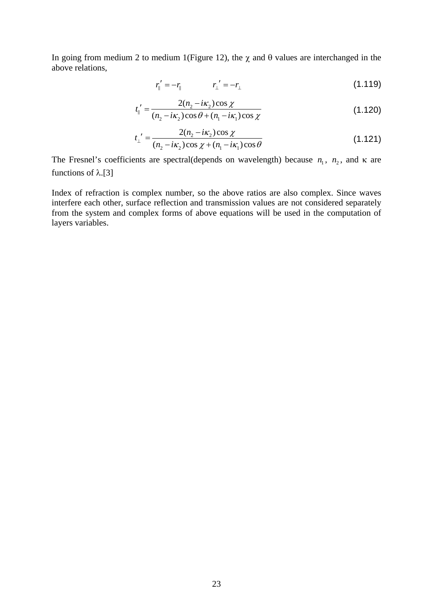In going from medium 2 to medium 1(Figure 12), the  $\chi$  and  $\theta$  values are interchanged in the above relations,

$$
r_{\parallel}' = -r_{\parallel} \qquad \qquad r_{\perp}' = -r_{\perp} \tag{1.119}
$$

$$
t_{\parallel}' = \frac{2(n_2 - i\kappa_2)\cos\chi}{(n_2 - i\kappa_2)\cos\theta + (n_1 - i\kappa_1)\cos\chi}
$$
(1.120)

$$
t_{\perp}' = \frac{2(n_2 - i\kappa_2)\cos\chi}{(n_2 - i\kappa_2)\cos\chi + (n_1 - i\kappa_1)\cos\theta}
$$
(1.121)

The Fresnel's coefficients are spectral(depends on wavelength) because  $n_1$ ,  $n_2$ , and  $\kappa$  are functions of λ.[3]

Index of refraction is complex number, so the above ratios are also complex. Since waves interfere each other, surface reflection and transmission values are not considered separately from the system and complex forms of above equations will be used in the computation of layers variables.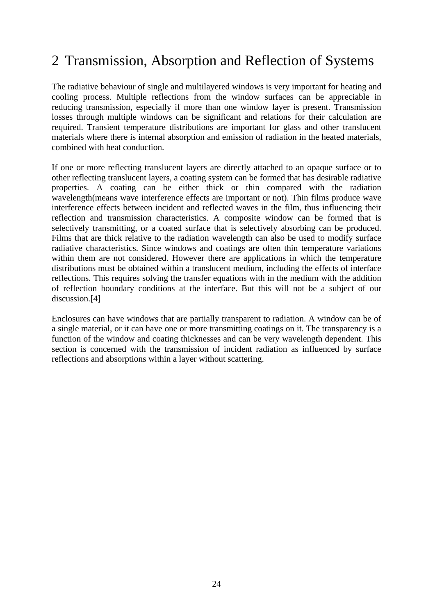## 2 Transmission, Absorption and Reflection of Systems

The radiative behaviour of single and multilayered windows is very important for heating and cooling process. Multiple reflections from the window surfaces can be appreciable in reducing transmission, especially if more than one window layer is present. Transmission losses through multiple windows can be significant and relations for their calculation are required. Transient temperature distributions are important for glass and other translucent materials where there is internal absorption and emission of radiation in the heated materials, combined with heat conduction.

If one or more reflecting translucent layers are directly attached to an opaque surface or to other reflecting translucent layers, a coating system can be formed that has desirable radiative properties. A coating can be either thick or thin compared with the radiation wavelength(means wave interference effects are important or not). Thin films produce wave interference effects between incident and reflected waves in the film, thus influencing their reflection and transmission characteristics. A composite window can be formed that is selectively transmitting, or a coated surface that is selectively absorbing can be produced. Films that are thick relative to the radiation wavelength can also be used to modify surface radiative characteristics. Since windows and coatings are often thin temperature variations within them are not considered. However there are applications in which the temperature distributions must be obtained within a translucent medium, including the effects of interface reflections. This requires solving the transfer equations with in the medium with the addition of reflection boundary conditions at the interface. But this will not be a subject of our discussion.[4]

Enclosures can have windows that are partially transparent to radiation. A window can be of a single material, or it can have one or more transmitting coatings on it. The transparency is a function of the window and coating thicknesses and can be very wavelength dependent. This section is concerned with the transmission of incident radiation as influenced by surface reflections and absorptions within a layer without scattering.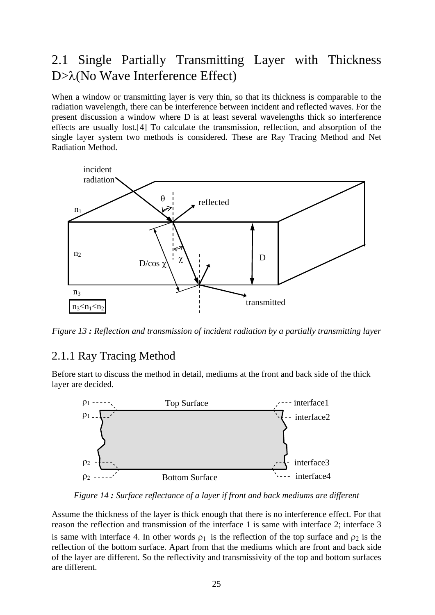### 2.1 Single Partially Transmitting Layer with Thickness D>λ(No Wave Interference Effect)

When a window or transmitting layer is very thin, so that its thickness is comparable to the radiation wavelength, there can be interference between incident and reflected waves. For the present discussion a window where D is at least several wavelengths thick so interference effects are usually lost.[4] To calculate the transmission, reflection, and absorption of the single layer system two methods is considered. These are Ray Tracing Method and Net Radiation Method.



*Figure 13 : Reflection and transmission of incident radiation by a partially transmitting layer* 

#### 2.1.1 Ray Tracing Method

Before start to discuss the method in detail, mediums at the front and back side of the thick layer are decided.



*Figure 14 : Surface reflectance of a layer if front and back mediums are different*

Assume the thickness of the layer is thick enough that there is no interference effect. For that reason the reflection and transmission of the interface 1 is same with interface 2; interface 3 is same with interface 4. In other words  $\rho_1$  is the reflection of the top surface and  $\rho_2$  is the reflection of the bottom surface. Apart from that the mediums which are front and back side of the layer are different. So the reflectivity and transmissivity of the top and bottom surfaces are different.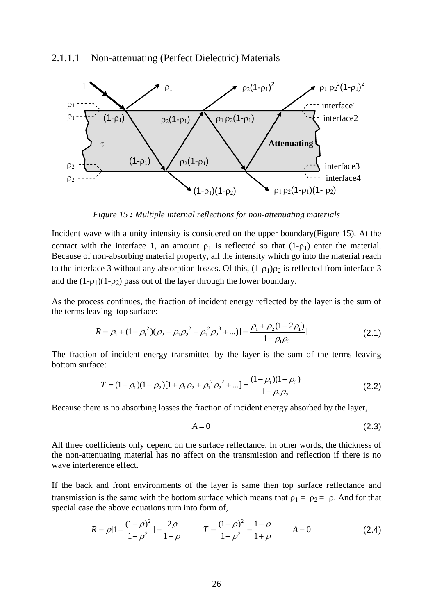

*Figure 15 : Multiple internal reflections for non-attenuating materials* 

Incident wave with a unity intensity is considered on the upper boundary(Figure 15). At the contact with the interface 1, an amount  $\rho_1$  is reflected so that  $(1-\rho_1)$  enter the material. Because of non-absorbing material property, all the intensity which go into the material reach to the interface 3 without any absorption losses. Of this,  $(1-\rho_1)\rho_2$  is reflected from interface 3 and the  $(1-\rho_1)(1-\rho_2)$  pass out of the layer through the lower boundary.

As the process continues, the fraction of incident energy reflected by the layer is the sum of the terms leaving top surface:

$$
R = \rho_1 + (1 - \rho_1^2)(\rho_2 + \rho_1 \rho_2^2 + \rho_1^2 \rho_2^3 + ...) = \frac{\rho_1 + \rho_2(1 - 2\rho_1)}{1 - \rho_1 \rho_2}
$$
\n(2.1)

The fraction of incident energy transmitted by the layer is the sum of the terms leaving bottom surface:

$$
T = (1 - \rho_1)(1 - \rho_2)[1 + \rho_1 \rho_2 + {\rho_1}^2 {\rho_2}^2 + \dots] = \frac{(1 - \rho_1)(1 - \rho_2)}{1 - \rho_1 \rho_2}
$$
(2.2)

Because there is no absorbing losses the fraction of incident energy absorbed by the layer,

$$
A = 0 \tag{2.3}
$$

All three coefficients only depend on the surface reflectance. In other words, the thickness of the non-attenuating material has no affect on the transmission and reflection if there is no wave interference effect.

If the back and front environments of the layer is same then top surface reflectance and transmission is the same with the bottom surface which means that  $\rho_1 = \rho_2 = \rho$ . And for that special case the above equations turn into form of,

$$
R = \rho [1 + \frac{(1 - \rho)^2}{1 - \rho^2}] = \frac{2\rho}{1 + \rho} \qquad T = \frac{(1 - \rho)^2}{1 - \rho^2} = \frac{1 - \rho}{1 + \rho} \qquad A = 0 \tag{2.4}
$$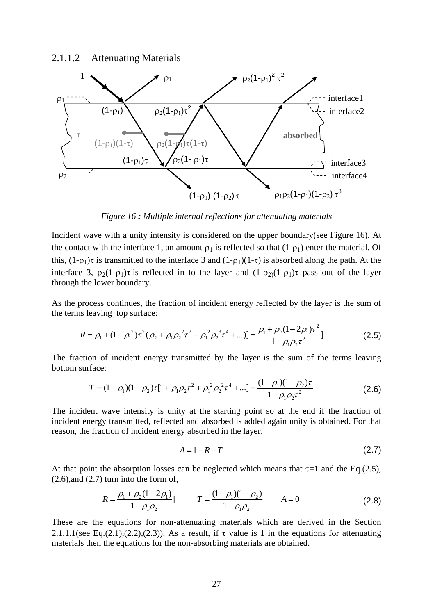#### 2.1.1.2 Attenuating Materials



*Figure 16 : Multiple internal reflections for attenuating materials* 

Incident wave with a unity intensity is considered on the upper boundary(see Figure 16). At the contact with the interface 1, an amount  $\rho_1$  is reflected so that  $(1-\rho_1)$  enter the material. Of this,  $(1-\rho_1)\tau$  is transmitted to the interface 3 and  $(1-\rho_1)(1-\tau)$  is absorbed along the path. At the interface 3,  $\rho_2(1-\rho_1)\tau$  is reflected in to the layer and  $(1-\rho_2)(1-\rho_1)\tau$  pass out of the layer through the lower boundary.

As the process continues, the fraction of incident energy reflected by the layer is the sum of the terms leaving top surface:

$$
R = \rho_1 + (1 - \rho_1^2) \tau^2 (\rho_2 + \rho_1 \rho_2^2 \tau^2 + \rho_1^2 \rho_2^3 \tau^4 + ...) ] = \frac{\rho_1 + \rho_2 (1 - 2\rho_1) \tau^2}{1 - \rho_1 \rho_2 \tau^2} ]
$$
(2.5)

The fraction of incident energy transmitted by the layer is the sum of the terms leaving bottom surface:

$$
T = (1 - \rho_1)(1 - \rho_2)\tau[1 + \rho_1\rho_2\tau^2 + {\rho_1}^2\rho_2^2\tau^4 + \dots] = \frac{(1 - \rho_1)(1 - \rho_2)\tau}{1 - \rho_1\rho_2\tau^2}
$$
(2.6)

The incident wave intensity is unity at the starting point so at the end if the fraction of incident energy transmitted, reflected and absorbed is added again unity is obtained. For that reason, the fraction of incident energy absorbed in the layer,

$$
A = 1 - R - T \tag{2.7}
$$

At that point the absorption losses can be neglected which means that  $\tau$ =1 and the Eq.(2.5),  $(2.6)$ , and  $(2.7)$  turn into the form of,

$$
R = \frac{\rho_1 + \rho_2 (1 - 2\rho_1)}{1 - \rho_1 \rho_2} \qquad T = \frac{(1 - \rho_1)(1 - \rho_2)}{1 - \rho_1 \rho_2} \qquad A = 0 \tag{2.8}
$$

These are the equations for non-attenuating materials which are derived in the Section 2.1.1.1(see Eq.(2.1),(2.2),(2.3)). As a result, if  $\tau$  value is 1 in the equations for attenuating materials then the equations for the non-absorbing materials are obtained.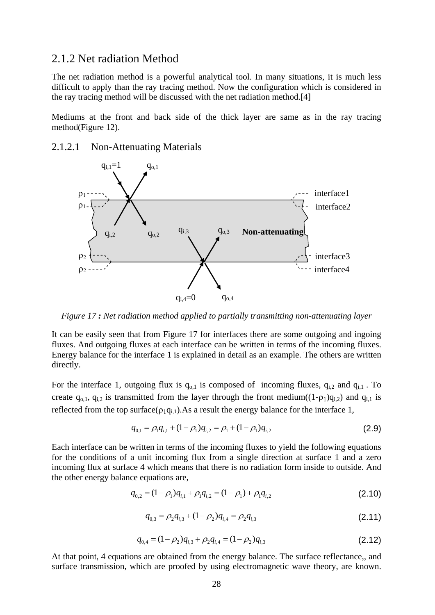## 2.1.2 Net radiation Method

The net radiation method is a powerful analytical tool. In many situations, it is much less difficult to apply than the ray tracing method. Now the configuration which is considered in the ray tracing method will be discussed with the net radiation method.[4]

Mediums at the front and back side of the thick layer are same as in the ray tracing method(Figure 12).

### 2.1.2.1 Non-Attenuating Materials



*Figure 17 : Net radiation method applied to partially transmitting non-attenuating layer* 

It can be easily seen that from Figure 17 for interfaces there are some outgoing and ingoing fluxes. And outgoing fluxes at each interface can be written in terms of the incoming fluxes. Energy balance for the interface 1 is explained in detail as an example. The others are written directly.

For the interface 1, outgoing flux is  $q_{0,1}$  is composed of incoming fluxes,  $q_{i,2}$  and  $q_{i,1}$ . To create  $q_{0,1}$ ,  $q_{i,2}$  is transmitted from the layer through the front medium( $(1-p_1)q_{i,2}$ ) and  $q_{i,1}$  is reflected from the top surface( $\rho_1q_{i,1}$ ). As a result the energy balance for the interface 1,

$$
q_{0,1} = \rho_1 q_{i,1} + (1 - \rho_1) q_{i,2} = \rho_1 + (1 - \rho_1) q_{i,2}
$$
\n(2.9)

Each interface can be written in terms of the incoming fluxes to yield the following equations for the conditions of a unit incoming flux from a single direction at surface 1 and a zero incoming flux at surface 4 which means that there is no radiation form inside to outside. And the other energy balance equations are,

$$
q_{0,2} = (1 - \rho_1)q_{i,1} + \rho_1 q_{i,2} = (1 - \rho_1) + \rho_1 q_{i,2}
$$
\n(2.10)

$$
q_{0,3} = \rho_2 q_{i,3} + (1 - \rho_2) q_{i,4} = \rho_2 q_{i,3}
$$
\n(2.11)

$$
q_{0,4} = (1 - \rho_2)q_{i,3} + \rho_2 q_{i,4} = (1 - \rho_2)q_{i,3}
$$
\n(2.12)

At that point, 4 equations are obtained from the energy balance. The surface reflectance,, and surface transmission, which are proofed by using electromagnetic wave theory, are known.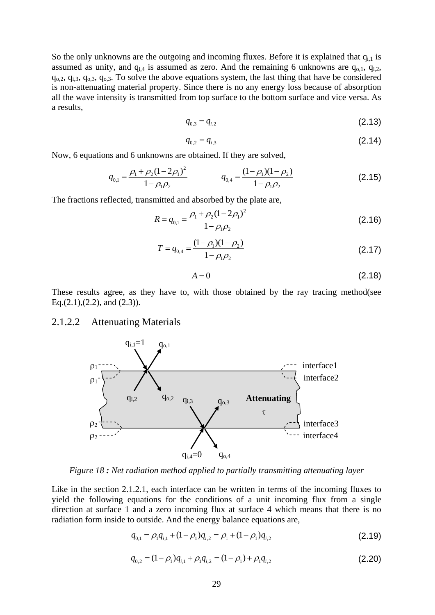So the only unknowns are the outgoing and incoming fluxes. Before it is explained that  $q_{i,l}$  is assumed as unity, and  $q_{i,4}$  is assumed as zero. And the remaining 6 unknowns are  $q_{o,1}$ ,  $q_{i,2}$ ,  $q_{o,2}$ ,  $q_{i,3}$ ,  $q_{o,3}$ ,  $q_{o,3}$ . To solve the above equations system, the last thing that have be considered is non-attenuating material property. Since there is no any energy loss because of absorption all the wave intensity is transmitted from top surface to the bottom surface and vice versa. As a results,

$$
q_{0,3} = q_{i,2} \tag{2.13}
$$

$$
q_{0,2} = q_{i,3} \tag{2.14}
$$

Now, 6 equations and 6 unknowns are obtained. If they are solved,

$$
q_{0,1} = \frac{\rho_1 + \rho_2 (1 - 2\rho_1)^2}{1 - \rho_1 \rho_2} \qquad \qquad q_{0,4} = \frac{(1 - \rho_1)(1 - \rho_2)}{1 - \rho_1 \rho_2} \qquad (2.15)
$$

The fractions reflected, transmitted and absorbed by the plate are,

$$
R = q_{0,1} = \frac{\rho_1 + \rho_2 (1 - 2\rho_1)^2}{1 - \rho_1 \rho_2}
$$
 (2.16)

$$
T = q_{0,4} = \frac{(1 - \rho_1)(1 - \rho_2)}{1 - \rho_1 \rho_2}
$$
 (2.17)

$$
A = 0 \tag{2.18}
$$

These results agree, as they have to, with those obtained by the ray tracing method(see Eq. $(2.1)$ , $(2.2)$ , and  $(2.3)$ ).

#### 2.1.2.2 Attenuating Materials



*Figure 18 : Net radiation method applied to partially transmitting attenuating layer* 

Like in the section 2.1.2.1, each interface can be written in terms of the incoming fluxes to yield the following equations for the conditions of a unit incoming flux from a single direction at surface 1 and a zero incoming flux at surface 4 which means that there is no radiation form inside to outside. And the energy balance equations are,

$$
q_{0,1} = \rho_1 q_{i,1} + (1 - \rho_1) q_{i,2} = \rho_1 + (1 - \rho_1) q_{i,2}
$$
\n(2.19)

$$
q_{0,2} = (1 - \rho_1)q_{i,1} + \rho_1 q_{i,2} = (1 - \rho_1) + \rho_1 q_{i,2}
$$
\n(2.20)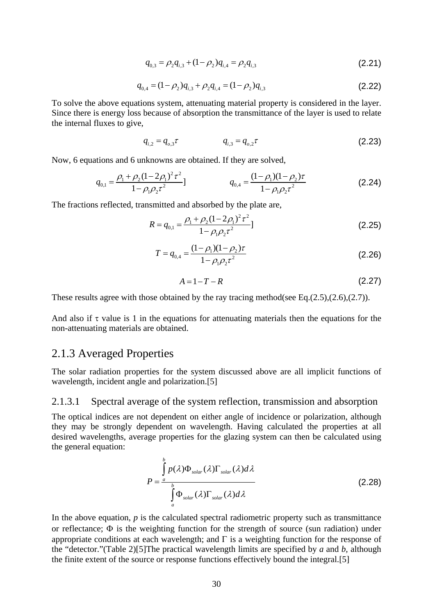$$
q_{0,3} = \rho_2 q_{i,3} + (1 - \rho_2) q_{i,4} = \rho_2 q_{i,3}
$$
 (2.21)

$$
q_{0,4} = (1 - \rho_2)q_{i,3} + \rho_2 q_{i,4} = (1 - \rho_2)q_{i,3}
$$
\n(2.22)

To solve the above equations system, attenuating material property is considered in the layer. Since there is energy loss because of absorption the transmittance of the layer is used to relate the internal fluxes to give,

$$
q_{i,2} = q_{o,3}\tau \qquad \qquad q_{i,3} = q_{o,2}\tau \qquad (2.23)
$$

Now, 6 equations and 6 unknowns are obtained. If they are solved,

$$
q_{0,1} = \frac{\rho_1 + \rho_2 (1 - 2\rho_1)^2 \tau^2}{1 - \rho_1 \rho_2 \tau^2} \qquad \qquad q_{0,4} = \frac{(1 - \rho_1)(1 - \rho_2)\tau}{1 - \rho_1 \rho_2 \tau^2} \qquad (2.24)
$$

The fractions reflected, transmitted and absorbed by the plate are,

$$
R = q_{0,1} = \frac{\rho_1 + \rho_2 (1 - 2\rho_1)^2 \tau^2}{1 - \rho_1 \rho_2 \tau^2}
$$
 (2.25)

$$
T = q_{0,4} = \frac{(1 - \rho_1)(1 - \rho_2)\tau}{1 - \rho_1 \rho_2 \tau^2}
$$
 (2.26)

$$
A = 1 - T - R \tag{2.27}
$$

These results agree with those obtained by the ray tracing method(see Eq.(2.5),(2.6),(2.7)).

And also if  $\tau$  value is 1 in the equations for attenuating materials then the equations for the non-attenuating materials are obtained.

## 2.1.3 Averaged Properties

The solar radiation properties for the system discussed above are all implicit functions of wavelength, incident angle and polarization.[5]

### 2.1.3.1 Spectral average of the system reflection, transmission and absorption

The optical indices are not dependent on either angle of incidence or polarization, although they may be strongly dependent on wavelength. Having calculated the properties at all desired wavelengths, average properties for the glazing system can then be calculated using the general equation:

$$
P = \frac{\int_{a}^{b} p(\lambda)\Phi_{solar}(\lambda)\Gamma_{solar}(\lambda)d\lambda}{\int_{a}^{b} \Phi_{solar}(\lambda)\Gamma_{solar}(\lambda)d\lambda}
$$
 (2.28)

In the above equation,  $p$  is the calculated spectral radiometric property such as transmittance or reflectance; Φ is the weighting function for the strength of source (sun radiation) under appropriate conditions at each wavelength; and  $\Gamma$  is a weighting function for the response of the "detector."(Table 2)[5]The practical wavelength limits are specified by *a* and *b,* although the finite extent of the source or response functions effectively bound the integral.[5]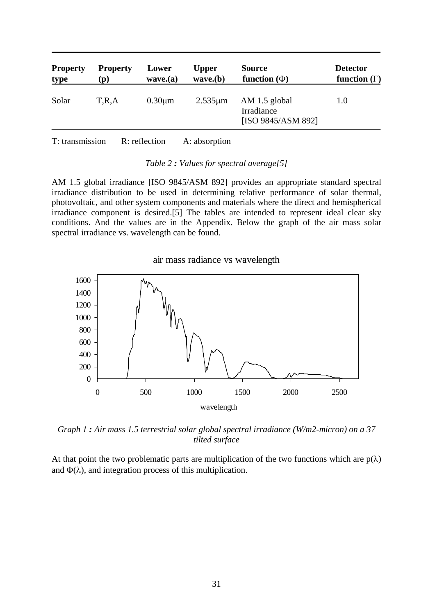| <b>Property</b><br><u>type</u> | <b>Property</b><br>$\mathbf{p}$ | Lower<br>wave(a) | <b>Upper</b><br>wave(b) | <b>Source</b><br>function $(\Phi)$                | <b>Detector</b><br>function $(\Gamma)$ |
|--------------------------------|---------------------------------|------------------|-------------------------|---------------------------------------------------|----------------------------------------|
| Solar                          | T,R,A                           | $0.30 \mu m$     | $2.535 \mu m$           | AM 1.5 global<br>Irradiance<br>[ISO 9845/ASM 892] | 1.0                                    |
| T: transmission                |                                 | R: reflection    | A: absorption           |                                                   |                                        |

*Table 2 : Values for spectral average[5]* 

AM 1.5 global irradiance [ISO 9845/ASM 892] provides an appropriate standard spectral irradiance distribution to be used in determining relative performance of solar thermal, photovoltaic, and other system components and materials where the direct and hemispherical irradiance component is desired.[5] The tables are intended to represent ideal clear sky conditions. And the values are in the Appendix. Below the graph of the air mass solar spectral irradiance vs. wavelength can be found.

air mass radiance vs wavelength



*Graph 1 : Air mass 1.5 terrestrial solar global spectral irradiance (W/m2-micron) on a 37 tilted surface* 

At that point the two problematic parts are multiplication of the two functions which are  $p(\lambda)$ and  $\Phi(\lambda)$ , and integration process of this multiplication.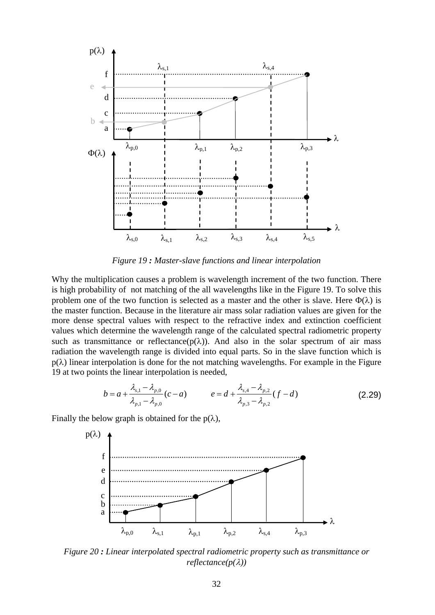

*Figure 19 : Master-slave functions and linear interpolation* 

Why the multiplication causes a problem is wavelength increment of the two function. There is high probability of not matching of the all wavelengths like in the Figure 19. To solve this problem one of the two function is selected as a master and the other is slave. Here  $\Phi(\lambda)$  is the master function. Because in the literature air mass solar radiation values are given for the more dense spectral values with respect to the refractive index and extinction coefficient values which determine the wavelength range of the calculated spectral radiometric property such as transmittance or reflectance( $p(\lambda)$ ). And also in the solar spectrum of air mass radiation the wavelength range is divided into equal parts. So in the slave function which is  $p(\lambda)$  linear interpolation is done for the not matching wavelengths. For example in the Figure 19 at two points the linear interpolation is needed,

$$
b = a + \frac{\lambda_{s,1} - \lambda_{p,0}}{\lambda_{p,1} - \lambda_{p,0}}(c - a) \qquad e = d + \frac{\lambda_{s,4} - \lambda_{p,2}}{\lambda_{p,3} - \lambda_{p,2}}(f - d) \tag{2.29}
$$

Finally the below graph is obtained for the  $p(\lambda)$ ,



*Figure 20 : Linear interpolated spectral radiometric property such as transmittance or reflectance(p(*λ*))*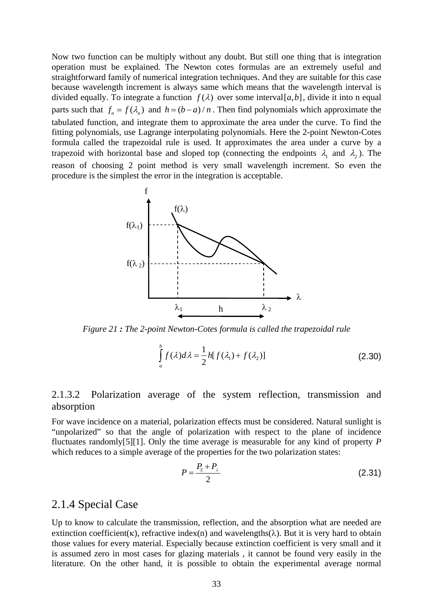Now two function can be multiply without any doubt. But still one thing that is integration operation must be explained. The Newton cotes formulas are an extremely useful and straightforward family of numerical integration techniques. And they are suitable for this case because wavelength increment is always same which means that the wavelength interval is divided equally. To integrate a function  $f(\lambda)$  over some interval [a, b], divide it into n equal parts such that  $f_n = f(\lambda_n)$  and  $h = (b - a)/n$ . Then find polynomials which approximate the tabulated function, and integrate them to approximate the area under the curve. To find the fitting polynomials, use Lagrange interpolating polynomials. Here the 2-point Newton-Cotes formula called the trapezoidal rule is used. It approximates the area under a curve by a trapezoid with horizontal base and sloped top (connecting the endpoints  $\lambda_1$  and  $\lambda_2$ ). The reason of choosing 2 point method is very small wavelength increment. So even the procedure is the simplest the error in the integration is acceptable.



*Figure 21 : The 2-point Newton-Cotes formula is called the trapezoidal rule* 

$$
\int_{a}^{b} f(\lambda) d\lambda = \frac{1}{2} h[f(\lambda_1) + f(\lambda_2)]
$$
\n(2.30)

## 2.1.3.2 Polarization average of the system reflection, transmission and absorption

For wave incidence on a material, polarization effects must be considered. Natural sunlight is "unpolarized" so that the angle of polarization with respect to the plane of incidence fluctuates randomly[5][1]. Only the time average is measurable for any kind of property *P*  which reduces to a simple average of the properties for the two polarization states:

$$
P = \frac{P_{\parallel} + P_{\perp}}{2} \tag{2.31}
$$

## 2.1.4 Special Case

Up to know to calculate the transmission, reflection, and the absorption what are needed are extinction coefficient(κ), refractive index(n) and wavelengths( $\lambda$ ). But it is very hard to obtain those values for every material. Especially because extinction coefficient is very small and it is assumed zero in most cases for glazing materials , it cannot be found very easily in the literature. On the other hand, it is possible to obtain the experimental average normal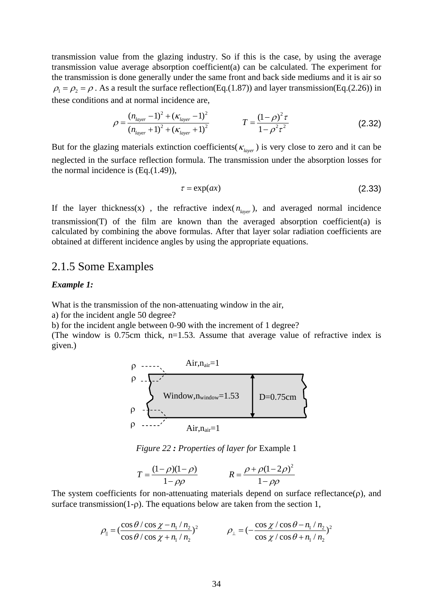transmission value from the glazing industry. So if this is the case, by using the average transmission value average absorption coefficient(a) can be calculated. The experiment for the transmission is done generally under the same front and back side mediums and it is air so  $\rho_1 = \rho_2 = \rho$ . As a result the surface reflection(Eq.(1.87)) and layer transmission(Eq.(2.26)) in these conditions and at normal incidence are,

$$
\rho = \frac{(n_{layer} - 1)^2 + (\kappa_{layer} - 1)^2}{(n_{layer} + 1)^2 + (\kappa_{layer} + 1)^2}
$$
\n
$$
T = \frac{(1 - \rho)^2 \tau}{1 - \rho^2 \tau^2}
$$
\n(2.32)

But for the glazing materials extinction coefficients( $\kappa_{\text{lower}}$ ) is very close to zero and it can be neglected in the surface reflection formula. The transmission under the absorption losses for the normal incidence is (Eq.(1.49)),

$$
\tau = \exp(ax) \tag{2.33}
$$

If the layer thickness(x), the refractive index( $n_{layer}$ ), and averaged normal incidence transmission(T) of the film are known than the averaged absorption coefficient(a) is calculated by combining the above formulas. After that layer solar radiation coefficients are obtained at different incidence angles by using the appropriate equations.

## 2.1.5 Some Examples

#### *Example 1:*

What is the transmission of the non-attenuating window in the air,

a) for the incident angle 50 degree?

b) for the incident angle between 0-90 with the increment of 1 degree?

(The window is 0.75cm thick,  $n=1.53$ . Assume that average value of refractive index is given.)

ρ ρ ρ ρ Air,nair=1 Air,nair=1 Window,nwindow=1.53 D=0.75cm

*Figure 22 : Properties of layer for* Example 1

$$
T = \frac{(1 - \rho)(1 - \rho)}{1 - \rho\rho} \qquad R = \frac{\rho + \rho(1 - 2\rho)^2}{1 - \rho\rho}
$$

The system coefficients for non-attenuating materials depend on surface reflectance $(\rho)$ , and surface transmission(1-ρ). The equations below are taken from the section 1,

$$
\rho_{\parallel} = \left(\frac{\cos\theta/\cos\chi - n_1/n_2}{\cos\theta/\cos\chi + n_1/n_2}\right)^2 \qquad \rho_{\perp} = \left(-\frac{\cos\chi/\cos\theta - n_1/n_2}{\cos\chi/\cos\theta + n_1/n_2}\right)^2
$$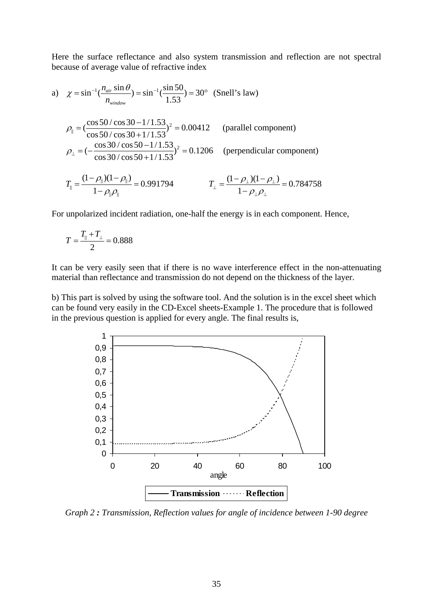Here the surface reflectance and also system transmission and reflection are not spectral because of average value of refractive index

a) 
$$
\chi = \sin^{-1}(\frac{n_{air} \sin \theta}{n_{window}}) = \sin^{-1}(\frac{\sin 50}{1.53}) = 30^{\circ}
$$
 (Snell's law)  
\n
$$
\rho_{\parallel} = (\frac{\cos 50 / \cos 30 - 1 / 1.53}{\cos 50 / \cos 30 + 1 / 1.53})^2 = 0.00412
$$
 (parallel component)  
\n
$$
\rho_{\perp} = (-\frac{\cos 30 / \cos 50 - 1 / 1.53}{\cos 30 / \cos 50 + 1 / 1.53})^2 = 0.1206
$$
 (perpendicular component)  
\n
$$
T_{\parallel} = \frac{(1 - \rho_{\parallel})(1 - \rho_{\parallel})}{1 - \rho_{\parallel} \rho_{\parallel}} = 0.991794
$$
 
$$
T_{\perp} = \frac{(1 - \rho_{\perp})(1 - \rho_{\perp})}{1 - \rho_{\perp} \rho_{\perp}} = 0.784758
$$

For unpolarized incident radiation, one-half the energy is in each component. Hence,

$$
T = \frac{T_{\parallel} + T_{\perp}}{2} = 0.888
$$

It can be very easily seen that if there is no wave interference effect in the non-attenuating material than reflectance and transmission do not depend on the thickness of the layer.

b) This part is solved by using the software tool. And the solution is in the excel sheet which can be found very easily in the CD-Excel sheets-Example 1. The procedure that is followed in the previous question is applied for every angle. The final results is,



*Graph 2 : Transmission, Reflection values for angle of incidence between 1-90 degree*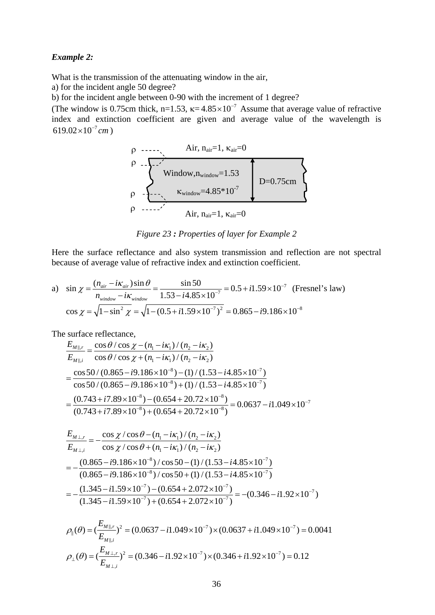#### *Example 2:*

What is the transmission of the attenuating window in the air,

a) for the incident angle 50 degree?

b) for the incident angle between 0-90 with the increment of 1 degree?

(The window is 0.75cm thick, n=1.53,  $\kappa = 4.85 \times 10^{-7}$  Assume that average value of refractive index and extinction coefficient are given and average value of the wavelength is  $619.02 \times 10^{-7}$  cm )

$$
\rho\n\begin{array}{c}\n\text{Air, } n_{air} = 1, \ \kappa_{air} = 0 \\
\text{P} \quad -\sum_{\text{window}} \text{Window, } n_{window} = 1.53 \\
\text{P} \quad -\sum_{\text{window}} \text{K}_{window} = 4.85*10^{-7} \\
\text{Air, } n_{air} = 1, \ \kappa_{air} = 0\n\end{array}
$$

*Figure 23 : Properties of layer for Example 2* 

Here the surface reflectance and also system transmission and reflection are not spectral because of average value of refractive index and extinction coefficient.

a) 
$$
\sin \chi = \frac{(n_{air} - i\kappa_{air})\sin\theta}{n_{window} - i\kappa_{window}} = \frac{\sin 50}{1.53 - i4.85 \times 10^{-7}} = 0.5 + i1.59 \times 10^{-7}
$$
 (Fresnel's law)  
\n $\cos \chi = \sqrt{1 - \sin^2 \chi} = \sqrt{1 - (0.5 + i1.59 \times 10^{-7})^2} = 0.865 - i9.186 \times 10^{-8}$ 

The surface reflectance,

$$
\frac{E_{M||,r}}{E_{M||,i}} = \frac{\cos\theta/\cos\chi - (n_1 - i\kappa_1)/(n_2 - i\kappa_2)}{\cos\theta/\cos\chi + (n_1 - i\kappa_1)/(n_2 - i\kappa_2)}
$$
\n
$$
= \frac{\cos 50/(0.865 - i9.186 \times 10^{-8}) - (1)/(1.53 - i4.85 \times 10^{-7})}{\cos 50/(0.865 - i9.186 \times 10^{-8}) + (1)/(1.53 - i4.85 \times 10^{-7})}
$$
\n
$$
= \frac{(0.743 + i7.89 \times 10^{-8}) - (0.654 + 20.72 \times 10^{-8})}{(0.743 + i7.89 \times 10^{-8}) + (0.654 + 20.72 \times 10^{-8})} = 0.0637 - i1.049 \times 10^{-7}
$$

$$
\frac{E_{M\perp,r}}{E_{M\perp,i}} = -\frac{\cos\chi/\cos\theta - (n_1 - i\kappa_1)/(n_2 - i\kappa_2)}{\cos\chi/\cos\theta + (n_1 - i\kappa_1)/(n_2 - i\kappa_2)}
$$
\n
$$
= -\frac{(0.865 - i9.186 \times 10^{-8})/\cos 50 - (1)/(1.53 - i4.85 \times 10^{-7})}{(0.865 - i9.186 \times 10^{-8})/\cos 50 + (1)/(1.53 - i4.85 \times 10^{-7})}
$$
\n
$$
= -\frac{(1.345 - i1.59 \times 10^{-7}) - (0.654 + 2.072 \times 10^{-7})}{(1.345 - i1.59 \times 10^{-7}) + (0.654 + 2.072 \times 10^{-7})} = -(0.346 - i1.92 \times 10^{-7})
$$

$$
\rho_{\parallel}(\theta) = \left(\frac{E_{M\parallel,r}}{E_{M\parallel,i}}\right)^2 = (0.0637 - i1.049 \times 10^{-7}) \times (0.0637 + i1.049 \times 10^{-7}) = 0.0041
$$
\n
$$
\rho_{\perp}(\theta) = \left(\frac{E_{M\perp,r}}{E_{M\perp,i}}\right)^2 = (0.346 - i1.92 \times 10^{-7}) \times (0.346 + i1.92 \times 10^{-7}) = 0.12
$$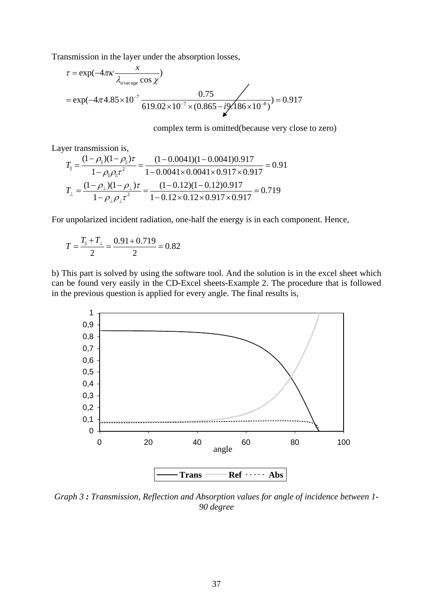Transmission in the layer under the absorption losses,

$$
\tau = \exp(-4\pi\kappa \frac{x}{\lambda_{\text{average}} \cos \chi})
$$
  
=  $\exp(-4\pi 4.85 \times 10^{-7} \frac{0.75}{619.02 \times 10^{-7} \times (0.865 - i \frac{\text{V}}{186 \times 10^{-8}})}) = 0.917$ 

complex term is omitted(because very close to zero)

Layer transmission is,

$$
T_{\parallel} = \frac{(1 - \rho_{\parallel})(1 - \rho_{\parallel})\tau}{1 - \rho_{\parallel}\rho_{\parallel}\tau^2} = \frac{(1 - 0.0041)(1 - 0.0041)0.917}{1 - 0.0041 \times 0.0041 \times 0.917 \times 0.917} = 0.91
$$
  

$$
T_{\perp} = \frac{(1 - \rho_{\perp})(1 - \rho_{\perp})\tau}{1 - \rho_{\perp}\rho_{\perp}\tau^2} = \frac{(1 - 0.12)(1 - 0.12)0.917}{1 - 0.12 \times 0.12 \times 0.917 \times 0.917} = 0.719
$$

For unpolarized incident radiation, one-half the energy is in each component. Hence,

$$
T = \frac{T_{\parallel} + T_{\perp}}{2} = \frac{0.91 + 0.719}{2} = 0.82
$$

b) This part is solved by using the software tool. And the solution is in the excel sheet which can be found very easily in the CD-Excel sheets-Example 2. The procedure that is followed in the previous question is applied for every angle. The final results is,



*Graph 3 : Transmission, Reflection and Absorption values for angle of incidence between 1- 90 degree*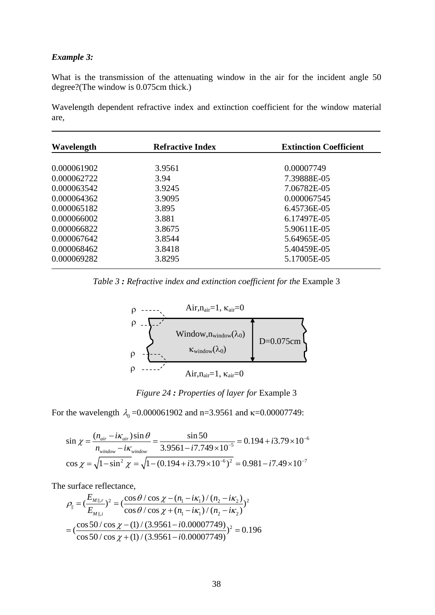### *Example 3:*

What is the transmission of the attenuating window in the air for the incident angle 50 degree?(The window is 0.075cm thick.)

Wavelength dependent refractive index and extinction coefficient for the window material are,

|        | 0.00007749  |
|--------|-------------|
| 3.94   | 7.39888E-05 |
| 3.9245 | 7.06782E-05 |
| 3.9095 | 0.000067545 |
| 3.895  | 6.45736E-05 |
| 3.881  | 6.17497E-05 |
| 3.8675 | 5.90611E-05 |
| 3.8544 | 5.64965E-05 |
| 3.8418 | 5.40459E-05 |
| 3.8295 | 5.17005E-05 |
|        | 3.9561      |

*Table 3 : Refractive index and extinction coefficient for the* Example 3



*Figure 24 : Properties of layer for* Example 3

For the wavelength  $\lambda_0 = 0.000061902$  and n=3.9561 and k=0.00007749:

$$
\sin \chi = \frac{(n_{air} - i\kappa_{air})\sin\theta}{n_{window} - i\kappa_{window}} = \frac{\sin 50}{3.9561 - i7.749 \times 10^{-5}} = 0.194 + i3.79 \times 10^{-6}
$$

$$
\cos \chi = \sqrt{1 - \sin^2 \chi} = \sqrt{1 - (0.194 + i3.79 \times 10^{-6})^2} = 0.981 - i7.49 \times 10^{-7}
$$

The surface reflectance,

$$
\rho_{\parallel} = \left(\frac{E_{M\parallel,r}}{E_{M\parallel,i}}\right)^2 = \left(\frac{\cos\theta/\cos\chi - (n_1 - i\kappa_1)/(n_2 - i\kappa_2)}{\cos\theta/\cos\chi + (n_1 - i\kappa_1)/(n_2 - i\kappa_2)}\right)^2
$$

$$
= \left(\frac{\cos 50/\cos\chi - (1)/(3.9561 - i0.00007749)}{\cos 50/\cos\chi + (1)/(3.9561 - i0.00007749)}\right)^2 = 0.196
$$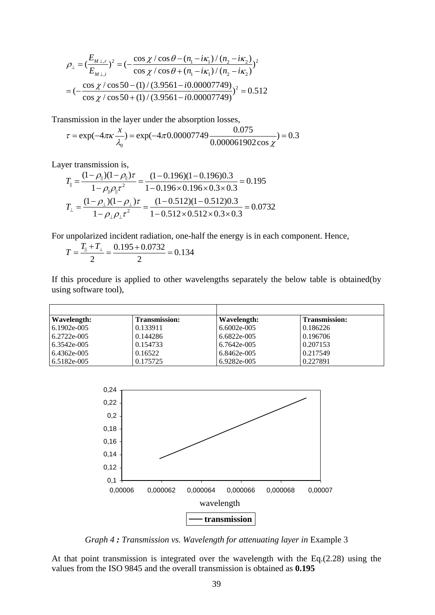$$
\rho_{\perp} = \left(\frac{E_{M \perp,r}}{E_{M \perp,i}}\right)^2 = \left(-\frac{\cos\chi/\cos\theta - (n_1 - i\kappa_1)/(n_2 - i\kappa_2)}{\cos\chi/\cos\theta + (n_1 - i\kappa_1)/(n_2 - i\kappa_2)}\right)^2
$$

$$
= \left(-\frac{\cos\chi/\cos 50 - (1)/(3.9561 - i0.00007749)}{\cos\chi/\cos 50 + (1)/(3.9561 - i0.00007749)}\right)^2 = 0.512
$$

Transmission in the layer under the absorption losses,

$$
\tau = \exp(-4\pi\kappa \frac{x}{\lambda_0}) = \exp(-4\pi 0.00007749 \frac{0.075}{0.000061902 \cos \chi}) = 0.3
$$

Layer transmission is,

$$
T_{\parallel} = \frac{(1 - \rho_{\parallel})(1 - \rho_{\parallel})\tau}{1 - \rho_{\parallel}\rho_{\parallel}\tau^2} = \frac{(1 - 0.196)(1 - 0.196)0.3}{1 - 0.196 \times 0.196 \times 0.3 \times 0.3} = 0.195
$$
  

$$
T_{\perp} = \frac{(1 - \rho_{\perp})(1 - \rho_{\perp})\tau}{1 - \rho_{\perp}\rho_{\perp}\tau^2} = \frac{(1 - 0.512)(1 - 0.512)0.3}{1 - 0.512 \times 0.512 \times 0.3 \times 0.3} = 0.0732
$$

For unpolarized incident radiation, one-half the energy is in each component. Hence,

$$
T = \frac{T_{\parallel} + T_{\perp}}{2} = \frac{0.195 + 0.0732}{2} = 0.134
$$

If this procedure is applied to other wavelengths separately the below table is obtained(by using software tool),

| Wavelength:   | <b>Transmission:</b> | Wavelength:   | <b>Transmission:</b> |
|---------------|----------------------|---------------|----------------------|
| 6.1902e-005   | 0.133911             | $6.6002e-005$ | 0.186226             |
| $6.2722e-005$ | 0.144286             | $6.6822e-005$ | 0.196706             |
| 6.3542e-005   | 0.154733             | 6.7642e-005   | 0.207153             |
| 6.4362e-005   | 0.16522              | 6.8462e-005   | 0.217549             |
| 6.5182e-005   | 0.175725             | 6.9282e-005   | 0.227891             |



*Graph 4 : Transmission vs. Wavelength for attenuating layer in Example 3* 

At that point transmission is integrated over the wavelength with the Eq.(2.28) using the values from the ISO 9845 and the overall transmission is obtained as **0.195**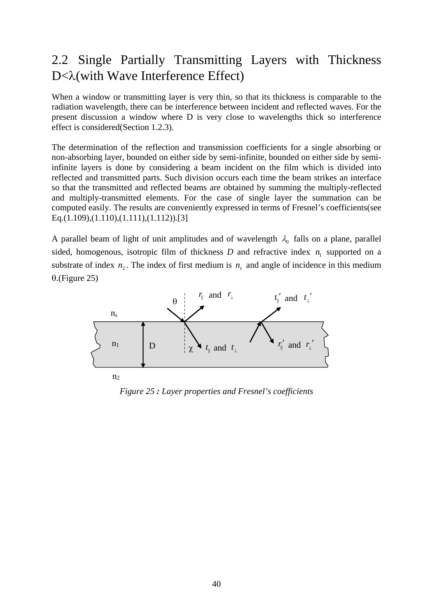# 2.2 Single Partially Transmitting Layers with Thickness D<λ(with Wave Interference Effect)

When a window or transmitting layer is very thin, so that its thickness is comparable to the radiation wavelength, there can be interference between incident and reflected waves. For the present discussion a window where D is very close to wavelengths thick so interference effect is considered(Section 1.2.3).

The determination of the reflection and transmission coefficients for a single absorbing or non-absorbing layer, bounded on either side by semi-infinite, bounded on either side by semiinfinite layers is done by considering a beam incident on the film which is divided into reflected and transmitted parts. Such division occurs each time the beam strikes an interface so that the transmitted and reflected beams are obtained by summing the multiply-reflected and multiply-transmitted elements. For the case of single layer the summation can be computed easily. The results are conveniently expressed in terms of Fresnel's coefficients(see Eq.(1.109),(1.110),(1.111),(1.112)).[3]

A parallel beam of light of unit amplitudes and of wavelength  $\lambda_0$  falls on a plane, parallel sided, homogenous, isotropic film of thickness  $D$  and refractive index  $n<sub>1</sub>$  supported on a substrate of index  $n_2$ . The index of first medium is  $n_s$  and angle of incidence in this medium θ.(Figure 25)



*Figure 25 : Layer properties and Fresnel's coefficients*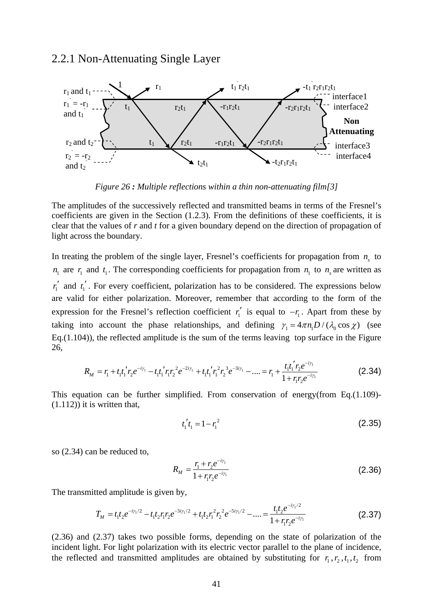### 2.2.1 Non-Attenuating Single Layer



*Figure 26 : Multiple reflections within a thin non-attenuating film[3]*

The amplitudes of the successively reflected and transmitted beams in terms of the Fresnel's coefficients are given in the Section (1.2.3). From the definitions of these coefficients, it is clear that the values of *r* and *t* for a given boundary depend on the direction of propagation of light across the boundary.

In treating the problem of the single layer, Fresnel's coefficients for propagation from  $n<sub>s</sub>$  to  $n_1$  are  $r_1$  and  $t_1$ . The corresponding coefficients for propagation from  $n_1$  to  $n_s$  are written as  $r'_1$  and  $t'_1$ . For every coefficient, polarization has to be considered. The expressions below are valid for either polarization. Moreover, remember that according to the form of the expression for the Fresnel's reflection coefficient  $r'_1$  is equal to  $-r_1$ . Apart from these by taking into account the phase relationships, and defining  $\gamma_1 = 4 \pi n_1 D / (\lambda_0 \cos \chi)$  (see Eq.(1.104)), the reflected amplitude is the sum of the terms leaving top surface in the Figure 26,

$$
R_M = r_1 + t_1 t_1' r_2 e^{-i\gamma_1} - t_1 t_1' r_1 r_2^2 e^{-2i\gamma_1} + t_1 t_1' r_1^2 r_2^3 e^{-3i\gamma_1} - \dots = r_1 + \frac{t_1 t_1' r_2 e^{-i\gamma_1}}{1 + r_1 r_2 e^{-i\gamma_1}}
$$
(2.34)

This equation can be further simplified. From conservation of energy(from Eq.(1.109)-  $(1.112)$ ) it is written that,

$$
t_1' t_1 = 1 - r_1^2 \tag{2.35}
$$

so (2.34) can be reduced to,

$$
R_M = \frac{r_1 + r_2 e^{-i\gamma_1}}{1 + r_1 r_2 e^{-i\gamma_1}}
$$
 (2.36)

The transmitted amplitude is given by,

$$
T_M = t_1 t_2 e^{-i\gamma_1/2} - t_1 t_2 r_1 r_2 e^{-3i\gamma_1/2} + t_1 t_2 r_1^2 r_2^2 e^{-5i\gamma_1/2} - \dots = \frac{t_1 t_2 e^{-i\gamma_1/2}}{1 + r_1 r_2 e^{-i\gamma_1}}
$$
(2.37)

(2.36) and (2.37) takes two possible forms, depending on the state of polarization of the incident light. For light polarization with its electric vector parallel to the plane of incidence, the reflected and transmitted amplitudes are obtained by substituting for  $r_1, r_2, t_1, t_2$  from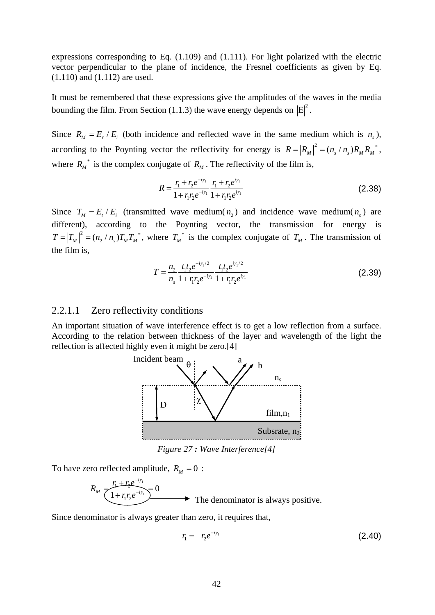expressions corresponding to Eq. (1.109) and (1.111). For light polarized with the electric vector perpendicular to the plane of incidence, the Fresnel coefficients as given by Eq. (1.110) and (1.112) are used.

It must be remembered that these expressions give the amplitudes of the waves in the media bounding the film. From Section (1.1.3) the wave energy depends on  $|E|^2$ .

Since  $R_M = E_r / E_i$  (both incidence and reflected wave in the same medium which is *n*<sub>c</sub>), according to the Poynting vector the reflectivity for energy is  $R = |R_M|^2 = (n_s/n_s)R_M R_M^*$ , where  $R_M^*$  is the complex conjugate of  $R_M$ . The reflectivity of the film is,

$$
R = \frac{r_1 + r_2 e^{-i\gamma_1}}{1 + r_1 r_2 e^{-i\gamma_1}} \frac{r_1 + r_2 e^{i\gamma_1}}{1 + r_1 r_2 e^{i\gamma_1}}
$$
(2.38)

Since  $T_M = E_r / E_i$  (transmitted wave medium( $n_2$ ) and incidence wave medium( $n_s$ ) are different), according to the Poynting vector, the transmission for energy is  $T = |T_M|^2 = (n_2/n_s)T_M T_M^*$ , where  $T_M^*$  is the complex conjugate of  $T_M$ . The transmission of the film is,

$$
T = \frac{n_2}{n_s} \frac{t_1 t_2 e^{-i\gamma_1/2}}{1 + r_1 r_2 e^{-i\gamma_1}} \frac{t_1 t_2 e^{i\gamma_1/2}}{1 + r_1 r_2 e^{i\gamma_1}}
$$
(2.39)

#### 2.2.1.1 Zero reflectivity conditions

An important situation of wave interference effect is to get a low reflection from a surface. According to the relation between thickness of the layer and wavelength of the light the reflection is affected highly even it might be zero.[4]



*Figure 27 : Wave Interference[4]* 

To have zero reflected amplitude,  $R_M = 0$ :

$$
R_M \frac{r_1 + r_2 e^{-i r_1}}{(1 + r_1 r_2 e^{-i r_1})} = 0
$$
 The denominator is always positive.

Since denominator is always greater than zero, it requires that,

$$
r_1 = -r_2 e^{-i\gamma_1} \tag{2.40}
$$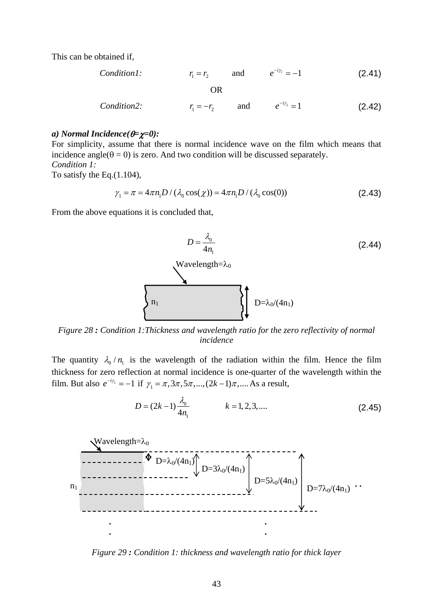This can be obtained if,

*Condition1:*

\n
$$
r_{1} = r_{2} \qquad \text{and} \qquad e^{-i\gamma_{1}} = -1 \qquad (2.41)
$$
\nOR

\n*Condition2:*

\n
$$
r_{1} = -r_{2} \qquad \text{and} \qquad e^{-i\gamma_{1}} = 1 \qquad (2.42)
$$

#### *a) Normal Incidence(*θ*=*χ*=0):*

For simplicity, assume that there is normal incidence wave on the film which means that incidence angle( $\theta = 0$ ) is zero. And two condition will be discussed separately. *Condition 1:*  To satisfy the Eq.(1.104),

$$
\gamma_1 = \pi = 4\pi n_1 D / (\lambda_0 \cos(\chi)) = 4\pi n_1 D / (\lambda_0 \cos(0))
$$
\n(2.43)

From the above equations it is concluded that,



*Figure 28 : Condition 1:Thickness and wavelength ratio for the zero reflectivity of normal incidence* 

The quantity  $\lambda_0 / n_1$  is the wavelength of the radiation within the film. Hence the film thickness for zero reflection at normal incidence is one-quarter of the wavelength within the film. But also  $e^{-i\gamma_1} = -1$  if  $\gamma_1 = \pi, 3\pi, 5\pi, ..., (2k-1)\pi, ...$  As a result,

$$
D = (2k - 1)\frac{\lambda_0}{4n_1} \qquad k = 1, 2, 3, .... \tag{2.45}
$$



*Figure 29 : Condition 1: thickness and wavelength ratio for thick layer*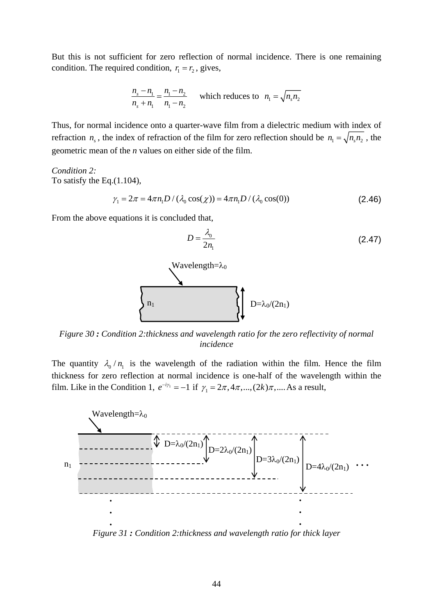But this is not sufficient for zero reflection of normal incidence. There is one remaining condition. The required condition,  $r_1 = r_2$ , gives,

$$
\frac{n_s - n_1}{n_s + n_1} = \frac{n_1 - n_2}{n_1 - n_2}
$$
 which reduces to 
$$
n_1 = \sqrt{n_s n_2}
$$

Thus, for normal incidence onto a quarter-wave film from a dielectric medium with index of refraction  $n_s$ , the index of refraction of the film for zero reflection should be  $n_1 = \sqrt{n_s n_2}$ , the geometric mean of the *n* values on either side of the film.

*Condition 2:*  To satisfy the Eq.(1.104),

$$
\gamma_1 = 2\pi = 4\pi n_1 D / (\lambda_0 \cos(\chi)) = 4\pi n_1 D / (\lambda_0 \cos(0))
$$
\n(2.46)

From the above equations it is concluded that,



*Figure 30 : Condition 2:thickness and wavelength ratio for the zero reflectivity of normal incidence* 

The quantity  $\lambda_0 / n_1$  is the wavelength of the radiation within the film. Hence the film thickness for zero reflection at normal incidence is one-half of the wavelength within the film. Like in the Condition 1,  $e^{-i\gamma_1} = -1$  if  $\gamma_1 = 2\pi, 4\pi, ..., (2k)\pi, ...,$  As a result,



*Figure 31 : Condition 2:thickness and wavelength ratio for thick layer*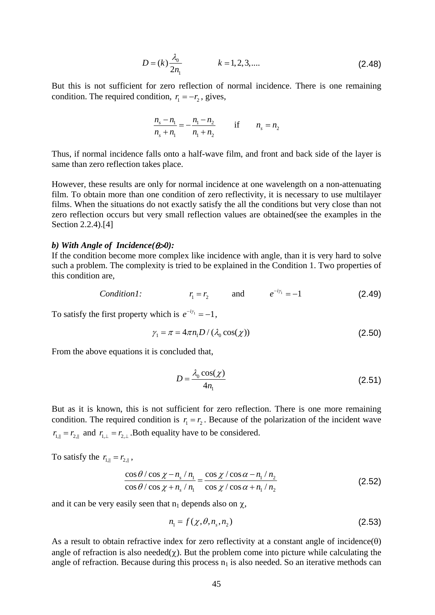$$
D = (k) \frac{\lambda_0}{2n_1} \qquad k = 1, 2, 3, .... \tag{2.48}
$$

But this is not sufficient for zero reflection of normal incidence. There is one remaining condition. The required condition,  $r_1 = -r_2$ , gives,

$$
\frac{n_s - n_1}{n_s + n_1} = -\frac{n_1 - n_2}{n_1 + n_2} \quad \text{if} \quad n_s = n_2
$$

Thus, if normal incidence falls onto a half-wave film, and front and back side of the layer is same than zero reflection takes place.

However, these results are only for normal incidence at one wavelength on a non-attenuating film. To obtain more than one condition of zero reflectivity, it is necessary to use multilayer films. When the situations do not exactly satisfy the all the conditions but very close than not zero reflection occurs but very small reflection values are obtained(see the examples in the Section 2.2.4).[4]

#### *b) With Angle of Incidence(*θ>*0):*

If the condition become more complex like incidence with angle, than it is very hard to solve such a problem. The complexity is tried to be explained in the Condition 1. Two properties of this condition are,

*Condition 1:* 
$$
r_1 = r_2
$$
 and  $e^{-i\gamma_1} = -1$  (2.49)

To satisfy the first property which is  $e^{-i\gamma_1} = -1$ ,

$$
\gamma_1 = \pi = 4\pi n_1 D / (\lambda_0 \cos(\chi))
$$
\n(2.50)

From the above equations it is concluded that,

$$
D = \frac{\lambda_0 \cos(\chi)}{4n_1} \tag{2.51}
$$

But as it is known, this is not sufficient for zero reflection. There is one more remaining condition. The required condition is  $r_1 = r_2$ . Because of the polarization of the incident wave  $r_{1, \parallel} = r_{2, \parallel}$  and  $r_{1, \perp} = r_{2, \perp}$ . Both equality have to be considered.

To satisfy the  $r_{1, \|} = r_{2, \|}$ ,

$$
\frac{\cos\theta/\cos\chi - n_s/n_1}{\cos\theta/\cos\chi + n_s/n_1} = \frac{\cos\chi/\cos\alpha - n_1/n_2}{\cos\chi/\cos\alpha + n_1/n_2}
$$
(2.52)

and it can be very easily seen that  $n_1$  depends also on  $\chi$ ,

$$
n_1 = f(\chi, \theta, n_s, n_2) \tag{2.53}
$$

As a result to obtain refractive index for zero reflectivity at a constant angle of incidence( $\theta$ ) angle of refraction is also needed $(\chi)$ . But the problem come into picture while calculating the angle of refraction. Because during this process  $n_1$  is also needed. So an iterative methods can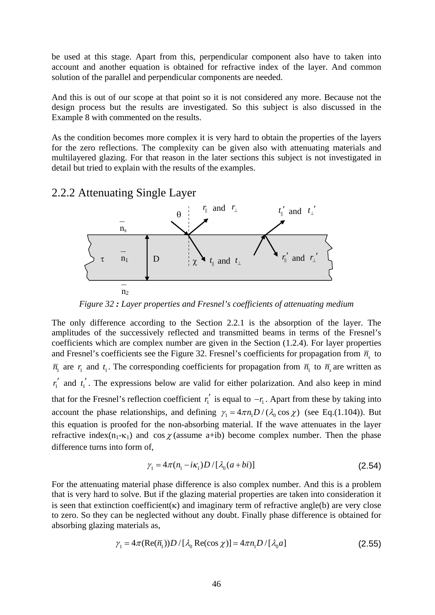be used at this stage. Apart from this, perpendicular component also have to taken into account and another equation is obtained for refractive index of the layer. And common solution of the parallel and perpendicular components are needed.

And this is out of our scope at that point so it is not considered any more. Because not the design process but the results are investigated. So this subject is also discussed in the Example 8 with commented on the results.

As the condition becomes more complex it is very hard to obtain the properties of the layers for the zero reflections. The complexity can be given also with attenuating materials and multilayered glazing. For that reason in the later sections this subject is not investigated in detail but tried to explain with the results of the examples.

## 2.2.2 Attenuating Single Layer



*Figure 32 : Layer properties and Fresnel's coefficients of attenuating medium* 

The only difference according to the Section 2.2.1 is the absorption of the layer. The amplitudes of the successively reflected and transmitted beams in terms of the Fresnel's coefficients which are complex number are given in the Section (1.2.4). For layer properties and Fresnel's coefficients see the Figure 32. Fresnel's coefficients for propagation from  $\bar{n}_{\rm s}$  to  $\overline{n}_1$  are  $r_1$  and  $t_1$ . The corresponding coefficients for propagation from  $\overline{n}_1$  to  $\overline{n}_s$  are written as  $r'_1$  and  $t'_1$ . The expressions below are valid for either polarization. And also keep in mind that for the Fresnel's reflection coefficient  $r'_i$  is equal to  $-r_i$ . Apart from these by taking into account the phase relationships, and defining  $\gamma_1 = 4 \pi n_1 D / (\lambda_0 \cos \chi)$  (see Eq.(1.104)). But this equation is proofed for the non-absorbing material. If the wave attenuates in the layer refractive index(n<sub>1</sub>- $\kappa$ <sub>1</sub>) and cos  $\chi$ (assume a+ib) become complex number. Then the phase difference turns into form of,

$$
\gamma_1 = 4\pi (n_1 - i\kappa_1) D / [\lambda_0 (a + bi)] \tag{2.54}
$$

For the attenuating material phase difference is also complex number. And this is a problem that is very hard to solve. But if the glazing material properties are taken into consideration it is seen that extinction coefficient( $\kappa$ ) and imaginary term of refractive angle(b) are very close to zero. So they can be neglected without any doubt. Finally phase difference is obtained for absorbing glazing materials as,

$$
\gamma_1 = 4\pi (\text{Re}(\overline{n}_1)) D / [\lambda_0 \text{Re}(\cos \chi)] = 4\pi n_1 D / [\lambda_0 a]
$$
\n(2.55)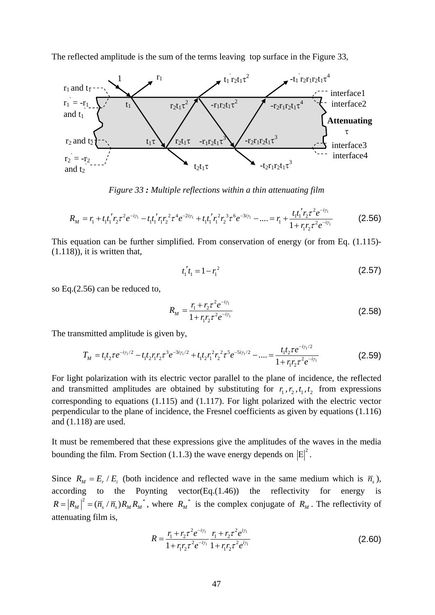The reflected amplitude is the sum of the terms leaving top surface in the Figure 33,



*Figure 33 : Multiple reflections within a thin attenuating film* 

$$
R_M = r_1 + t_1 t_1' r_2 \tau^2 e^{-i\gamma_1} - t_1 t_1' r_1 r_2^2 \tau^4 e^{-2i\gamma_1} + t_1 t_1' r_1^2 r_2^3 \tau^6 e^{-3i\gamma_1} - \dots = r_1 + \frac{t_1 t_1' r_2 \tau^2 e^{-i\gamma_1}}{1 + r_1 r_2 \tau^2 e^{-i\gamma_1}}
$$
(2.56)

This equation can be further simplified. From conservation of energy (or from Eq. (1.115)-  $(1.118)$ , it is written that,

$$
t_1' t_1 = 1 - r_1^2 \tag{2.57}
$$

so Eq.(2.56) can be reduced to,

$$
R_M = \frac{r_1 + r_2 \tau^2 e^{-i\gamma_1}}{1 + r_1 r_2 \tau^2 e^{-i\gamma_1}}
$$
(2.58)

The transmitted amplitude is given by,

$$
T_M = t_1 t_2 \tau e^{-i\gamma_1/2} - t_1 t_2 r_1 r_2 \tau^3 e^{-3i\gamma_1/2} + t_1 t_2 r_1^2 r_2^2 \tau^5 e^{-5i\gamma_1/2} - \dots = \frac{t_1 t_2 \tau e^{-i\gamma_1/2}}{1 + r_1 r_2 \tau^2 e^{-i\gamma_1}}
$$
(2.59)

For light polarization with its electric vector parallel to the plane of incidence, the reflected and transmitted amplitudes are obtained by substituting for  $r_1, r_2, t_1, t_2$  from expressions corresponding to equations (1.115) and (1.117). For light polarized with the electric vector perpendicular to the plane of incidence, the Fresnel coefficients as given by equations (1.116) and (1.118) are used.

It must be remembered that these expressions give the amplitudes of the waves in the media bounding the film. From Section (1.1.3) the wave energy depends on  $|E|^2$ .

Since  $R_M = E_r / E_i$  (both incidence and reflected wave in the same medium which is  $\bar{n}_s$ ), according to the Poynting vector(Eq. $(1.46)$ ) the reflectivity for energy is  $R = |R_M|^2 = (\overline{n}_s / \overline{n}_s) R_M R_M^*$ , where  $R_M^*$  is the complex conjugate of  $R_M$ . The reflectivity of attenuating film is,

$$
R = \frac{r_1 + r_2 \tau^2 e^{-i\gamma_1}}{1 + r_1 r_2 \tau^2 e^{-i\gamma_1}} \frac{r_1 + r_2 \tau^2 e^{i\gamma_1}}{1 + r_1 r_2 \tau^2 e^{i\gamma_1}}
$$
(2.60)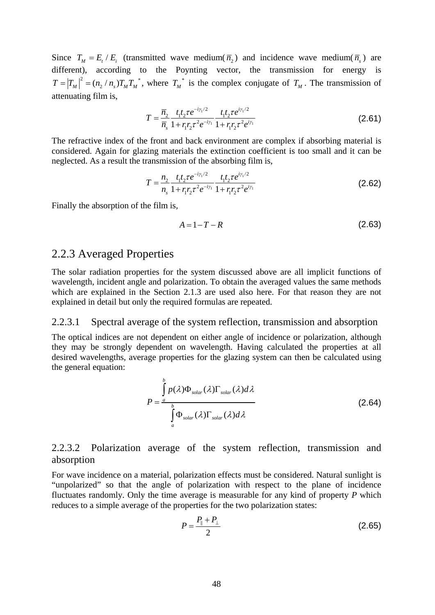Since  $T_M = E_t / E_i$  (transmitted wave medium( $\overline{n}_2$ ) and incidence wave medium( $\overline{n}_s$ ) are different), according to the Poynting vector, the transmission for energy is  $T = |T_M|^2 = (n_2/n_s)T_M T_M^*$ , where  $T_M^*$  is the complex conjugate of  $T_M$ . The transmission of attenuating film is,

$$
T = \frac{\overline{n}_2}{\overline{n}_s} \frac{t_1 t_2 \tau e^{-i\gamma_1/2}}{1 + r_1 r_2 \tau^2 e^{-i\gamma_1}} \frac{t_1 t_2 \tau e^{i\gamma_1/2}}{1 + r_1 r_2 \tau^2 e^{i\gamma_1}}
$$
(2.61)

The refractive index of the front and back environment are complex if absorbing material is considered. Again for glazing materials the extinction coefficient is too small and it can be neglected. As a result the transmission of the absorbing film is,

$$
T = \frac{n_2}{n_s} \frac{t_1 t_2 \tau e^{-i\gamma_1/2}}{1 + r_1 r_2 \tau^2 e^{-i\gamma_1}} \frac{t_1 t_2 \tau e^{i\gamma_1/2}}{1 + r_1 r_2 \tau^2 e^{i\gamma_1}}
$$
(2.62)

Finally the absorption of the film is,

$$
A = 1 - T - R \tag{2.63}
$$

## 2.2.3 Averaged Properties

The solar radiation properties for the system discussed above are all implicit functions of wavelength, incident angle and polarization. To obtain the averaged values the same methods which are explained in the Section 2.1.3 are used also here. For that reason they are not explained in detail but only the required formulas are repeated.

#### 2.2.3.1 Spectral average of the system reflection, transmission and absorption

The optical indices are not dependent on either angle of incidence or polarization, although they may be strongly dependent on wavelength. Having calculated the properties at all desired wavelengths, average properties for the glazing system can then be calculated using the general equation:

$$
P = \frac{\int_{a}^{b} p(\lambda)\Phi_{solar}(\lambda)\Gamma_{solar}(\lambda)d\lambda}{\int_{a}^{b} \Phi_{solar}(\lambda)\Gamma_{solar}(\lambda)d\lambda}
$$
 (2.64)

## 2.2.3.2 Polarization average of the system reflection, transmission and absorption

For wave incidence on a material, polarization effects must be considered. Natural sunlight is "unpolarized" so that the angle of polarization with respect to the plane of incidence fluctuates randomly. Only the time average is measurable for any kind of property *P* which reduces to a simple average of the properties for the two polarization states:

$$
P = \frac{P_{\parallel} + P_{\perp}}{2} \tag{2.65}
$$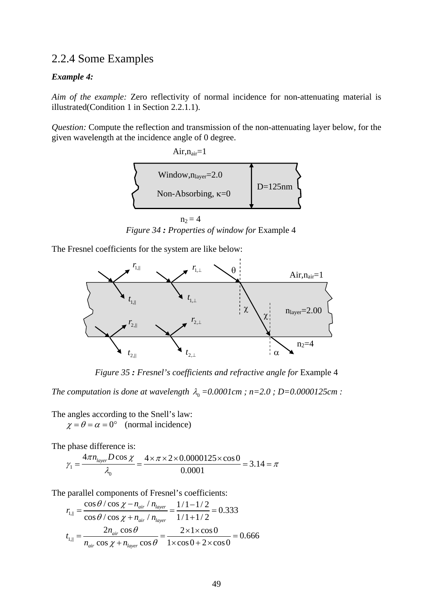## 2.2.4 Some Examples

#### *Example 4:*

*Aim of the example:* Zero reflectivity of normal incidence for non-attenuating material is illustrated(Condition 1 in Section 2.2.1.1).

*Question:* Compute the reflection and transmission of the non-attenuating layer below, for the given wavelength at the incidence angle of 0 degree.

> Air, $n_{air}=1$ Window, $n_{\text{layer}}=2.0$ D=125nm Non-Absorbing, κ=0

*Figure 34 : Properties of window for* Example 4  $n_2 = 4$ 

The Fresnel coefficients for the system are like below:



*Figure 35 : Fresnel's coefficients and refractive angle for* Example 4

*The computation is done at wavelength*  $\lambda_0 = 0.0001$ *cm ; n*=2.0 *; D*=0.0000125*cm :* 

The angles according to the Snell's law:  $\chi = \theta = \alpha = 0^{\circ}$  (normal incidence)

The phase difference is:

$$
\gamma_1 = \frac{4\pi n_{layer} D \cos \chi}{\lambda_0} = \frac{4 \times \pi \times 2 \times 0.0000125 \times \cos 0}{0.0001} = 3.14 = \pi
$$

The parallel components of Fresnel's coefficients:

$$
r_{\text{L},||} = \frac{\cos\theta / \cos\chi - n_{\text{air}} / n_{\text{layer}}}{\cos\theta / \cos\chi + n_{\text{air}} / n_{\text{layer}}} = \frac{1/1 - 1/2}{1/1 + 1/2} = 0.333
$$
  

$$
t_{\text{L},||} = \frac{2n_{\text{air}} \cos\theta}{n_{\text{air}} \cos\chi + n_{\text{layer}} \cos\theta} = \frac{2 \times 1 \times \cos 0}{1 \times \cos 0 + 2 \times \cos 0} = 0.666
$$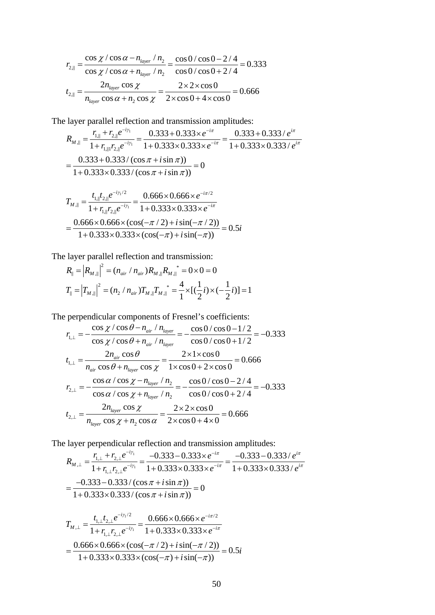$$
r_{2,||} = \frac{\cos \chi / \cos \alpha - n_{layer} / n_2}{\cos \chi / \cos \alpha + n_{layer} / n_2} = \frac{\cos 0 / \cos 0 - 2 / 4}{\cos 0 / \cos 0 + 2 / 4} = 0.333
$$
  

$$
t_{2,||} = \frac{2n_{layer} \cos \chi}{n_{layer} \cos \alpha + n_2 \cos \chi} = \frac{2 \times 2 \times \cos 0}{2 \times \cos 0 + 4 \times \cos 0} = 0.666
$$

The layer parallel reflection and transmission amplitudes:

$$
R_{M,||} = \frac{r_{1,||} + r_{2,||}e^{-i\gamma_1}}{1 + r_{1,||1}r_{2,||}e^{-i\gamma_1}} = \frac{0.333 + 0.333 \times e^{-i\pi}}{1 + 0.333 \times 0.333 \times e^{-i\pi}} = \frac{0.333 + 0.333 / e^{i\pi}}{1 + 0.333 \times 0.333 / e^{i\pi}}
$$

$$
= \frac{0.333 + 0.333 / (\cos \pi + i \sin \pi)}{1 + 0.333 \times 0.333 / (\cos \pi + i \sin \pi)} = 0
$$

$$
T_{M,||} = \frac{t_{1,||}t_{2,||}e^{-i\gamma/2}}{1 + r_{1,||}r_{2,||}e^{-i\gamma/2}} = \frac{0.666 \times 0.666 \times e^{-i\pi/2}}{1 + 0.333 \times 0.333 \times e^{-i\pi}}
$$

$$
= \frac{0.666 \times 0.666 \times (\cos(-\pi/2) + i\sin(-\pi/2))}{1 + 0.333 \times 0.333 \times (\cos(-\pi) + i\sin(-\pi))} = 0.5i
$$

The layer parallel reflection and transmission:

$$
R_{\parallel} = |R_{M,\parallel}|^2 = (n_{air} / n_{air})R_{M,\parallel} R_{M,\parallel}^* = 0 \times 0 = 0
$$
  

$$
T_{\parallel} = |T_{M,\parallel}|^2 = (n_2 / n_{air})T_{M,\parallel} T_{M,\parallel}^* = \frac{4}{1} \times [(\frac{1}{2}i) \times (-\frac{1}{2}i)] = 1
$$

The perpendicular components of Fresnel's coefficients:

$$
r_{1,\perp} = -\frac{\cos \chi / \cos \theta - n_{air} / n_{layer}}{\cos \chi / \cos \theta + n_{air} / n_{layer}} = -\frac{\cos 0 / \cos 0 - 1 / 2}{\cos 0 / \cos 0 + 1 / 2} = -0.333
$$
  
\n
$$
t_{1,\perp} = \frac{2n_{air} \cos \theta}{n_{air} \cos \theta + n_{layer} \cos \chi} = \frac{2 \times 1 \times \cos 0}{1 \times \cos 0 + 2 \times \cos 0} = 0.666
$$
  
\n
$$
r_{2,\perp} = -\frac{\cos \alpha / \cos \chi - n_{layer} / n_2}{\cos \alpha / \cos \chi + n_{layer} / n_2} = -\frac{\cos 0 / \cos 0 - 2 / 4}{\cos 0 / \cos 0 + 2 / 4} = -0.333
$$
  
\n
$$
t_{2,\perp} = \frac{2n_{layer} \cos \chi}{n_{layer} \cos \chi + n_2 \cos \alpha} = \frac{2 \times 2 \times \cos 0}{2 \times \cos 0 + 4 \times 0} = 0.666
$$

The layer perpendicular reflection and transmission amplitudes:

$$
R_{M,\perp} = \frac{r_{1,\perp} + r_{2,\perp}e^{-i\gamma_1}}{1 + r_{1,\perp}r_{2,\perp}e^{-i\gamma_1}} = \frac{-0.333 - 0.333 \times e^{-i\pi}}{1 + 0.333 \times 0.333 \times e^{-i\pi}} = \frac{-0.333 - 0.333 / e^{i\pi}}{1 + 0.333 \times 0.333 / e^{i\pi}}
$$

$$
= \frac{-0.333 - 0.333 / (\cos \pi + i \sin \pi)}{1 + 0.333 \times 0.333 / (\cos \pi + i \sin \pi)} = 0
$$

$$
T_{M,\perp} = \frac{t_{1,\perp}t_{2,\perp}e^{-i\gamma_1/2}}{1 + r_{1,\perp}r_{2,\perp}e^{-i\gamma_1}} = \frac{0.666 \times 0.666 \times e^{-i\pi/2}}{1 + 0.333 \times 0.333 \times e^{-i\pi}}
$$

$$
= \frac{0.666 \times 0.666 \times (\cos(-\pi/2) + i\sin(-\pi/2))}{1 + 0.333 \times 0.333 \times (\cos(-\pi) + i\sin(-\pi))} = 0.5i
$$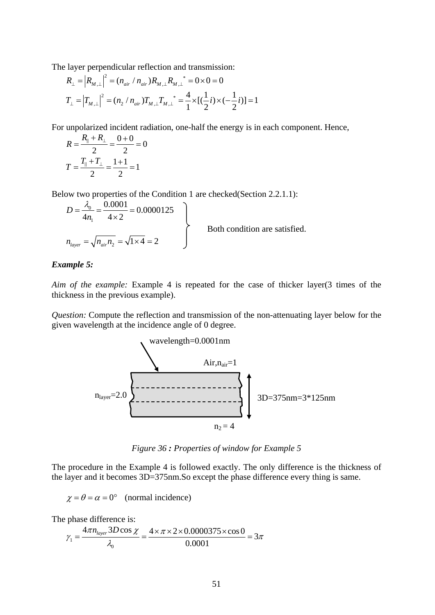The layer perpendicular reflection and transmission:

$$
R_{\perp} = |R_{M,\perp}|^2 = (n_{air} / n_{air})R_{M,\perp} R_{M,\perp}^* = 0 \times 0 = 0
$$
  
\n
$$
T_{\perp} = |T_{M,\perp}|^2 = (n_2 / n_{air})T_{M,\perp} T_{M,\perp}^* = \frac{4}{1} \times [(\frac{1}{2}i) \times (-\frac{1}{2}i)] = 1
$$

For unpolarized incident radiation, one-half the energy is in each component. Hence,

$$
R = \frac{R_{\parallel} + R_{\perp}}{2} = \frac{0 + 0}{2} = 0
$$

$$
T = \frac{T_{\parallel} + T_{\perp}}{2} = \frac{1 + 1}{2} = 1
$$

Below two properties of the Condition 1 are checked(Section 2.2.1.1):

$$
D = \frac{\lambda_0}{4n_1} = \frac{0.0001}{4 \times 2} = 0.0000125
$$
  
\n
$$
n_{layer} = \sqrt{n_{air}n_2} = \sqrt{1 \times 4} = 2
$$
 Both condition are satisfied.

#### *Example 5:*

*Aim of the example:* Example 4 is repeated for the case of thicker layer(3 times of the thickness in the previous example).

*Question:* Compute the reflection and transmission of the non-attenuating layer below for the given wavelength at the incidence angle of 0 degree.



*Figure 36 : Properties of window for Example 5* 

The procedure in the Example 4 is followed exactly. The only difference is the thickness of the layer and it becomes 3D=375nm.So except the phase difference every thing is same.

 $\chi = \theta = \alpha = 0^{\circ}$  (normal incidence)

The phase difference is:

$$
\gamma_1 = \frac{4\pi n_{layer} 3D\cos\chi}{\lambda_0} = \frac{4 \times \pi \times 2 \times 0.0000375 \times \cos 0}{0.0001} = 3\pi
$$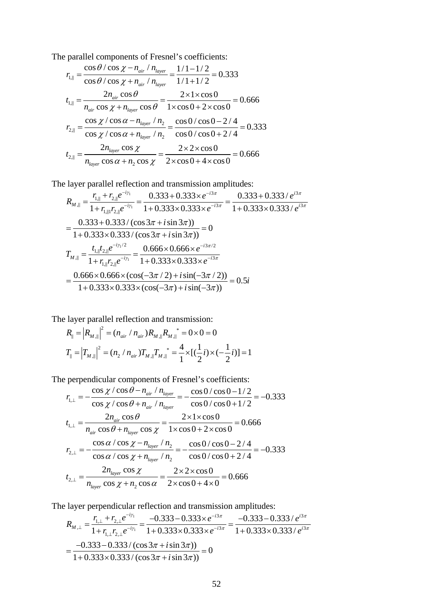The parallel components of Fresnel's coefficients:

$$
r_{\text{L},||} = \frac{\cos\theta/\cos\chi - n_{\text{air}}/n_{\text{layer}}}{\cos\theta/\cos\chi + n_{\text{air}}/n_{\text{layer}}} = \frac{1/1 - 1/2}{1/1 + 1/2} = 0.333
$$
  
\n
$$
t_{\text{L},||} = \frac{2n_{\text{air}}\cos\theta}{n_{\text{air}}\cos\chi + n_{\text{layer}}\cos\theta} = \frac{2 \times 1 \times \cos 0}{1 \times \cos 0 + 2 \times \cos 0} = 0.666
$$
  
\n
$$
r_{\text{L},||} = \frac{\cos\chi/\cos\alpha - n_{\text{layer}}/n_{\text{L}}}{\cos\chi/\cos\alpha + n_{\text{layer}}/n_{\text{L}}} = \frac{\cos 0/\cos 0 - 2/4}{\cos 0/\cos 0 + 2/4} = 0.333
$$
  
\n
$$
t_{\text{L},||} = \frac{2n_{\text{layer}}\cos\chi}{n_{\text{layer}}\cos\alpha + n_{\text{L}}\cos\chi} = \frac{2 \times 2 \times \cos 0}{2 \times \cos 0 + 4 \times \cos 0} = 0.666
$$

The layer parallel reflection and transmission amplitudes:

$$
R_{M,||} = \frac{r_{1,||} + r_{2,||}e^{-i\gamma_1}}{1 + r_{1,||1}r_{2,||}e^{-i\gamma_1}} = \frac{0.333 + 0.333 \times e^{-i3\pi}}{1 + 0.333 \times 0.333 \times e^{-i3\pi}} = \frac{0.333 + 0.333 / e^{i3\pi}}{1 + 0.333 \times 0.333 / e^{i3\pi}}
$$
  
= 
$$
\frac{0.333 + 0.333 / (\cos 3\pi + i \sin 3\pi))}{1 + 0.333 \times 0.333 / (\cos 3\pi + i \sin 3\pi))} = 0
$$
  

$$
T_{M,||} = \frac{t_{1,||}t_{2,||}e^{-i\gamma_1/2}}{1 + r_{1,||}r_{2,||}e^{-i\gamma_1}} = \frac{0.666 \times 0.666 \times e^{-i3\pi/2}}{1 + 0.333 \times 0.333 \times e^{-i3\pi}}
$$
  
= 
$$
\frac{0.666 \times 0.666 \times (\cos(-3\pi / 2) + i \sin(-3\pi / 2))}{1 + 0.333 \times 0.333 \times (\cos(-3\pi) + i \sin(-3\pi))} = 0.5i
$$

The layer parallel reflection and transmission:

$$
R_{\parallel} = |R_{M,\parallel}|^2 = (n_{air} / n_{air})R_{M,\parallel} R_{M,\parallel}^* = 0 \times 0 = 0
$$
  

$$
T_{\parallel} = |T_{M,\parallel}|^2 = (n_2 / n_{air})T_{M,\parallel} T_{M,\parallel}^* = \frac{4}{1} \times [(\frac{1}{2}i) \times (-\frac{1}{2}i)] = 1
$$

The perpendicular components of Fresnel's coefficients:

$$
r_{1,\perp} = -\frac{\cos \chi / \cos \theta - n_{air} / n_{layer}}{\cos \chi / \cos \theta + n_{air} / n_{layer}} = -\frac{\cos 0 / \cos 0 - 1 / 2}{\cos 0 / \cos 0 + 1 / 2} = -0.333
$$
  
\n
$$
t_{1,\perp} = \frac{2n_{air} \cos \theta}{n_{air} \cos \theta + n_{layer} \cos \chi} = \frac{2 \times 1 \times \cos 0}{1 \times \cos 0 + 2 \times \cos 0} = 0.666
$$
  
\n
$$
r_{2,\perp} = -\frac{\cos \alpha / \cos \chi - n_{layer} / n_2}{\cos \alpha / \cos \chi + n_{layer} / n_2} = -\frac{\cos 0 / \cos 0 - 2 / 4}{\cos 0 / \cos 0 + 2 / 4} = -0.333
$$
  
\n
$$
t_{2,\perp} = \frac{2n_{layer} \cos \chi}{n_{layer} \cos \chi + n_2 \cos \alpha} = \frac{2 \times 2 \times \cos 0}{2 \times \cos 0 + 4 \times 0} = 0.666
$$

The layer perpendicular reflection and transmission amplitudes:

$$
R_{M,\perp} = \frac{r_{1,\perp} + r_{2,\perp}e^{-i\gamma_1}}{1 + r_{1,\perp}r_{2,\perp}e^{-i\gamma_1}} = \frac{-0.333 - 0.333 \times e^{-i3\pi}}{1 + 0.333 \times 0.333 \times e^{-i3\pi}} = \frac{-0.333 - 0.333 / e^{i3\pi}}{1 + 0.333 \times 0.333 / e^{i3\pi}}
$$
  
= 
$$
\frac{-0.333 - 0.333 / (\cos 3\pi + i \sin 3\pi))}{1 + 0.333 \times 0.333 / (\cos 3\pi + i \sin 3\pi)} = 0
$$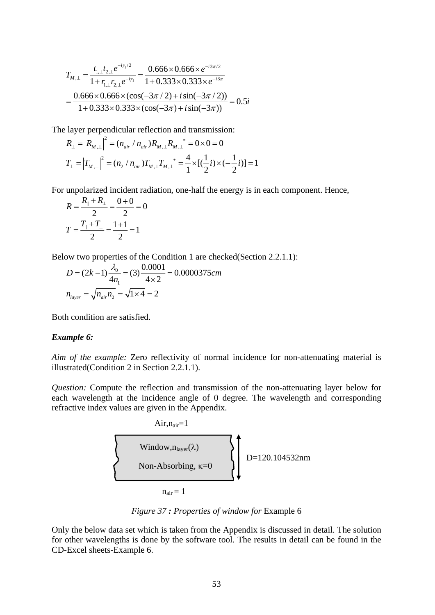$$
T_{M,\perp} = \frac{t_{1,\perp}t_{2,\perp}e^{-i\gamma_1/2}}{1 + r_{1,\perp}r_{2,\perp}e^{-i\gamma_1}} = \frac{0.666 \times 0.666 \times e^{-i3\pi/2}}{1 + 0.333 \times 0.333 \times e^{-i3\pi}}
$$

$$
= \frac{0.666 \times 0.666 \times (\cos(-3\pi/2) + i\sin(-3\pi/2))}{1 + 0.333 \times 0.333 \times (\cos(-3\pi) + i\sin(-3\pi))} = 0.5i
$$

The layer perpendicular reflection and transmission:

$$
R_{\perp} = |R_{M,\perp}|^2 = (n_{air} / n_{air})R_{M,\perp} R_{M,\perp}^* = 0 \times 0 = 0
$$
  

$$
T_{\perp} = |T_{M,\perp}|^2 = (n_2 / n_{air})T_{M,\perp} T_{M,\perp}^* = \frac{4}{1} \times [(\frac{1}{2}i) \times (-\frac{1}{2}i)] = 1
$$

For unpolarized incident radiation, one-half the energy is in each component. Hence,

$$
R = \frac{R_{\parallel} + R_{\perp}}{2} = \frac{0 + 0}{2} = 0
$$

$$
T = \frac{T_{\parallel} + T_{\perp}}{2} = \frac{1 + 1}{2} = 1
$$

Below two properties of the Condition 1 are checked(Section 2.2.1.1):

$$
D = (2k - 1)\frac{\lambda_0}{4n_1} = (3)\frac{0.0001}{4 \times 2} = 0.0000375cm
$$
  

$$
n_{layer} = \sqrt{n_{air}n_2} = \sqrt{1 \times 4} = 2
$$

Both condition are satisfied.

#### *Example 6:*

*Aim of the example:* Zero reflectivity of normal incidence for non-attenuating material is illustrated(Condition 2 in Section 2.2.1.1).

*Question:* Compute the reflection and transmission of the non-attenuating layer below for each wavelength at the incidence angle of 0 degree. The wavelength and corresponding refractive index values are given in the Appendix.



*Figure 37 : Properties of window for* Example 6

Only the below data set which is taken from the Appendix is discussed in detail. The solution for other wavelengths is done by the software tool. The results in detail can be found in the CD-Excel sheets-Example 6.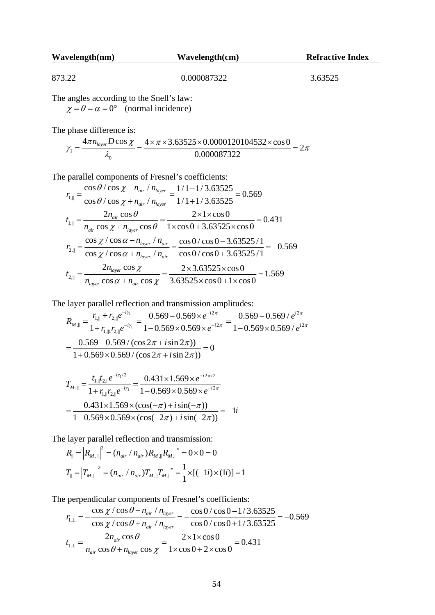| Wavelength(nm) | Wavelength(cm) | <b>Refractive Index</b> |  |
|----------------|----------------|-------------------------|--|
|                |                |                         |  |
| 873.22         | 0.000087322    | 3.63525                 |  |

The angles according to the Snell's law:

 $\chi = \theta = \alpha = 0^{\circ}$  (normal incidence)

The phase difference is:

$$
\gamma_1 = \frac{4\pi n_{layer} D \cos \chi}{\lambda_0} = \frac{4 \times \pi \times 3.63525 \times 0.0000120104532 \times \cos 0}{0.000087322} = 2\pi
$$

The parallel components of Fresnel's coefficients:

$$
r_{1,||} = \frac{\cos\theta/\cos\chi - n_{air}/n_{layer}}{\cos\theta/\cos\chi + n_{air}/n_{layer}} = \frac{1/1 - 1/3.63525}{1/1 + 1/3.63525} = 0.569
$$
  
\n
$$
t_{1,||} = \frac{2n_{air}\cos\theta}{n_{air}\cos\chi + n_{layer}\cos\theta} = \frac{2 \times 1 \times \cos 0}{1 \times \cos 0 + 3.63525 \times \cos 0} = 0.431
$$
  
\n
$$
r_{2,||} = \frac{\cos\chi/\cos\alpha - n_{layer}/n_{air}}{\cos\chi/\cos\alpha + n_{layer}/n_{air}} = \frac{\cos 0/\cos 0 - 3.63525/1}{\cos 0/\cos 0 + 3.63525/1} = -0.569
$$
  
\n
$$
t_{2,||} = \frac{2n_{layer}\cos\chi}{n_{layer}\cos\chi + n_{air}\cos\chi} = \frac{2 \times 3.63525 \times \cos 0}{3.63525 \times \cos 0 + 1 \times \cos 0} = 1.569
$$

The layer parallel reflection and transmission amplitudes:

$$
R_{M,||} = \frac{r_{1,||} + r_{2,||}e^{-i\gamma_1}}{1 + r_{1,||1}r_{2,||}e^{-i\gamma_1}} = \frac{0.569 - 0.569 \times e^{-i2\pi}}{1 - 0.569 \times 0.569 \times e^{-i2\pi}} = \frac{0.569 - 0.569 / e^{i2\pi}}{1 - 0.569 \times 0.569 / e^{i2\pi}}
$$
  
= 
$$
\frac{0.569 - 0.569 / (\cos 2\pi + i \sin 2\pi))}{1 + 0.569 \times 0.569 / (\cos 2\pi + i \sin 2\pi))} = 0
$$
  

$$
T_{M,||} = \frac{t_{1,||}t_{2,||}e^{-i\gamma_1/2}}{1 + r_{1,||}r_{2,||}e^{-i\gamma_1}} = \frac{0.431 \times 1.569 \times e^{-i2\pi/2}}{1 - 0.569 \times 0.569 \times e^{-i2\pi}}
$$
  
= 
$$
\frac{0.431 \times 1.569 \times (\cos(-\pi) + i \sin(-\pi))}{1 - 0.569 \times 0.569 \times (\cos(-2\pi) + i \sin(-2\pi))} = -1i
$$

The layer parallel reflection and transmission:<br> $\sum_{n=1}^{\infty}$   $\sum_{n=1}^{\infty}$   $\sum_{n=1}^{\infty}$   $\sum_{n=1}^{\infty}$   $\sum_{n=1}^{\infty}$   $\sum_{n=1}^{\infty}$ 

$$
R_{\parallel} = |R_{M_{\parallel}}|^{2} = (n_{air} / n_{air})R_{M_{\parallel}}|R_{M_{\parallel}}|^{*} = 0 \times 0 = 0
$$
  

$$
T_{\parallel} = |T_{M_{\parallel}}|^{2} = (n_{air} / n_{air})T_{M_{\parallel}}|T_{M_{\parallel}}|^{*} = \frac{1}{1} \times [(-1i) \times (1i)] = 1
$$

The perpendicular components of Fresnel's coefficients:

$$
r_{1,\perp} = -\frac{\cos\chi/\cos\theta - n_{air}/n_{layer}}{\cos\chi/\cos\theta + n_{air}/n_{layer}} = -\frac{\cos 0/\cos 0 - 1/3.63525}{\cos 0/\cos 0 + 1/3.63525} = -0.569
$$
  

$$
t_{1,\perp} = \frac{2n_{air}\cos\theta}{n_{air}\cos\theta + n_{layer}\cos\chi} = \frac{2 \times 1 \times \cos 0}{1 \times \cos 0 + 2 \times \cos 0} = 0.431
$$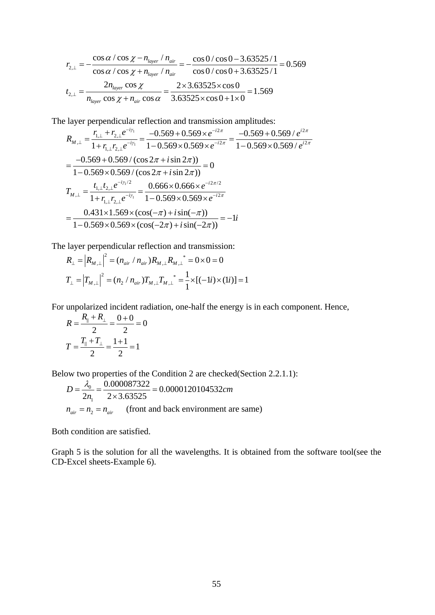$$
r_{2,\perp} = -\frac{\cos\alpha/\cos\chi - n_{layer}/n_{air}}{\cos\alpha/\cos\chi + n_{layer}/n_{air}} = -\frac{\cos 0/\cos 0 - 3.63525/1}{\cos 0/\cos 0 + 3.63525/1} = 0.569
$$
  

$$
t_{2,\perp} = \frac{2n_{layer}\cos\chi}{n_{layer}\cos\chi + n_{air}\cos\alpha} = \frac{2 \times 3.63525 \times \cos 0}{3.63525 \times \cos 0 + 1 \times 0} = 1.569
$$

The layer perpendicular reflection and transmission amplitudes:

$$
R_{M,\perp} = \frac{r_{1,\perp} + r_{2,\perp}e^{-i\gamma_1}}{1 + r_{1,\perp}r_{2,\perp}e^{-i\gamma_1}} = \frac{-0.569 + 0.569 \times e^{-i2\pi}}{1 - 0.569 \times 0.569 \times e^{-i2\pi}} = \frac{-0.569 + 0.569 / e^{i2\pi}}{1 - 0.569 \times 0.569 / e^{i2\pi}}
$$
  
= 
$$
\frac{-0.569 + 0.569 / (\cos 2\pi + i \sin 2\pi))}{1 - 0.569 \times 0.569 / (\cos 2\pi + i \sin 2\pi))} = 0
$$
  

$$
T_{M,\perp} = \frac{t_{1,\perp}t_{2,\perp}e^{-i\gamma_1/2}}{1 + r_{1,\perp}r_{2,\perp}e^{-i\gamma_1}} = \frac{0.666 \times 0.666 \times e^{-i2\pi/2}}{1 - 0.569 \times 0.569 \times e^{-i2\pi}}
$$
  
= 
$$
\frac{0.431 \times 1.569 \times (\cos(-\pi) + i \sin(-\pi))}{1 - 0.569 \times 0.569 \times (\cos(-2\pi) + i \sin(-2\pi))} = -1i
$$

The layer perpendicular reflection and transmission:

$$
R_{\perp} = |R_{M,\perp}|^2 = (n_{air} / n_{air})R_{M,\perp} R_{M,\perp}^* = 0 \times 0 = 0
$$
  

$$
T_{\perp} = |T_{M,\perp}|^2 = (n_2 / n_{air})T_{M,\perp} T_{M,\perp}^* = \frac{1}{1} \times [(-1i) \times (1i)] = 1
$$

For unpolarized incident radiation, one-half the energy is in each component. Hence,  $\overline{R}$ 

$$
R = \frac{R_{\parallel} + R_{\perp}}{2} = \frac{0 + 0}{2} = 0
$$

$$
T = \frac{T_{\parallel} + T_{\perp}}{2} = \frac{1 + 1}{2} = 1
$$

Below two properties of the Condition 2 are checked(Section 2.2.1.1):

$$
D = \frac{\lambda_0}{2n_1} = \frac{0.000087322}{2 \times 3.63525} = 0.0000120104532cm
$$
  

$$
n_{air} = n_2 = n_{air} \text{ (front and back environment are same)}
$$

Both condition are satisfied.

Graph 5 is the solution for all the wavelengths. It is obtained from the software tool(see the CD-Excel sheets-Example 6).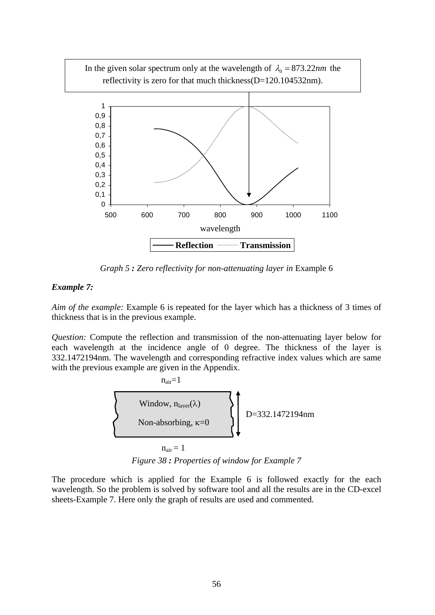In the given solar spectrum only at the wavelength of  $\lambda_0 = 873.22$ *nm* the reflectivity is zero for that much thickness(D=120.104532nm).



*Graph 5 : Zero reflectivity for non-attenuating layer in* Example 6

### *Example 7:*

*Aim of the example:* Example 6 is repeated for the layer which has a thickness of 3 times of thickness that is in the previous example.

*Question:* Compute the reflection and transmission of the non-attenuating layer below for each wavelength at the incidence angle of 0 degree. The thickness of the layer is 332.1472194nm. The wavelength and corresponding refractive index values which are same with the previous example are given in the Appendix.





The procedure which is applied for the Example 6 is followed exactly for the each wavelength. So the problem is solved by software tool and all the results are in the CD-excel sheets-Example 7. Here only the graph of results are used and commented.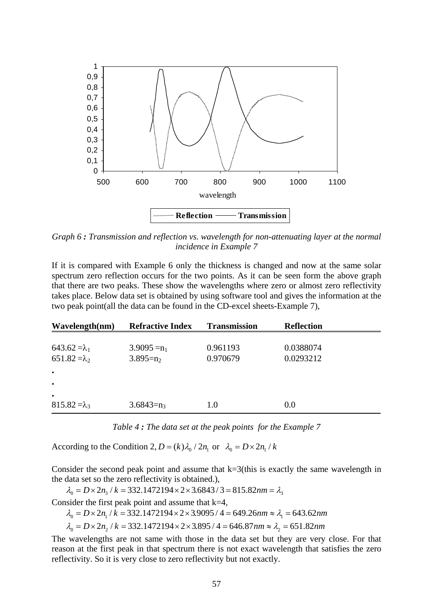

*Graph 6 : Transmission and reflection vs. wavelength for non-attenuating layer at the normal incidence in Example 7* 

If it is compared with Example 6 only the thickness is changed and now at the same solar spectrum zero reflection occurs for the two points. As it can be seen form the above graph that there are two peaks. These show the wavelengths where zero or almost zero reflectivity takes place. Below data set is obtained by using software tool and gives the information at the two peak point(all the data can be found in the CD-excel sheets-Example 7),

| Wavelength(nm)       | <b>Refractive Index</b> | <b>Transmission</b> | <b>Reflection</b> |  |
|----------------------|-------------------------|---------------------|-------------------|--|
|                      |                         |                     |                   |  |
| $643.62 = \lambda_1$ | $3.9095 = n_1$          | 0.961193            | 0.0388074         |  |
| $651.82 = \lambda_2$ | $3.895 = n_2$           | 0.970679            | 0.0293212         |  |
| $\bullet$            |                         |                     |                   |  |
| $\bullet$            |                         |                     |                   |  |
| $\bullet$            |                         |                     |                   |  |
| $815.82 = \lambda_3$ | $3.6843 = n_3$          | 1.0                 | 0.0               |  |

*Table 4 : The data set at the peak points for the Example 7* 

According to the Condition 2,  $D = (k) \lambda_0 / 2n_1$  or  $\lambda_0 = D \times 2n_1 / k$ 

Consider the second peak point and assume that  $k=3$ (this is exactly the same wavelength in the data set so the zero reflectivity is obtained.),

 $\lambda_0 = D \times 2n_3 / k = 332.1472194 \times 2 \times 3.6843 / 3 = 815.82$ nm =  $\lambda_3$ 

Consider the first peak point and assume that  $k=4$ ,

$$
\lambda_0 = D \times 2n_1 / k = 332.1472194 \times 2 \times 3.9095 / 4 = 649.26 \text{nm} \approx \lambda_1 = 643.62 \text{nm}
$$

 $\lambda_0 = D \times 2n_2$  /  $k = 332.1472194 \times 2 \times 3.895$  /  $4 = 646.87$  nm  $\approx \lambda_2 = 651.82$  nm

The wavelengths are not same with those in the data set but they are very close. For that reason at the first peak in that spectrum there is not exact wavelength that satisfies the zero reflectivity. So it is very close to zero reflectivity but not exactly.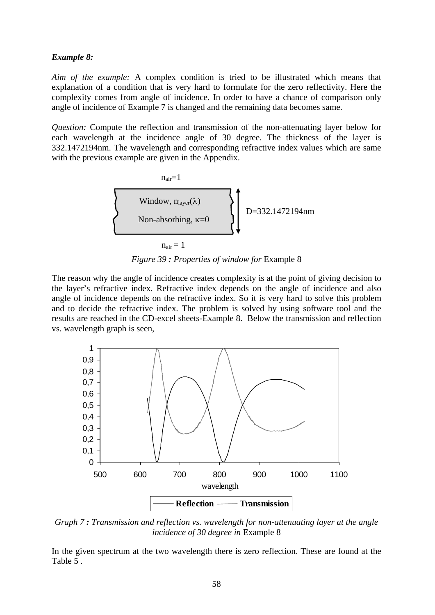#### *Example 8:*

*Aim of the example:* A complex condition is tried to be illustrated which means that explanation of a condition that is very hard to formulate for the zero reflectivity. Here the complexity comes from angle of incidence. In order to have a chance of comparison only angle of incidence of Example 7 is changed and the remaining data becomes same.

*Question:* Compute the reflection and transmission of the non-attenuating layer below for each wavelength at the incidence angle of 30 degree. The thickness of the layer is 332.1472194nm. The wavelength and corresponding refractive index values which are same with the previous example are given in the Appendix.



*Figure 39 : Properties of window for* Example 8

The reason why the angle of incidence creates complexity is at the point of giving decision to the layer's refractive index. Refractive index depends on the angle of incidence and also angle of incidence depends on the refractive index. So it is very hard to solve this problem and to decide the refractive index. The problem is solved by using software tool and the results are reached in the CD-excel sheets-Example 8. Below the transmission and reflection vs. wavelength graph is seen,



*Graph 7 : Transmission and reflection vs. wavelength for non-attenuating layer at the angle incidence of 30 degree in* Example 8

In the given spectrum at the two wavelength there is zero reflection. These are found at the Table 5 .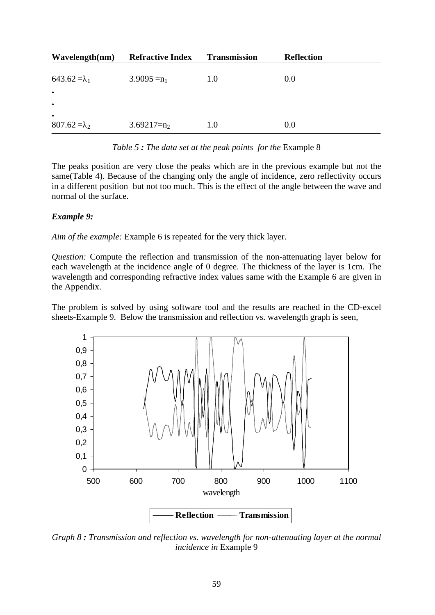| Wavelength(nm)       | <b>Refractive Index</b> | <b>Transmission</b> | <b>Reflection</b> |
|----------------------|-------------------------|---------------------|-------------------|
|                      |                         |                     |                   |
| $643.62 = \lambda_1$ | $3.9095 = n_1$          | 1.0                 | 0.0               |
| $\bullet$            |                         |                     |                   |
| $\bullet$            |                         |                     |                   |
| $\bullet$            |                         |                     |                   |
| $807.62 = \lambda_2$ | $3.69217 = n_2$         | 1.0                 | 0.0               |

*Table 5 : The data set at the peak points for the* Example 8

The peaks position are very close the peaks which are in the previous example but not the same(Table 4). Because of the changing only the angle of incidence, zero reflectivity occurs in a different position but not too much. This is the effect of the angle between the wave and normal of the surface.

#### *Example 9:*

*Aim of the example:* Example 6 is repeated for the very thick layer.

*Question:* Compute the reflection and transmission of the non-attenuating layer below for each wavelength at the incidence angle of 0 degree. The thickness of the layer is 1cm. The wavelength and corresponding refractive index values same with the Example 6 are given in the Appendix.

The problem is solved by using software tool and the results are reached in the CD-excel sheets-Example 9. Below the transmission and reflection vs. wavelength graph is seen,



*Graph 8 : Transmission and reflection vs. wavelength for non-attenuating layer at the normal incidence in* Example 9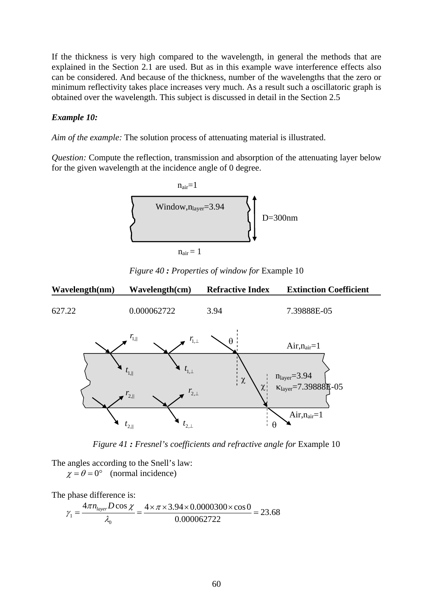If the thickness is very high compared to the wavelength, in general the methods that are explained in the Section 2.1 are used. But as in this example wave interference effects also can be considered. And because of the thickness, number of the wavelengths that the zero or minimum reflectivity takes place increases very much. As a result such a oscillatoric graph is obtained over the wavelength. This subject is discussed in detail in the Section 2.5

### *Example 10:*

*Aim of the example:* The solution process of attenuating material is illustrated.

*Question:* Compute the reflection, transmission and absorption of the attenuating layer below for the given wavelength at the incidence angle of 0 degree.



*Figure 40 : Properties of window for* Example 10



*Figure 41 : Fresnel's coefficients and refractive angle for* Example 10

The angles according to the Snell's law:  $\chi = \theta = 0^{\circ}$  (normal incidence)

The phase difference is:

$$
\gamma_1 = \frac{4\pi n_{layer} D \cos \chi}{\lambda_0} = \frac{4 \times \pi \times 3.94 \times 0.0000300 \times \cos 0}{0.000062722} = 23.68
$$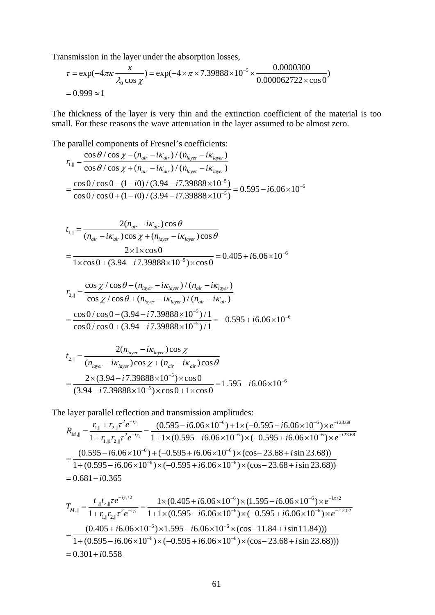Transmission in the layer under the absorption losses,

$$
\tau = \exp(-4\pi\kappa \frac{x}{\lambda_0 \cos \chi}) = \exp(-4 \times \pi \times 7.39888 \times 10^{-5} \times \frac{0.0000300}{0.000062722 \times \cos 0})
$$
  
= 0.999 \approx 1

The thickness of the layer is very thin and the extinction coefficient of the material is too small. For these reasons the wave attenuation in the layer assumed to be almost zero.

The parallel components of Fresnel's coefficients:  
\n
$$
r_{i,||} = \frac{\cos \theta / \cos \chi - (n_{air} - i\kappa_{air}) / (n_{layer} - i\kappa_{layer})}{\cos \theta / \cos \chi + (n_{air} - i\kappa_{air}) / (n_{layer} - i\kappa_{layer})}
$$
\n
$$
= \frac{\cos 0 / \cos 0 - (1 - i0) / (3.94 - i7.39888 \times 10^{-5})}{\cos 0 / \cos 0 + (1 - i0) / (3.94 - i7.39888 \times 10^{-5})} = 0.595 - i6.06 \times 10^{-6}
$$

$$
t_{1,||} = \frac{2(n_{air} - i\kappa_{air})\cos\theta}{(n_{air} - i\kappa_{air})\cos\chi + (n_{layer} - i\kappa_{layer})\cos\theta}
$$
  
= 
$$
\frac{2 \times 1 \times \cos 0}{1 \times \cos 0 + (3.94 - i7.39888 \times 10^{-5}) \times \cos 0} = 0.405 + i6.06 \times 10^{-6}
$$

$$
r_{2,||} = \frac{\cos \chi / \cos \theta - (n_{layer} - i\kappa_{layer}) / (n_{air} - i\kappa_{layer})}{\cos \chi / \cos \theta + (n_{layer} - i\kappa_{layer}) / (n_{air} - i\kappa_{air})}
$$
  
= 
$$
\frac{\cos 0 / \cos 0 - (3.94 - i7.39888 \times 10^{-5}) / 1}{\cos 0 / \cos 0 + (3.94 - i7.39888 \times 10^{-5}) / 1} = -0.595 + i6.06 \times 10^{-6}
$$

$$
t_{2,||} = \frac{2(n_{layer} - i\kappa_{layer})\cos\chi}{(n_{layer} - i\kappa_{layer})\cos\chi + (n_{air} - i\kappa_{air})\cos\theta}
$$
  
= 
$$
\frac{2 \times (3.94 - i7.39888 \times 10^{-5}) \times \cos 0}{(3.94 - i7.39888 \times 10^{-5}) \times \cos 0 + 1 \times \cos 0} = 1.595 - i6.06 \times 10^{-6}
$$

The layer parallel reflection and transmission amplitudes:

$$
R_{M,||} = \frac{r_{1,||} + r_{2,||} \tau^2 e^{-i\gamma_1}}{1 + r_{1,||1} r_{2,||} \tau^2 e^{-i\gamma_1}} = \frac{(0.595 - i6.06 \times 10^{-6}) + 1 \times (-0.595 + i6.06 \times 10^{-6}) \times e^{-i23.68}}{1 + 1 \times (0.595 - i6.06 \times 10^{-6}) \times (-0.595 + i6.06 \times 10^{-6}) \times e^{-i23.68}}
$$
  
= 
$$
\frac{(0.595 - i6.06 \times 10^{-6}) + (-0.595 + i6.06 \times 10^{-6}) \times (\cos - 23.68 + i \sin 23.68))}{1 + (0.595 - i6.06 \times 10^{-6}) \times (-0.595 + i6.06 \times 10^{-6}) \times (\cos - 23.68 + i \sin 23.68))}
$$
  
= 0.681 - i0.365

$$
T_{M,\parallel} = \frac{t_{1,\parallel}t_{2,\parallel} \tau e^{-i\gamma_1/2}}{1 + r_{1,\parallel}r_{2,\parallel} \tau^2 e^{-i\gamma_1}} = \frac{1 \times (0.405 + i6.06 \times 10^{-6}) \times (1.595 - i6.06 \times 10^{-6}) \times e^{-i\pi/2}}{1 + 1 \times (0.595 - i6.06 \times 10^{-6}) \times (-0.595 + i6.06 \times 10^{-6}) \times e^{-i12.02}}
$$
  
= 
$$
\frac{(0.405 + i6.06 \times 10^{-6}) \times 1.595 - i6.06 \times 10^{-6} \times (\cos - 11.84 + i \sin 11.84))}{1 + (0.595 - i6.06 \times 10^{-6}) \times (-0.595 + i6.06 \times 10^{-6}) \times (\cos - 23.68 + i \sin 23.68)))}
$$
  
= 0.301 + i0.558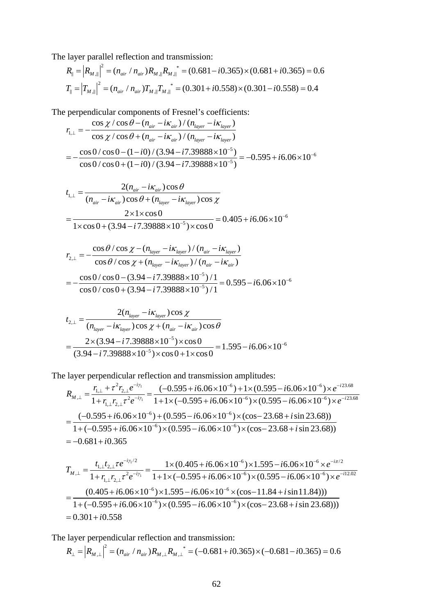The layer parallel reflection and transmission:

$$
R_{\parallel} = |R_{M,\parallel}|^2 = (n_{air} / n_{air})R_{M,\parallel} R_{M,\parallel}^* = (0.681 - i0.365) \times (0.681 + i0.365) = 0.6
$$
  

$$
T_{\parallel} = |T_{M,\parallel}|^2 = (n_{air} / n_{air})T_{M,\parallel} T_{M,\parallel}^* = (0.301 + i0.558) \times (0.301 - i0.558) = 0.4
$$

The perpendicular components of Fresnel's coefficients:

$$
r_{1,\perp} = -\frac{\cos\chi/\cos\theta - (n_{air} - i\kappa_{air})/(n_{layer} - i\kappa_{layer})}{\cos\chi/\cos\theta + (n_{air} - i\kappa_{air})/(n_{layer} - i\kappa_{layer})}
$$
  
= 
$$
-\frac{\cos 0/\cos 0 - (1 - i0)/(3.94 - i7.39888 \times 10^{-5})}{\cos 0/\cos 0 + (1 - i0)/(3.94 - i7.39888 \times 10^{-5})} = -0.595 + i6.06 \times 10^{-6}
$$

$$
t_{1,\perp} = \frac{2(n_{air} - i\kappa_{air})\cos\theta}{(n_{air} - i\kappa_{air})\cos\theta + (n_{layer} - i\kappa_{layer})\cos\chi}
$$
  
= 
$$
\frac{2 \times 1 \times \cos 0}{1 \times \cos 0 + (3.94 - i7.39888 \times 10^{-5}) \times \cos 0} = 0.405 + i6.06 \times 10^{-6}
$$

$$
r_{2,\perp} = -\frac{\cos\theta/\cos\chi - (n_{layer} - i\kappa_{layer})/(n_{air} - i\kappa_{layer})}{\cos\theta/\cos\chi + (n_{layer} - i\kappa_{layer})/(n_{air} - i\kappa_{air})}
$$
  
= 
$$
-\frac{\cos 0/\cos 0 - (3.94 - i7.39888 \times 10^{-5})/1}{\cos 0/\cos 0 + (3.94 - i7.39888 \times 10^{-5})/1} = 0.595 - i6.06 \times 10^{-6}
$$

$$
t_{2,\perp} = \frac{2(n_{layer} - i\kappa_{layer})\cos\chi}{(n_{layer} - i\kappa_{layer})\cos\chi + (n_{air} - i\kappa_{air})\cos\theta}
$$
  
= 
$$
\frac{2 \times (3.94 - i7.39888 \times 10^{-5}) \times \cos 0}{(3.94 - i7.39888 \times 10^{-5}) \times \cos 0 + 1 \times \cos 0} = 1.595 - i6.06 \times 10^{-6}
$$

The layer perpendicular reflection and transmission amplitudes:

$$
R_{M,\perp} = \frac{r_{1,\perp} + \tau^2 r_{2,\perp} e^{-i\gamma_1}}{1 + r_{1,\perp} r_{2,\perp} \tau^2 e^{-i\gamma_1}} = \frac{(-0.595 + i6.06 \times 10^{-6}) + 1 \times (0.595 - i6.06 \times 10^{-6}) \times e^{-i23.68}}{1 + 1 \times (-0.595 + i6.06 \times 10^{-6}) \times (0.595 - i6.06 \times 10^{-6}) \times e^{-i23.68}}
$$
  
= 
$$
\frac{(-0.595 + i6.06 \times 10^{-6}) + (0.595 - i6.06 \times 10^{-6}) \times (\cos - 23.68 + i \sin 23.68)}{1 + (-0.595 + i6.06 \times 10^{-6}) \times (0.595 - i6.06 \times 10^{-6}) \times (\cos - 23.68 + i \sin 23.68))}
$$
  
= -0.681 + i0.365

$$
T_{M,\perp} = \frac{t_{1,\perp}t_{2,\perp}\tau e^{-i\gamma/2}}{1 + r_{1,\perp}r_{2,\perp}\tau^2 e^{-i\gamma_1}} = \frac{1 \times (0.405 + i6.06 \times 10^{-6}) \times 1.595 - i6.06 \times 10^{-6} \times e^{-i\pi/2}}{1 + 1 \times (-0.595 + i6.06 \times 10^{-6}) \times (0.595 - i6.06 \times 10^{-6}) \times e^{-i12.02}}
$$
  
= 
$$
\frac{(0.405 + i6.06 \times 10^{-6}) \times 1.595 - i6.06 \times 10^{-6} \times (\cos - 11.84 + i\sin 11.84))}{1 + (-0.595 + i6.06 \times 10^{-6}) \times (0.595 - i6.06 \times 10^{-6}) \times (\cos - 23.68 + i\sin 23.68))}
$$
  
= 0.301 + i0.558

The layer perpendicular reflection and transmission:

$$
R_{\perp} = |R_{M,\perp}|^2 = (n_{air} / n_{air})R_{M,\perp} R_{M,\perp}^* = (-0.681 + i0.365) \times (-0.681 - i0.365) = 0.6
$$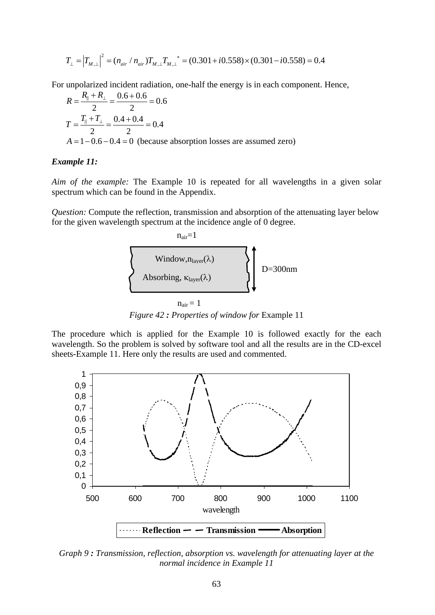$$
T_{\perp} = |T_{M,\perp}|^2 = (n_{air} / n_{air})T_{M,\perp} T_{M,\perp}^* = (0.301 + i0.558) \times (0.301 - i0.558) = 0.4
$$

For unpolarized incident radiation, one-half the energy is in each component. Hence,

$$
R = \frac{R_{\parallel} + R_{\perp}}{2} = \frac{0.6 + 0.6}{2} = 0.6
$$
  
\n
$$
T = \frac{T_{\parallel} + T_{\perp}}{2} = \frac{0.4 + 0.4}{2} = 0.4
$$
  
\n $A = 1 - 0.6 - 0.4 = 0$  (because absorption losses are assumed zero)

#### *Example 11:*

*Aim of the example:* The Example 10 is repeated for all wavelengths in a given solar spectrum which can be found in the Appendix.

*Question:* Compute the reflection, transmission and absorption of the attenuating layer below for the given wavelength spectrum at the incidence angle of 0 degree.



*Figure 42 : Properties of window for* Example 11

The procedure which is applied for the Example 10 is followed exactly for the each wavelength. So the problem is solved by software tool and all the results are in the CD-excel sheets-Example 11. Here only the results are used and commented.



*Graph 9 : Transmission, reflection, absorption vs. wavelength for attenuating layer at the normal incidence in Example 11*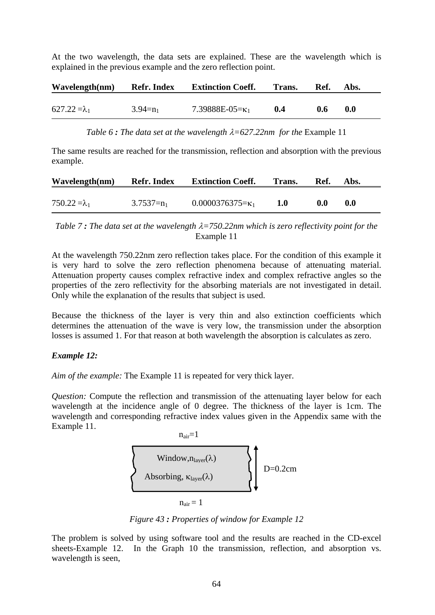At the two wavelength, the data sets are explained. These are the wavelength which is explained in the previous example and the zero reflection point.

| Wavelength(nm)       | <b>Refr. Index</b> | <b>Extinction Coeff.</b> | Trans. | -Ref.         | Abs. |
|----------------------|--------------------|--------------------------|--------|---------------|------|
| $627.22 = \lambda_1$ | $3.94=n_1$         | 7.39888E-05= $\kappa_1$  | 0.4    | $0.6^{\circ}$ | 0.0  |

*Table 6 : The data set at the wavelength*  $\lambda = 627.22$ *nm for the Example 11* 

The same results are reached for the transmission, reflection and absorption with the previous example.

| Wavelength(nm)       | <b>Refr. Index</b> | <b>Extinction Coeff.</b>  | Trans. | -Ref. | A bs. |
|----------------------|--------------------|---------------------------|--------|-------|-------|
|                      |                    |                           |        |       |       |
| $750.22 = \lambda_1$ | $3.7537 = n_1$     | $0.0000376375 = \kappa_1$ |        | 0.0   | 0.0   |

*Table 7 : The data set at the wavelength* λ*=750.22nm which is zero reflectivity point for the*  Example 11

At the wavelength 750.22nm zero reflection takes place. For the condition of this example it is very hard to solve the zero reflection phenomena because of attenuating material. Attenuation property causes complex refractive index and complex refractive angles so the properties of the zero reflectivity for the absorbing materials are not investigated in detail. Only while the explanation of the results that subject is used.

Because the thickness of the layer is very thin and also extinction coefficients which determines the attenuation of the wave is very low, the transmission under the absorption losses is assumed 1. For that reason at both wavelength the absorption is calculates as zero.

## *Example 12:*

*Aim of the example:* The Example 11 is repeated for very thick layer.

*Question:* Compute the reflection and transmission of the attenuating layer below for each wavelength at the incidence angle of 0 degree. The thickness of the layer is 1cm. The wavelength and corresponding refractive index values given in the Appendix same with the Example 11.



*Figure 43 : Properties of window for Example 12* 

The problem is solved by using software tool and the results are reached in the CD-excel sheets-Example 12. In the Graph 10 the transmission, reflection, and absorption vs. wavelength is seen,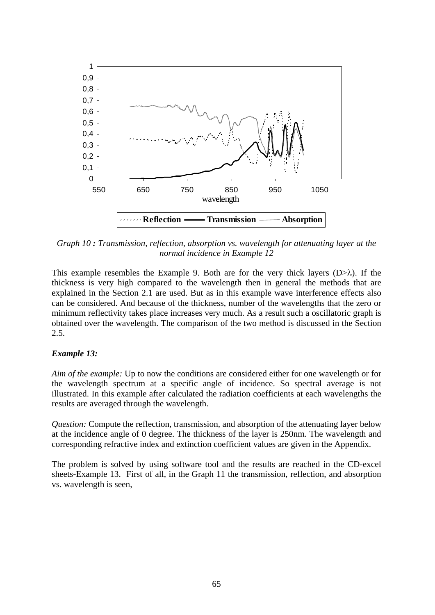

*Graph 10 : Transmission, reflection, absorption vs. wavelength for attenuating layer at the normal incidence in Example 12* 

This example resembles the Example 9. Both are for the very thick layers  $(D>\lambda)$ . If the thickness is very high compared to the wavelength then in general the methods that are explained in the Section 2.1 are used. But as in this example wave interference effects also can be considered. And because of the thickness, number of the wavelengths that the zero or minimum reflectivity takes place increases very much. As a result such a oscillatoric graph is obtained over the wavelength. The comparison of the two method is discussed in the Section 2.5.

## *Example 13:*

*Aim of the example:* Up to now the conditions are considered either for one wavelength or for the wavelength spectrum at a specific angle of incidence. So spectral average is not illustrated. In this example after calculated the radiation coefficients at each wavelengths the results are averaged through the wavelength.

*Question:* Compute the reflection, transmission, and absorption of the attenuating layer below at the incidence angle of 0 degree. The thickness of the layer is 250nm. The wavelength and corresponding refractive index and extinction coefficient values are given in the Appendix.

The problem is solved by using software tool and the results are reached in the CD-excel sheets-Example 13. First of all, in the Graph 11 the transmission, reflection, and absorption vs. wavelength is seen,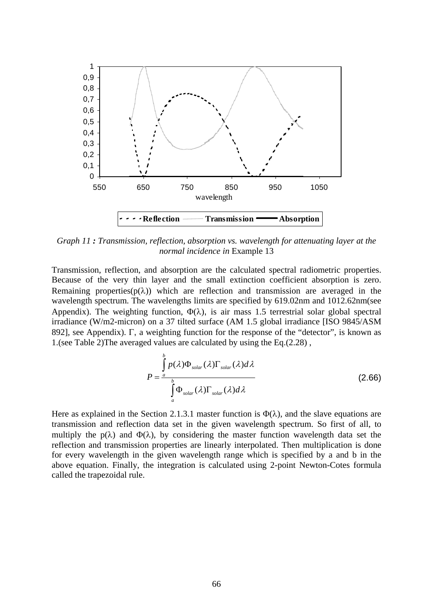

*Graph 11 : Transmission, reflection, absorption vs. wavelength for attenuating layer at the normal incidence in* Example 13

Transmission, reflection, and absorption are the calculated spectral radiometric properties. Because of the very thin layer and the small extinction coefficient absorption is zero. Remaining properties( $p(\lambda)$ ) which are reflection and transmission are averaged in the wavelength spectrum. The wavelengths limits are specified by 619.02nm and 1012.62nm(see Appendix). The weighting function,  $\Phi(\lambda)$ , is air mass 1.5 terrestrial solar global spectral irradiance (W/m2-micron) on a 37 tilted surface (AM 1.5 global irradiance [ISO 9845/ASM 892], see Appendix). Γ, a weighting function for the response of the "detector", is known as 1.(see Table 2)The averaged values are calculated by using the Eq.(2.28) ,

$$
P = \frac{\int_{a}^{b} p(\lambda)\Phi_{solar}(\lambda)\Gamma_{solar}(\lambda)d\lambda}{\int_{a}^{b} \Phi_{solar}(\lambda)\Gamma_{solar}(\lambda)d\lambda}
$$
 (2.66)

Here as explained in the Section 2.1.3.1 master function is  $\Phi(\lambda)$ , and the slave equations are transmission and reflection data set in the given wavelength spectrum. So first of all, to multiply the  $p(\lambda)$  and  $\Phi(\lambda)$ , by considering the master function wavelength data set the reflection and transmission properties are linearly interpolated. Then multiplication is done for every wavelength in the given wavelength range which is specified by a and b in the above equation. Finally, the integration is calculated using 2-point Newton-Cotes formula called the trapezoidal rule.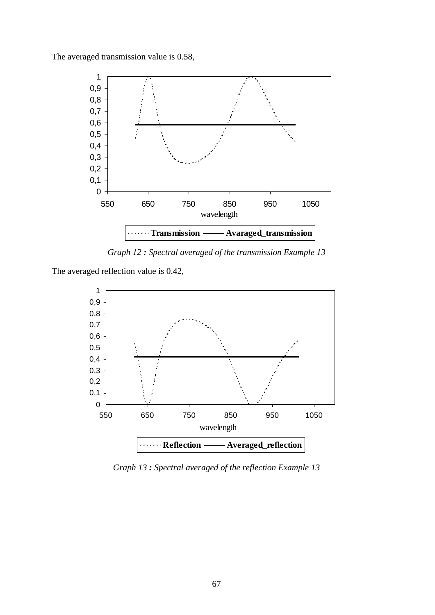The averaged transmission value is 0.58,



*Graph 12 : Spectral averaged of the transmission Example 13* 

The averaged reflection value is 0.42,



*Graph 13 : Spectral averaged of the reflection Example 13*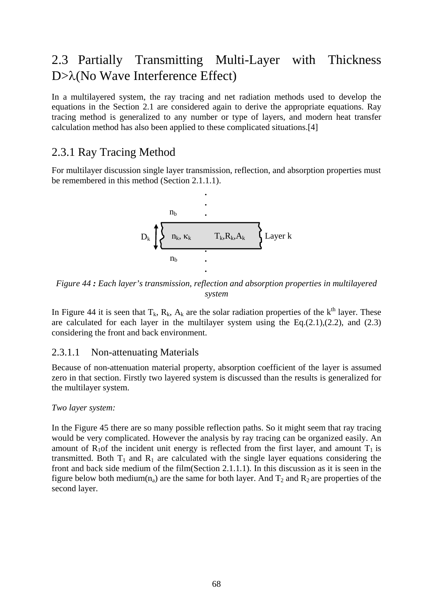# 2.3 Partially Transmitting Multi-Layer with Thickness D>λ(No Wave Interference Effect)

In a multilayered system, the ray tracing and net radiation methods used to develop the equations in the Section 2.1 are considered again to derive the appropriate equations. Ray tracing method is generalized to any number or type of layers, and modern heat transfer calculation method has also been applied to these complicated situations.[4]

# 2.3.1 Ray Tracing Method

For multilayer discussion single layer transmission, reflection, and absorption properties must be remembered in this method (Section 2.1.1.1).



*Figure 44 : Each layer's transmission, reflection and absorption properties in multilayered system* 

In Figure 44 it is seen that  $T_k$ ,  $R_k$ ,  $A_k$  are the solar radiation properties of the  $k^{\text{th}}$  layer. These are calculated for each layer in the multilayer system using the  $Eq.(2.1),(2.2)$ , and  $(2.3)$ considering the front and back environment.

# 2.3.1.1 Non-attenuating Materials

Because of non-attenuation material property, absorption coefficient of the layer is assumed zero in that section. Firstly two layered system is discussed than the results is generalized for the multilayer system.

## *Two layer system:*

In the Figure 45 there are so many possible reflection paths. So it might seem that ray tracing would be very complicated. However the analysis by ray tracing can be organized easily. An amount of  $R_1$ of the incident unit energy is reflected from the first layer, and amount  $T_1$  is transmitted. Both  $T_1$  and  $R_1$  are calculated with the single layer equations considering the front and back side medium of the film(Section 2.1.1.1). In this discussion as it is seen in the figure below both medium( $n_a$ ) are the same for both layer. And  $T_2$  and  $R_2$  are properties of the second layer.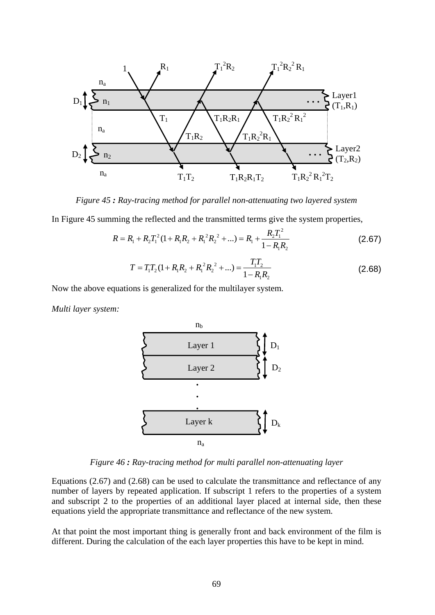

*Figure 45 : Ray-tracing method for parallel non-attenuating two layered system* 

In Figure 45 summing the reflected and the transmitted terms give the system properties,

$$
R = R_1 + R_2 T_1^2 (1 + R_1 R_2 + R_1^2 R_2^2 + ...) = R_1 + \frac{R_2 T_1^2}{1 - R_1 R_2}
$$
 (2.67)

$$
T = T_1 T_2 (1 + R_1 R_2 + R_1^2 R_2^2 + ...) = \frac{T_1 T_2}{1 - R_1 R_2}
$$
 (2.68)

Now the above equations is generalized for the multilayer system.

*Multi layer system:* 



*Figure 46 : Ray-tracing method for multi parallel non-attenuating layer*

Equations (2.67) and (2.68) can be used to calculate the transmittance and reflectance of any number of layers by repeated application. If subscript 1 refers to the properties of a system and subscript 2 to the properties of an additional layer placed at internal side, then these equations yield the appropriate transmittance and reflectance of the new system.

At that point the most important thing is generally front and back environment of the film is different. During the calculation of the each layer properties this have to be kept in mind.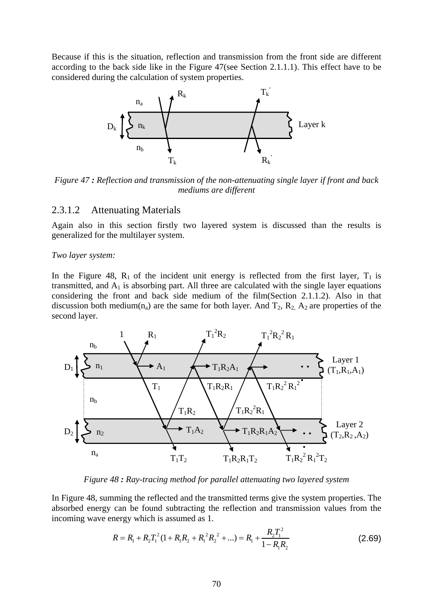Because if this is the situation, reflection and transmission from the front side are different according to the back side like in the Figure 47(see Section 2.1.1.1). This effect have to be considered during the calculation of system properties.



*Figure 47 : Reflection and transmission of the non-attenuating single layer if front and back mediums are different* 

## 2.3.1.2 Attenuating Materials

Again also in this section firstly two layered system is discussed than the results is generalized for the multilayer system.

#### *Two layer system:*

In the Figure 48,  $R_1$  of the incident unit energy is reflected from the first layer,  $T_1$  is transmitted, and  $A_1$  is absorbing part. All three are calculated with the single layer equations considering the front and back side medium of the film(Section 2.1.1.2). Also in that discussion both medium( $n_a$ ) are the same for both layer. And  $T_2$ ,  $R_2$ ,  $A_2$  are properties of the second layer.



*Figure 48 : Ray-tracing method for parallel attenuating two layered system* 

In Figure 48, summing the reflected and the transmitted terms give the system properties. The absorbed energy can be found subtracting the reflection and transmission values from the incoming wave energy which is assumed as 1.

$$
R = R_1 + R_2 T_1^2 (1 + R_1 R_2 + R_1^2 R_2^2 + ...) = R_1 + \frac{R_2 T_1^2}{1 - R_1 R_2}
$$
 (2.69)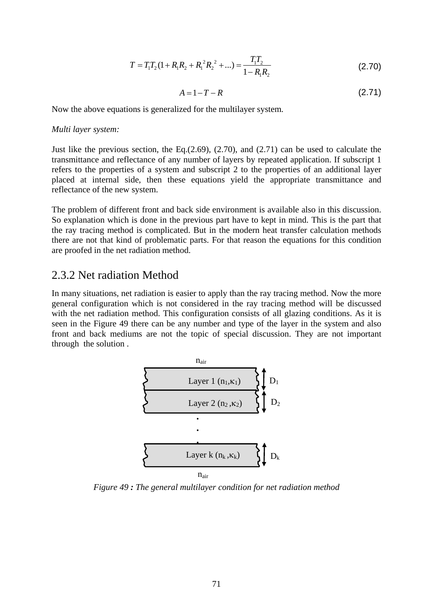$$
T = T_1 T_2 (1 + R_1 R_2 + R_1^2 R_2^2 + ...) = \frac{T_1 T_2}{1 - R_1 R_2}
$$
\n(2.70)

$$
A = 1 - T - R \tag{2.71}
$$

Now the above equations is generalized for the multilayer system.

#### *Multi layer system:*

Just like the previous section, the Eq.  $(2.69)$ ,  $(2.70)$ , and  $(2.71)$  can be used to calculate the transmittance and reflectance of any number of layers by repeated application. If subscript 1 refers to the properties of a system and subscript 2 to the properties of an additional layer placed at internal side, then these equations yield the appropriate transmittance and reflectance of the new system.

The problem of different front and back side environment is available also in this discussion. So explanation which is done in the previous part have to kept in mind. This is the part that the ray tracing method is complicated. But in the modern heat transfer calculation methods there are not that kind of problematic parts. For that reason the equations for this condition are proofed in the net radiation method.

# 2.3.2 Net radiation Method

In many situations, net radiation is easier to apply than the ray tracing method. Now the more general configuration which is not considered in the ray tracing method will be discussed with the net radiation method. This configuration consists of all glazing conditions. As it is seen in the Figure 49 there can be any number and type of the layer in the system and also front and back mediums are not the topic of special discussion. They are not important through the solution .



*Figure 49 : The general multilayer condition for net radiation method*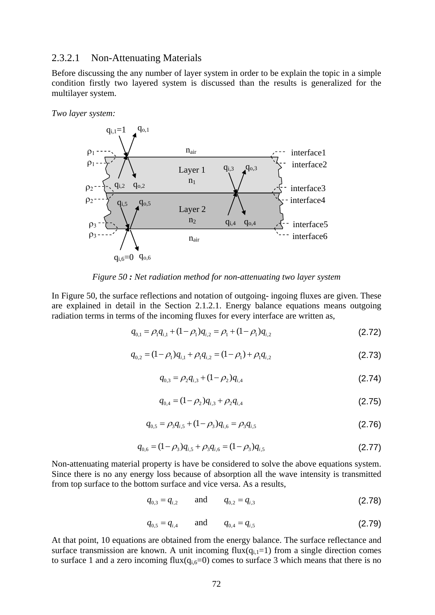#### 2.3.2.1 Non-Attenuating Materials

Before discussing the any number of layer system in order to be explain the topic in a simple condition firstly two layered system is discussed than the results is generalized for the multilayer system.

*Two layer system:* 



*Figure 50 : Net radiation method for non-attenuating two layer system* 

In Figure 50, the surface reflections and notation of outgoing- ingoing fluxes are given. These are explained in detail in the Section 2.1.2.1. Energy balance equations means outgoing radiation terms in terms of the incoming fluxes for every interface are written as,

$$
q_{0,1} = \rho_1 q_{i,1} + (1 - \rho_1) q_{i,2} = \rho_1 + (1 - \rho_1) q_{i,2}
$$
\n(2.72)

$$
q_{0,2} = (1 - \rho_1)q_{i,1} + \rho_1 q_{i,2} = (1 - \rho_1) + \rho_1 q_{i,2}
$$
\n(2.73)

$$
q_{0,3} = \rho_2 q_{i,3} + (1 - \rho_2) q_{i,4}
$$
 (2.74)

$$
q_{0,4} = (1 - \rho_2)q_{i,3} + \rho_2 q_{i,4}
$$
\n(2.75)

$$
q_{0,5} = \rho_3 q_{i,5} + (1 - \rho_3) q_{i,6} = \rho_3 q_{i,5}
$$
\n(2.76)

$$
q_{0,6} = (1 - \rho_3)q_{i,5} + \rho_3 q_{i,6} = (1 - \rho_3)q_{i,5}
$$
\n(2.77)

Non-attenuating material property is have be considered to solve the above equations system. Since there is no any energy loss because of absorption all the wave intensity is transmitted from top surface to the bottom surface and vice versa. As a results,

$$
q_{0,3} = q_{i,2} \qquad \text{and} \qquad q_{0,2} = q_{i,3} \tag{2.78}
$$

$$
q_{0,5} = q_{i,4} \qquad \text{and} \qquad q_{0,4} = q_{i,5} \tag{2.79}
$$

At that point, 10 equations are obtained from the energy balance. The surface reflectance and surface transmission are known. A unit incoming  $flux(q_{i,1}=1)$  from a single direction comes to surface 1 and a zero incoming  $flux(q_{i,6}=0)$  comes to surface 3 which means that there is no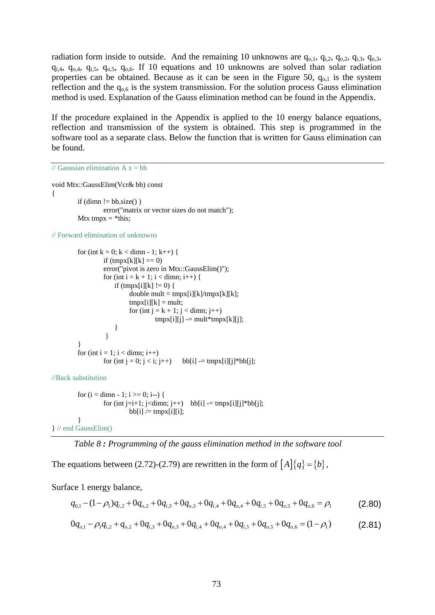radiation form inside to outside. And the remaining 10 unknowns are  $q_{0,1}$ ,  $q_{i,2}$ ,  $q_{0,2}$ ,  $q_{i,3}$ ,  $q_{0,3}$ ,  $q_{i,4}$ ,  $q_{o,4}$ ,  $q_{i,5}$ ,  $q_{o,5}$ ,  $q_{o,6}$ . If 10 equations and 10 unknowns are solved than solar radiation properties can be obtained. Because as it can be seen in the Figure 50,  $q_{0,1}$  is the system reflection and the  $q_{0.6}$  is the system transmission. For the solution process Gauss elimination method is used. Explanation of the Gauss elimination method can be found in the Appendix.

If the procedure explained in the Appendix is applied to the 10 energy balance equations, reflection and transmission of the system is obtained. This step is programmed in the software tool as a separate class. Below the function that is written for Gauss elimination can be found.

// Gaussian elimination  $A x = bb$ 

void Mtx::GaussElim(Vcr& bb) const {

```
if (dimn != bb.size()error("matrix or vector sizes do not match"); 
Mtx tmpx = *this;
```
// Forward elimination of unknowns

```
for (int k = 0; k < dimn - 1; k++) {
         if (tmpx[k][k] == 0)error("pivot is zero in Mtx::GaussElim()");
         for (int i = k + 1; i < dimn; i++) {
             if (tmpx[i][k] := 0) {
                  double mult = tmpx[i][k]/tmpx[k][k];tmpx[i][k] = mult;for (int j = k + 1; j < dimn; j++)tmpx[i][j] == mult*tmpx[k][j]; } 
           } 
}
for (int i = 1; i < dimn; i++)
         for (int j = 0; j < i; j++) bb[i] = tmpx[i][j]*bb[j];
```
//Back substitution

```
for (i = dimn - 1; i >= 0; i-)for (int j=i+1; j<dimn; j++) bb[i] = tmpx[i][j]*bb[j];
                          bb[i] /= tmpx[i][i];
        } 
} // end GaussElim()
```

```
Table 8 : Programming of the gauss elimination method in the software tool
```
The equations between (2.72)-(2.79) are rewritten in the form of  $[A]\{q\} = \{b\},\$ 

Surface 1 energy balance,

$$
q_{0,1} - (1 - \rho_1)q_{i,2} + 0q_{o,2} + 0q_{i,3} + 0q_{o,3} + 0q_{i,4} + 0q_{o,4} + 0q_{i,5} + 0q_{o,5} + 0q_{o,6} = \rho_1
$$
 (2.80)

$$
0q_{o,1} - \rho_1 q_{i,2} + q_{o,2} + 0q_{i,3} + 0q_{o,3} + 0q_{i,4} + 0q_{o,4} + 0q_{i,5} + 0q_{o,5} + 0q_{o,6} = (1 - \rho_1)
$$
 (2.81)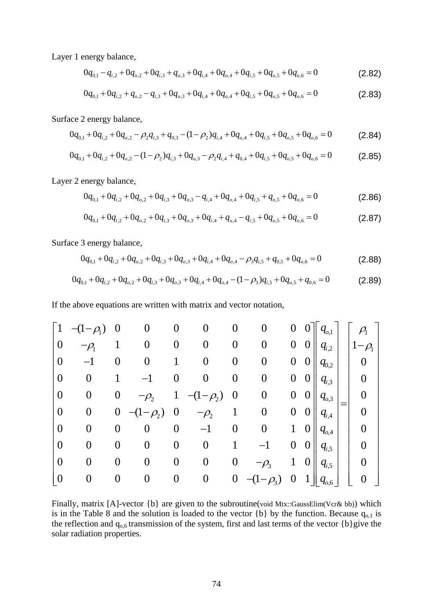Layer 1 energy balance,

$$
0q_{0,1} - q_{i,2} + 0q_{0,2} + 0q_{i,3} + q_{0,3} + 0q_{i,4} + 0q_{0,4} + 0q_{i,5} + 0q_{0,5} + 0q_{0,6} = 0
$$
\n(2.82)

$$
0q_{0,1} + 0q_{i,2} + q_{o,2} - q_{i,3} + 0q_{o,3} + 0q_{i,4} + 0q_{o,4} + 0q_{i,5} + 0q_{o,5} + 0q_{o,6} = 0
$$
\n(2.83)

Surface 2 energy balance,

$$
0q_{0,1} + 0q_{i,2} + 0q_{0,2} - \rho_2 q_{i,3} + q_{0,3} - (1 - \rho_2)q_{i,4} + 0q_{0,4} + 0q_{i,5} + 0q_{0,5} + 0q_{0,6} = 0
$$
 (2.84)

$$
0q_{0,1} + 0q_{i,2} + 0q_{0,2} - (1 - \rho_2)q_{i,3} + 0q_{0,3} - \rho_2 q_{i,4} + q_{0,4} + 0q_{i,5} + 0q_{0,5} + 0q_{0,6} = 0
$$
\n(2.85)

Layer 2 energy balance,

$$
0q_{0,1} + 0q_{i,2} + 0q_{0,2} + 0q_{i,3} + 0q_{0,3} - q_{i,4} + 0q_{0,4} + 0q_{i,5} + q_{0,5} + 0q_{0,6} = 0
$$
\n(2.86)

$$
0q_{0,1} + 0q_{i,2} + 0q_{0,2} + 0q_{i,3} + 0q_{0,3} + 0q_{i,4} + q_{0,4} - q_{i,5} + 0q_{0,5} + 0q_{0,6} = 0
$$
\n(2.87)

Surface 3 energy balance,

$$
0q_{0,1} + 0q_{i,2} + 0q_{0,2} + 0q_{i,3} + 0q_{0,3} + 0q_{i,4} + 0q_{0,4} - \rho_3 q_{i,5} + q_{0,5} + 0q_{0,6} = 0
$$
\n(2.88)

$$
0q_{0,1} + 0q_{i,2} + 0q_{0,2} + 0q_{i,3} + 0q_{0,3} + 0q_{i,4} + 0q_{0,4} - (1 - \rho_3)q_{i,5} + 0q_{0,5} + q_{0,6} = 0
$$
\n(2.89)

If the above equations are written with matrix and vector notation,

| $\lceil 1 \rceil$ | $-(1-\rho_1)$    |                  | O                    | O                | $\bf{0}$         | $\boldsymbol{0}$ | 0                | 0                |                  | $q_{o,1}$    |     | $\rho_{_{\!1}}$           |
|-------------------|------------------|------------------|----------------------|------------------|------------------|------------------|------------------|------------------|------------------|--------------|-----|---------------------------|
| $\boldsymbol{0}$  |                  |                  |                      | O                | $\boldsymbol{0}$ | 0                | $\boldsymbol{0}$ | $\theta$         | $\boldsymbol{0}$ | $q_{i,2}$    |     | $-\rho_{\text{\tiny{l}}}$ |
| $\overline{0}$    |                  | 0                |                      |                  | 0                | 0                | $\boldsymbol{0}$ | $\boldsymbol{0}$ | $\boldsymbol{0}$ | $q_{0,2}$    |     | 0                         |
| $\theta$          | 0                |                  |                      | O                | $\overline{0}$   | $\boldsymbol{0}$ | $\overline{0}$   | $\overline{0}$   | $\boldsymbol{0}$ | $q_{i,3}$    |     |                           |
| $\theta$          | $\boldsymbol{0}$ | $\theta$         | $-\rho$ <sub>2</sub> |                  | $-(1-\rho_2)$    | $\boldsymbol{0}$ | $\boldsymbol{0}$ | 0                | $\theta$         | $q_{o,3}$    |     |                           |
| $\theta$          | $\boldsymbol{0}$ | $\theta$         | $-\rho_{2}$          | O                | $\rho_{_{\!2}}$  |                  | 0                | 0                | $\boldsymbol{0}$ | $q_{i,4}$    | $=$ | $\overline{0}$            |
| $\overline{0}$    | 0                | $\left( \right)$ |                      | 0                |                  | 0                | 0                | $\mathbf{1}$     | $\boldsymbol{0}$ | $q_{o,4}$    |     |                           |
| $\theta$          | 0                | 0                | 0                    | $\overline{0}$   | $\overline{0}$   |                  |                  | $\boldsymbol{0}$ | $\theta$         | $q_{i,5}$    |     |                           |
| $\theta$          |                  | 0                | ( )                  | $\boldsymbol{0}$ | $\overline{0}$   | 0                |                  |                  | $\boldsymbol{0}$ | $q_{i,5}$    |     |                           |
| $\boldsymbol{0}$  |                  |                  |                      | $\boldsymbol{0}$ | 0                | $\boldsymbol{0}$ |                  |                  |                  | $q_{_{o,6}}$ |     |                           |

Finally, matrix [A]-vector {b} are given to the subroutine(void Mtx::GaussElim(Vcr& bb)) which is in the Table 8 and the solution is loaded to the vector  ${b}$  by the function. Because  $q_{0,1}$  is the reflection and  $q_{0,6}$  transmission of the system, first and last terms of the vector  $\{b\}$ give the solar radiation properties.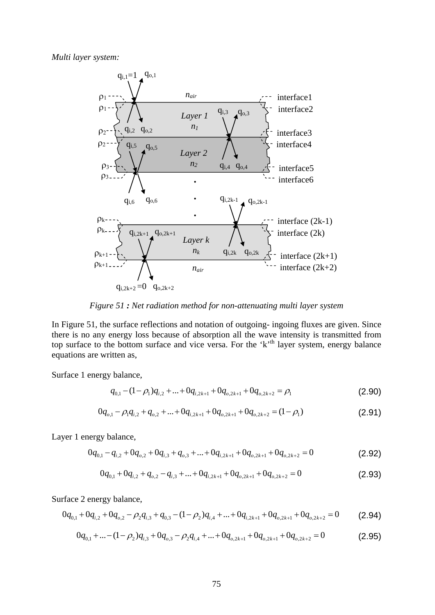*Multi layer system:* 



*Figure 51 : Net radiation method for non-attenuating multi layer system* 

In Figure 51, the surface reflections and notation of outgoing- ingoing fluxes are given. Since there is no any energy loss because of absorption all the wave intensity is transmitted from top surface to the bottom surface and vice versa. For the  $k<sup>th</sup>$  layer system, energy balance equations are written as,

Surface 1 energy balance,

$$
q_{0,1} - (1 - \rho_1)q_{i,2} + \dots + 0q_{i,2k+1} + 0q_{o,2k+1} + 0q_{o,2k+2} = \rho_1
$$
\n(2.90)

$$
0q_{o,1} - \rho_1 q_{i,2} + q_{o,2} + \dots + 0q_{i,2k+1} + 0q_{o,2k+1} + 0q_{o,2k+2} = (1 - \rho_1)
$$
\n(2.91)

Layer 1 energy balance,

$$
0q_{0,1} - q_{i,2} + 0q_{0,2} + 0q_{i,3} + q_{0,3} + \dots + 0q_{i,2k+1} + 0q_{0,2k+1} + 0q_{0,2k+2} = 0
$$
\n(2.92)

$$
0q_{0,1} + 0q_{i,2} + q_{0,2} - q_{i,3} + \dots + 0q_{i,2k+1} + 0q_{0,2k+1} + 0q_{0,2k+2} = 0
$$
\n(2.93)

Surface 2 energy balance,

$$
0q_{0,1} + 0q_{i,2} + 0q_{0,2} - \rho_2 q_{i,3} + q_{0,3} - (1 - \rho_2)q_{i,4} + \dots + 0q_{i,2k+1} + 0q_{0,2k+1} + 0q_{0,2k+2} = 0
$$
 (2.94)

$$
0q_{0,1} + \dots - (1 - \rho_2)q_{i,3} + 0q_{0,3} - \rho_2 q_{i,4} + \dots + 0q_{0,2k+1} + 0q_{0,2k+1} + 0q_{0,2k+2} = 0
$$
\n(2.95)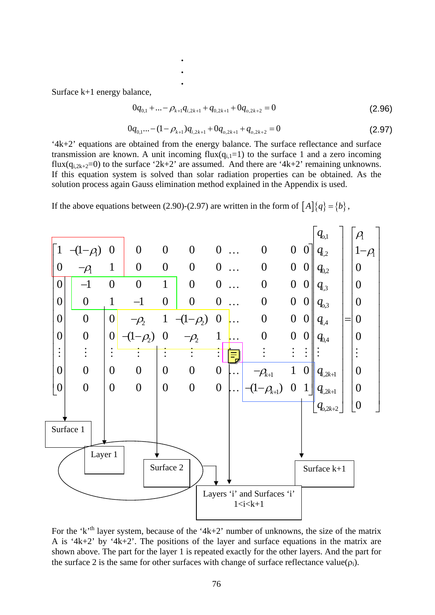Surface k+1 energy balance,

**.**<br>1980年10月11日 - 1980年10月11日 - 1980年10月11日 - 1980年10月11日 **.**<br>1990年10月11日 - 1990年10月11日 - 1990年10月11日 - 1990年10月11日

$$
0q_{0,1} + \dots - \rho_{k+1}q_{i,2k+1} + q_{0,2k+1} + 0q_{0,2k+2} = 0
$$
\n(2.96)

$$
0q_{0,1}...-(1-\rho_{k+1})q_{i,2k+1}+0q_{0,2k+1}+q_{0,2k+2}=0
$$
\n(2.97)

'4k+2' equations are obtained from the energy balance. The surface reflectance and surface transmission are known. A unit incoming  $flux(q_{i,1}=1)$  to the surface 1 and a zero incoming flux( $q_{i,2k+2}=0$ ) to the surface '2k+2' are assumed. And there are '4k+2' remaining unknowns. If this equation system is solved than solar radiation properties can be obtained. As the solution process again Gauss elimination method explained in the Appendix is used.

If the above equations between (2.90)-(2.97) are written in the form of  $[A]\{q\} = \{b\}$ ,

**.** 



For the 'k'<sup>th</sup> layer system, because of the '4k+2' number of unknowns, the size of the matrix A is '4k+2' by '4k+2'. The positions of the layer and surface equations in the matrix are shown above. The part for the layer 1 is repeated exactly for the other layers. And the part for the surface 2 is the same for other surfaces with change of surface reflectance value( $\rho_i$ ).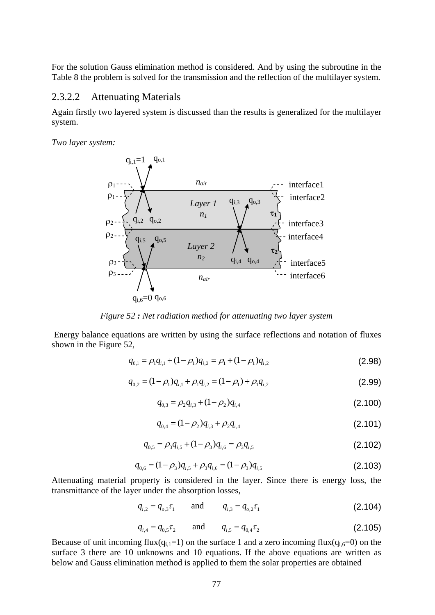For the solution Gauss elimination method is considered. And by using the subroutine in the Table 8 the problem is solved for the transmission and the reflection of the multilayer system.

#### 2.3.2.2 Attenuating Materials

Again firstly two layered system is discussed than the results is generalized for the multilayer system.

*Two layer system:* 



*Figure 52 : Net radiation method for attenuating two layer system*

 Energy balance equations are written by using the surface reflections and notation of fluxes shown in the Figure 52,

$$
q_{0,1} = \rho_1 q_{i,1} + (1 - \rho_1) q_{i,2} = \rho_1 + (1 - \rho_1) q_{i,2}
$$
\n(2.98)

$$
q_{0,2} = (1 - \rho_1)q_{i,1} + \rho_1 q_{i,2} = (1 - \rho_1) + \rho_1 q_{i,2}
$$
\n(2.99)

$$
q_{0,3} = \rho_2 q_{i,3} + (1 - \rho_2) q_{i,4}
$$
 (2.100)

$$
q_{0,4} = (1 - \rho_2)q_{i,3} + \rho_2 q_{i,4}
$$
\n(2.101)

$$
q_{0,5} = \rho_3 q_{i,5} + (1 - \rho_3) q_{i,6} = \rho_3 q_{i,5}
$$
 (2.102)

$$
q_{0,6} = (1 - \rho_3)q_{i,5} + \rho_3 q_{i,6} = (1 - \rho_3)q_{i,5}
$$
\n(2.103)

Attenuating material property is considered in the layer. Since there is energy loss, the transmittance of the layer under the absorption losses,

$$
q_{i,2} = q_{o,3} \tau_1 \quad \text{and} \quad q_{i,3} = q_{o,2} \tau_1 \tag{2.104}
$$

$$
q_{i,4} = q_{0,5} \tau_2 \qquad \text{and} \qquad q_{i,5} = q_{0,4} \tau_2 \tag{2.105}
$$

Because of unit incoming flux(q<sub>i,1</sub>=1) on the surface 1 and a zero incoming flux(q<sub>i,6</sub>=0) on the surface 3 there are 10 unknowns and 10 equations. If the above equations are written as below and Gauss elimination method is applied to them the solar properties are obtained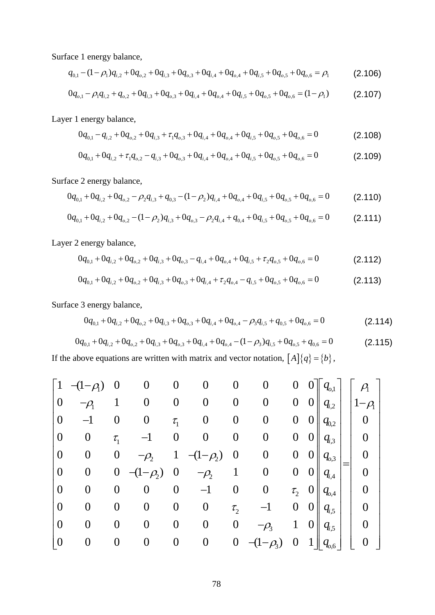Surface 1 energy balance,

$$
q_{0,1} - (1 - \rho_1)q_{i,2} + 0q_{0,2} + 0q_{i,3} + 0q_{0,3} + 0q_{i,4} + 0q_{0,4} + 0q_{i,5} + 0q_{0,5} + 0q_{0,6} = \rho_1
$$
 (2.106)

$$
0q_{o,1} - \rho_1 q_{i,2} + q_{o,2} + 0q_{i,3} + 0q_{o,3} + 0q_{i,4} + 0q_{o,4} + 0q_{i,5} + 0q_{o,5} + 0q_{o,6} = (1 - \rho_1)
$$
 (2.107)

Layer 1 energy balance,

$$
0q_{0,1} - q_{i,2} + 0q_{0,2} + 0q_{i,3} + \tau_1 q_{0,3} + 0q_{i,4} + 0q_{0,4} + 0q_{i,5} + 0q_{0,5} + 0q_{0,6} = 0
$$
\n(2.108)

$$
0q_{0,1} + 0q_{i,2} + \tau_1 q_{0,2} - q_{i,3} + 0q_{0,3} + 0q_{i,4} + 0q_{0,4} + 0q_{i,5} + 0q_{0,5} + 0q_{0,6} = 0
$$
\n(2.109)

Surface 2 energy balance,

$$
0q_{0,1} + 0q_{i,2} + 0q_{0,2} - \rho_2 q_{i,3} + q_{0,3} - (1 - \rho_2)q_{i,4} + 0q_{0,4} + 0q_{i,5} + 0q_{0,5} + 0q_{0,6} = 0
$$
 (2.110)

$$
0q_{0,1} + 0q_{i,2} + 0q_{0,2} - (1 - \rho_2)q_{i,3} + 0q_{0,3} - \rho_2 q_{i,4} + q_{0,4} + 0q_{i,5} + 0q_{0,5} + 0q_{0,6} = 0
$$
 (2.111)

Layer 2 energy balance,

$$
0q_{0,1} + 0q_{i,2} + 0q_{0,2} + 0q_{i,3} + 0q_{0,3} - q_{i,4} + 0q_{0,4} + 0q_{i,5} + \tau_2 q_{0,5} + 0q_{0,6} = 0
$$
\n(2.112)

$$
0q_{0,1} + 0q_{i,2} + 0q_{0,2} + 0q_{i,3} + 0q_{0,3} + 0q_{i,4} + \tau_2 q_{0,4} - q_{i,5} + 0q_{0,5} + 0q_{0,6} = 0
$$
\n(2.113)

Surface 3 energy balance,

$$
0q_{0,1} + 0q_{i,2} + 0q_{0,2} + 0q_{i,3} + 0q_{0,3} + 0q_{i,4} + 0q_{0,4} - \rho_3 q_{i,5} + q_{0,5} + 0q_{0,6} = 0
$$
\n(2.114)

$$
0q_{0,1} + 0q_{i,2} + 0q_{0,2} + 0q_{i,3} + 0q_{0,3} + 0q_{i,4} + 0q_{0,4} - (1 - \rho_3)q_{i,5} + 0q_{0,5} + q_{0,6} = 0
$$
\n(2.115)

If the above equations are written with matrix and vector notation,  $[A](q) = \{b\}$ ,

$$
\begin{bmatrix}\n1 & -\left(1-\rho\right) & 0 & 0 & 0 & 0 & 0 & 0 & 0 & 0 \\
0 & -\rho_1 & 1 & 0 & 0 & 0 & 0 & 0 & 0 & 0 \\
0 & -1 & 0 & 0 & \tau_1 & 0 & 0 & 0 & 0 & 0 \\
0 & 0 & \tau_1 & -1 & 0 & 0 & 0 & 0 & 0 & 0 \\
0 & 0 & 0 & -\rho_2 & 1 & -\left(1-\rho_2\right) & 0 & 0 & 0 & 0 \\
0 & 0 & 0 & -\left(1-\rho_2\right) & 0 & -\rho_2 & 1 & 0 & 0 & 0 \\
0 & 0 & 0 & 0 & 0 & -1 & 0 & 0 & \tau_2 & 0 \\
0 & 0 & 0 & 0 & 0 & 0 & \tau_2 & -1 & 0 & 0 \\
0 & 0 & 0 & 0 & 0 & 0 & \tau_2 & -1 & 0 & 0 \\
0 & 0 & 0 & 0 & 0 & 0 & -\rho_3 & 1 & 0 \\
0 & 0 & 0 & 0 & 0 & 0 & -\rho_3 & 1 & 0 \\
0 & 0 & 0 & 0 & 0 & 0 & -\left(1-\rho_3\right) & 0 & 1\n\end{bmatrix}\n\begin{bmatrix}\n\rho_1 \\
q_{i,2} \\
q_{i,3} \\
q_{i,4} \\
q_{i,5} \\
q_{i,6}\n\end{bmatrix} = \n\begin{bmatrix}\n\rho_1 \\
\rho_2 \\
0 \\
0 \\
0 \\
0 \\
0 \\
0\n\end{bmatrix}
$$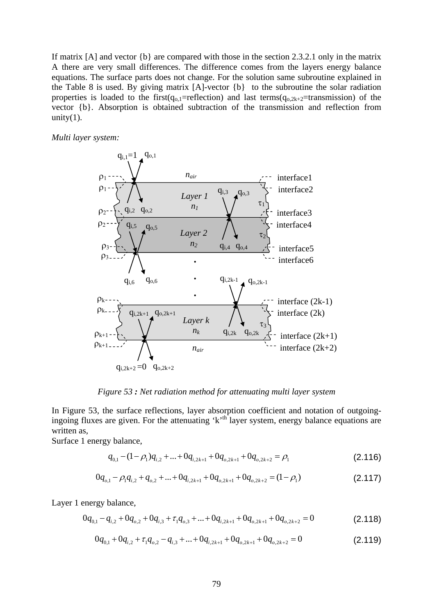If matrix [A] and vector {b} are compared with those in the section 2.3.2.1 only in the matrix A there are very small differences. The difference comes from the layers energy balance equations. The surface parts does not change. For the solution same subroutine explained in the Table 8 is used. By giving matrix [A]-vector {b} to the subroutine the solar radiation properties is loaded to the first( $q_{o,1}$ =reflection) and last terms( $q_{o,2k+2}$ =transmission) of the vector {b}. Absorption is obtained subtraction of the transmission and reflection from unity $(1)$ .

#### *Multi layer system:*



*Figure 53 : Net radiation method for attenuating multi layer system* 

In Figure 53, the surface reflections, layer absorption coefficient and notation of outgoingingoing fluxes are given. For the attenuating  $k^{\text{th}}$  layer system, energy balance equations are written as,

Surface 1 energy balance,

$$
q_{0,1} - (1 - \rho_1)q_{i,2} + \dots + 0q_{i,2k+1} + 0q_{o,2k+1} + 0q_{o,2k+2} = \rho_1
$$
\n(2.116)

$$
0q_{o,1} - \rho_1 q_{i,2} + q_{o,2} + \dots + 0q_{i,2k+1} + 0q_{o,2k+1} + 0q_{o,2k+2} = (1 - \rho_1)
$$
\n(2.117)

Layer 1 energy balance,

$$
0q_{0,1} - q_{i,2} + 0q_{0,2} + 0q_{i,3} + \tau_1 q_{0,3} + \dots + 0q_{i,2k+1} + 0q_{0,2k+1} + 0q_{0,2k+2} = 0
$$
\n(2.118)

$$
0q_{0,1} + 0q_{i,2} + \tau_1 q_{0,2} - q_{i,3} + \dots + 0q_{i,2k+1} + 0q_{0,2k+1} + 0q_{0,2k+2} = 0
$$
\n(2.119)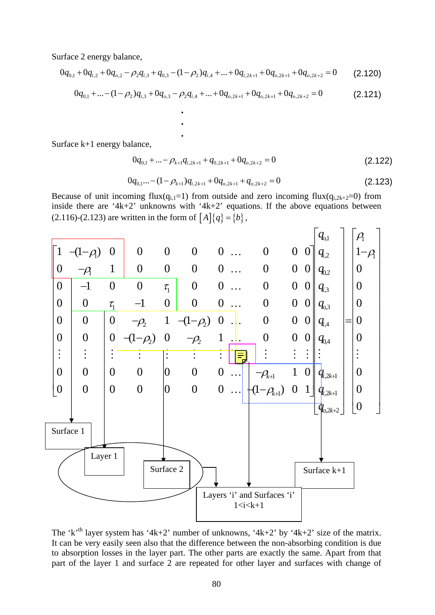Surface 2 energy balance,

$$
0q_{0,1} + 0q_{i,2} + 0q_{0,2} - \rho_2 q_{i,3} + q_{0,3} - (1 - \rho_2)q_{i,4} + \dots + 0q_{i,2k+1} + 0q_{0,2k+1} + 0q_{0,2k+2} = 0
$$
 (2.120)

**.**

$$
0q_{0,1} + \dots - (1 - \rho_2)q_{i,3} + 0q_{0,3} - \rho_2 q_{i,4} + \dots + 0q_{0,2k+1} + 0q_{0,2k+1} + 0q_{0,2k+2} = 0
$$
\n(2.121)

Surface k+1 energy balance,

**.** 

**.**

$$
0q_{0,1} + ... - \rho_{k+1}q_{i,2k+1} + q_{0,2k+1} + 0q_{0,2k+2} = 0
$$
\n(2.122)

$$
0q_{0,1}...-(1-\rho_{k+1})q_{i,2k+1}+0q_{0,2k+1}+q_{0,2k+2}=0
$$
\n(2.123)

Because of unit incoming flux( $q_{i,1}=1$ ) from outside and zero incoming flux( $q_{i,2k+2}=0$ ) from inside there are '4k+2' unknowns with '4k+2' equations. If the above equations between (2.116)-(2.123) are written in the form of  $[A]\{q\} = \{b\},\$ 



The 'k'<sup>th</sup> layer system has '4k+2' number of unknowns, '4k+2' by '4k+2' size of the matrix. It can be very easily seen also that the difference between the non-absorbing condition is due to absorption losses in the layer part. The other parts are exactly the same. Apart from that part of the layer 1 and surface 2 are repeated for other layer and surfaces with change of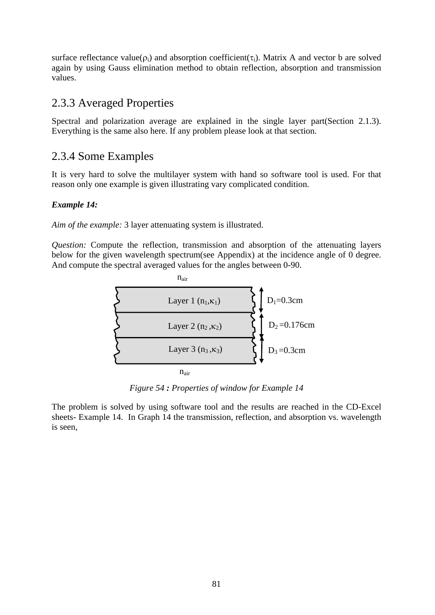surface reflectance value( $\rho_i$ ) and absorption coefficient( $\tau_i$ ). Matrix A and vector b are solved again by using Gauss elimination method to obtain reflection, absorption and transmission values.

# 2.3.3 Averaged Properties

Spectral and polarization average are explained in the single layer part(Section 2.1.3). Everything is the same also here. If any problem please look at that section.

# 2.3.4 Some Examples

It is very hard to solve the multilayer system with hand so software tool is used. For that reason only one example is given illustrating vary complicated condition.

# *Example 14:*

*Aim of the example:* 3 layer attenuating system is illustrated.

*Question:* Compute the reflection, transmission and absorption of the attenuating layers below for the given wavelength spectrum(see Appendix) at the incidence angle of 0 degree. And compute the spectral averaged values for the angles between 0-90.



*Figure 54 : Properties of window for Example 14* 

The problem is solved by using software tool and the results are reached in the CD-Excel sheets- Example 14. In Graph 14 the transmission, reflection, and absorption vs. wavelength is seen,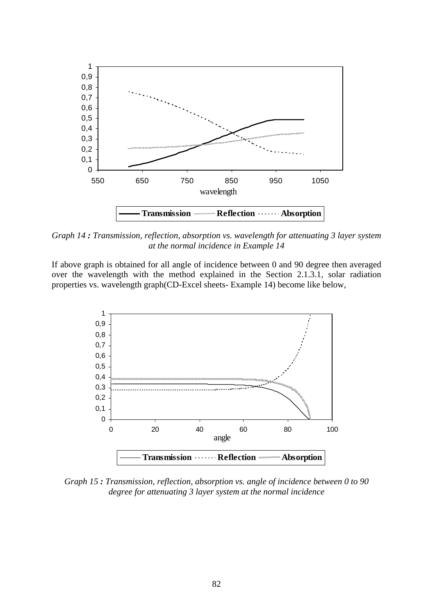

*Graph 14 : Transmission, reflection, absorption vs. wavelength for attenuating 3 layer system at the normal incidence in Example 14* 

If above graph is obtained for all angle of incidence between 0 and 90 degree then averaged over the wavelength with the method explained in the Section 2.1.3.1, solar radiation properties vs. wavelength graph(CD-Excel sheets- Example 14) become like below,



*Graph 15 : Transmission, reflection, absorption vs. angle of incidence between 0 to 90 degree for attenuating 3 layer system at the normal incidence*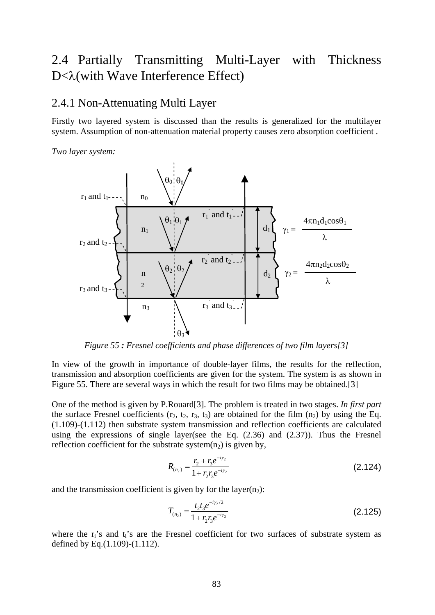# 2.4 Partially Transmitting Multi-Layer with Thickness D<λ(with Wave Interference Effect)

# 2.4.1 Non-Attenuating Multi Layer

Firstly two layered system is discussed than the results is generalized for the multilayer system. Assumption of non-attenuation material property causes zero absorption coefficient .

*Two layer system:*



*Figure 55 : Fresnel coefficients and phase differences of two film layers[3]* 

In view of the growth in importance of double-layer films, the results for the reflection, transmission and absorption coefficients are given for the system. The system is as shown in Figure 55. There are several ways in which the result for two films may be obtained.[3]

One of the method is given by P.Rouard[3]. The problem is treated in two stages. *In first part* the surface Fresnel coefficients  $(r_2, t_2, r_3, t_3)$  are obtained for the film  $(n_2)$  by using the Eq. (1.109)-(1.112) then substrate system transmission and reflection coefficients are calculated using the expressions of single layer(see the Eq. (2.36) and (2.37)). Thus the Fresnel reflection coefficient for the substrate system $(p_2)$  is given by,

$$
R_{(n_2)} = \frac{r_2 + r_3 e^{-i\gamma_2}}{1 + r_2 r_3 e^{-i\gamma_2}}
$$
 (2.124)

and the transmission coefficient is given by for the layer $(n_2)$ :

$$
T_{(n_2)} = \frac{t_2 t_3 e^{-i\gamma_2/2}}{1 + r_2 r_3 e^{-i\gamma_2}}
$$
\n(2.125)

where the  $r_i$ 's and  $t_i$ 's are the Fresnel coefficient for two surfaces of substrate system as defined by Eq.(1.109)-(1.112).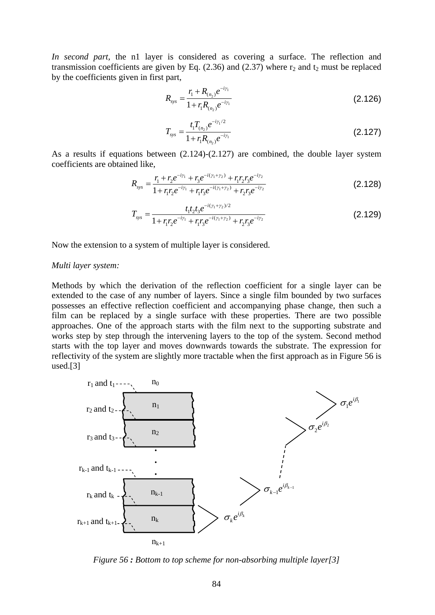*In second part,* the n1 layer is considered as covering a surface. The reflection and transmission coefficients are given by Eq.  $(2.36)$  and  $(2.37)$  where  $r_2$  and  $t_2$  must be replaced by the coefficients given in first part,

$$
R_{\rm sys} = \frac{r_{\rm i} + R_{(n_2)}e^{-i\gamma_1}}{1 + r_{\rm i}R_{(n_2)}e^{-i\gamma_1}}
$$
(2.126)

$$
T_{\rm sys} = \frac{t_1 T_{(n_2)} e^{-i\gamma_1/2}}{1 + r_1 R_{(n_2)} e^{-i\gamma_1}}
$$
\n(2.127)

As a results if equations between (2.124)-(2.127) are combined, the double layer system coefficients are obtained like,

$$
R_{\rm sys} = \frac{r_1 + r_2 e^{-i\gamma_1} + r_3 e^{-i(\gamma_1 + \gamma_2)} + r_1 r_2 r_3 e^{-i\gamma_2}}{1 + r_1 r_2 e^{-i\gamma_1} + r_1 r_3 e^{-i(\gamma_1 + \gamma_2)} + r_2 r_3 e^{-i\gamma_2}}
$$
(2.128)

$$
T_{\rm sys} = \frac{t_1 t_2 t_3 e^{-i(\gamma_1 + \gamma_2)/2}}{1 + r_1 r_2 e^{-i\gamma_1} + r_1 r_3 e^{-i(\gamma_1 + \gamma_2)} + r_2 r_3 e^{-i\gamma_2}}
$$
(2.129)

Now the extension to a system of multiple layer is considered.

#### *Multi layer system:*

Methods by which the derivation of the reflection coefficient for a single layer can be extended to the case of any number of layers. Since a single film bounded by two surfaces possesses an effective reflection coefficient and accompanying phase change, then such a film can be replaced by a single surface with these properties. There are two possible approaches. One of the approach starts with the film next to the supporting substrate and works step by step through the intervening layers to the top of the system. Second method starts with the top layer and moves downwards towards the substrate. The expression for reflectivity of the system are slightly more tractable when the first approach as in Figure 56 is used.[3]



*Figure 56 : Bottom to top scheme for non-absorbing multiple layer[3]*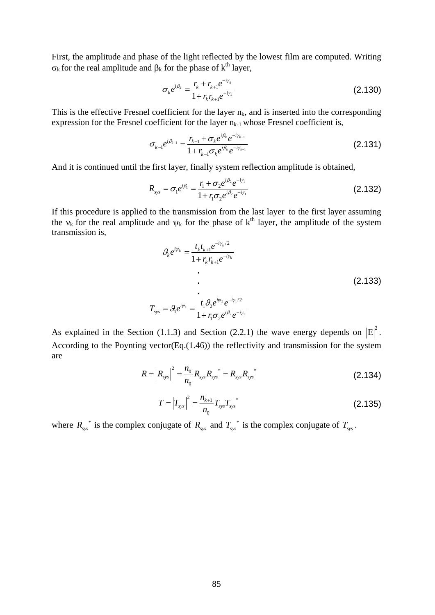First, the amplitude and phase of the light reflected by the lowest film are computed. Writing  $\sigma_k$  for the real amplitude and  $\beta_k$  for the phase of k<sup>th</sup> layer,

$$
\sigma_k e^{i\beta_k} = \frac{r_k + r_{k+1}e^{-i\gamma_k}}{1 + r_k r_{k+1}e^{-i\gamma_k}}
$$
\n(2.130)

This is the effective Fresnel coefficient for the layer  $n_k$ , and is inserted into the corresponding expression for the Fresnel coefficient for the layer  $n_{k-1}$  whose Fresnel coefficient is,

$$
\sigma_{k-1}e^{i\beta_{k-1}} = \frac{r_{k-1} + \sigma_k e^{i\beta_k} e^{-i\gamma_{k-1}}}{1 + r_{k-1}\sigma_k e^{i\beta_k} e^{-i\gamma_{k-1}}}
$$
(2.131)

And it is continued until the first layer, finally system reflection amplitude is obtained,

$$
R_{\rm sys} = \sigma_1 e^{i\beta_1} = \frac{r_1 + \sigma_2 e^{i\beta_2} e^{-i\gamma_1}}{1 + r_1 \sigma_2 e^{i\beta_2} e^{-i\gamma_1}}
$$
(2.132)

If this procedure is applied to the transmission from the last layer to the first layer assuming the  $v_k$  for the real amplitude and  $\psi_k$  for the phase of  $k^{th}$  layer, the amplitude of the system transmission is,

$$
\mathcal{G}_k e^{i\psi_k} = \frac{t_k t_{k+1} e^{-i\gamma_k/2}}{1 + r_k r_{k+1} e^{-i\gamma_k}}
$$
\n
$$
\vdots
$$
\n
$$
T_{\text{sys}} = \mathcal{G}_1 e^{i\psi_1} = \frac{t_1 \mathcal{G}_2 e^{i\psi_2} e^{-i\gamma_1/2}}{1 + r_1 \sigma_2 e^{i\beta_2} e^{-i\gamma_1}}
$$
\n(2.133)

As explained in the Section (1.1.3) and Section (2.2.1) the wave energy depends on  $|E|^2$ . According to the Poynting vector(Eq.(1.46)) the reflectivity and transmission for the system are

$$
R = |R_{sys}|^2 = \frac{n_0}{n_0} R_{sys} R_{sys}^* = R_{sys} R_{sys}^*
$$
 (2.134)

$$
T = \left| T_{\rm sys} \right|^2 = \frac{n_{k+1}}{n_0} T_{\rm sys} T_{\rm sys}^*
$$
\n(2.135)

where  $R_{sys}^*$  is the complex conjugate of  $R_{sys}$  and  $T_{sys}^*$  is the complex conjugate of  $T_{sys}$ .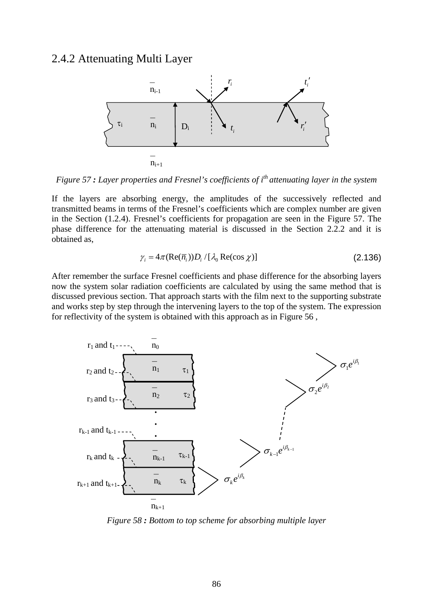# 2.4.2 Attenuating Multi Layer



*Figure 57* : Layer properties and Fresnel's coefficients of i<sup>th</sup> attenuating layer in the system

If the layers are absorbing energy, the amplitudes of the successively reflected and transmitted beams in terms of the Fresnel's coefficients which are complex number are given in the Section (1.2.4). Fresnel's coefficients for propagation are seen in the Figure 57. The phase difference for the attenuating material is discussed in the Section 2.2.2 and it is obtained as,

$$
\gamma_i = 4\pi (\text{Re}(\overline{n}_i)) D_i / [\lambda_0 \text{Re}(\cos \chi)] \tag{2.136}
$$

After remember the surface Fresnel coefficients and phase difference for the absorbing layers now the system solar radiation coefficients are calculated by using the same method that is discussed previous section. That approach starts with the film next to the supporting substrate and works step by step through the intervening layers to the top of the system. The expression for reflectivity of the system is obtained with this approach as in Figure 56 ,



*Figure 58 : Bottom to top scheme for absorbing multiple layer*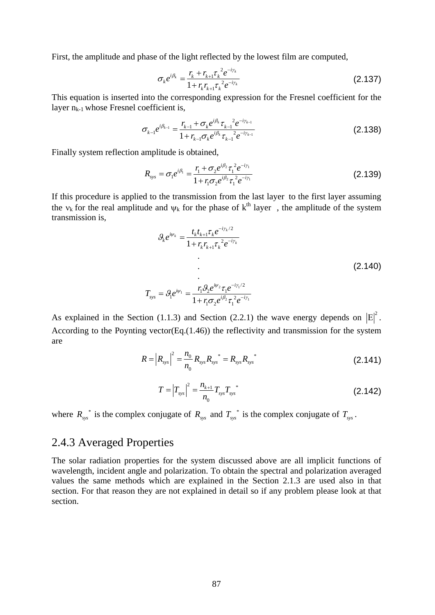First, the amplitude and phase of the light reflected by the lowest film are computed,

$$
\sigma_k e^{i\beta_k} = \frac{r_k + r_{k+1} \tau_k^2 e^{-i\gamma_k}}{1 + r_k r_{k+1} \tau_k^2 e^{-i\gamma_k}}
$$
(2.137)

This equation is inserted into the corresponding expression for the Fresnel coefficient for the layer  $n_{k-1}$  whose Fresnel coefficient is,

$$
\sigma_{k-1}e^{i\beta_{k-1}} = \frac{r_{k-1} + \sigma_k e^{i\beta_k} \tau_{k-1}^2 e^{-i\gamma_{k-1}}}{1 + r_{k-1}\sigma_k e^{i\beta_k} \tau_{k-1}^2 e^{-i\gamma_{k-1}}}
$$
(2.138)

Finally system reflection amplitude is obtained,

$$
R_{\rm sys} = \sigma_1 e^{i\beta_1} = \frac{r_1 + \sigma_2 e^{i\beta_2} \tau_1^2 e^{-i\gamma_1}}{1 + r_1 \sigma_2 e^{i\beta_2} \tau_1^2 e^{-i\gamma_1}}
$$
(2.139)

If this procedure is applied to the transmission from the last layer to the first layer assuming the  $v_k$  for the real amplitude and  $\psi_k$  for the phase of  $k^{th}$  layer, the amplitude of the system transmission is,

$$
\mathcal{G}_k e^{i\psi_k} = \frac{t_k t_{k+1} \tau_k e^{-i\gamma_k/2}}{1 + r_k r_{k+1} \tau_k^2 e^{-i\gamma_k}}
$$
\n
$$
\vdots
$$
\n
$$
T_{\text{sys}} = \mathcal{G}_1 e^{i\psi_1} = \frac{r_1 \mathcal{G}_2 e^{i\psi_2} \tau_1 e^{-i\gamma_1/2}}{1 + r_1 \sigma_2 e^{i\beta_2} \tau_1^2 e^{-i\gamma_1}}
$$
\n(2.140)

As explained in the Section (1.1.3) and Section (2.2.1) the wave energy depends on  $|E|^2$ . According to the Poynting vector(Eq.(1.46)) the reflectivity and transmission for the system are

$$
R = |R_{sys}|^2 = \frac{n_0}{n_0} R_{sys} R_{sys}^* = R_{sys} R_{sys}^*
$$
 (2.141)

$$
T = \left| T_{\rm sys} \right|^2 = \frac{n_{k+1}}{n_0} T_{\rm sys} T_{\rm sys}^*
$$
\n(2.142)

where  $R_{sys}^*$  is the complex conjugate of  $R_{sys}$  and  $T_{sys}^*$  is the complex conjugate of  $T_{sys}$ .

# 2.4.3 Averaged Properties

The solar radiation properties for the system discussed above are all implicit functions of wavelength, incident angle and polarization. To obtain the spectral and polarization averaged values the same methods which are explained in the Section 2.1.3 are used also in that section. For that reason they are not explained in detail so if any problem please look at that section.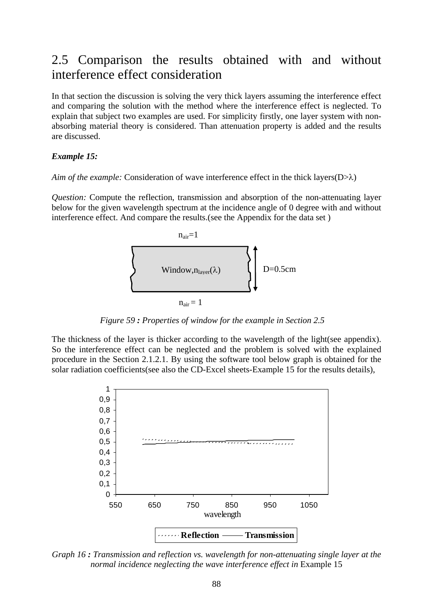# 2.5 Comparison the results obtained with and without interference effect consideration

In that section the discussion is solving the very thick layers assuming the interference effect and comparing the solution with the method where the interference effect is neglected. To explain that subject two examples are used. For simplicity firstly, one layer system with nonabsorbing material theory is considered. Than attenuation property is added and the results are discussed.

#### *Example 15:*

*Aim of the example:* Consideration of wave interference effect in the thick layers(D>λ)

*Question:* Compute the reflection, transmission and absorption of the non-attenuating layer below for the given wavelength spectrum at the incidence angle of 0 degree with and without interference effect. And compare the results.(see the Appendix for the data set )



 $n_{\text{air}} = 1$ 

*Figure 59 : Properties of window for the example in Section 2.5* 

The thickness of the layer is thicker according to the wavelength of the light(see appendix). So the interference effect can be neglected and the problem is solved with the explained procedure in the Section 2.1.2.1. By using the software tool below graph is obtained for the solar radiation coefficients(see also the CD-Excel sheets-Example 15 for the results details),



*Graph 16 : Transmission and reflection vs. wavelength for non-attenuating single layer at the normal incidence neglecting the wave interference effect in* Example 15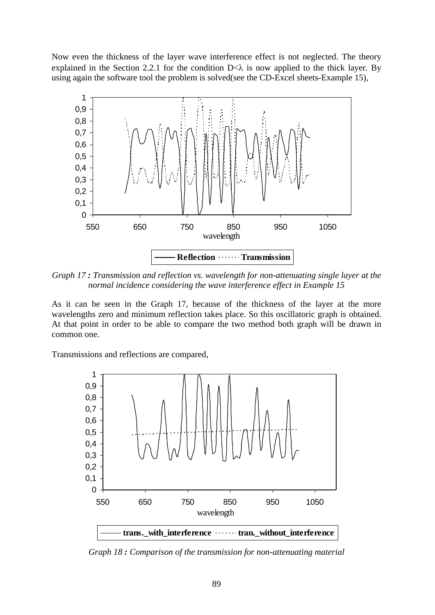Now even the thickness of the layer wave interference effect is not neglected. The theory explained in the Section 2.2.1 for the condition  $D<\lambda$  is now applied to the thick layer. By using again the software tool the problem is solved(see the CD-Excel sheets-Example 15),



*Graph 17 : Transmission and reflection vs. wavelength for non-attenuating single layer at the normal incidence considering the wave interference effect in Example 15* 

As it can be seen in the Graph 17, because of the thickness of the layer at the more wavelengths zero and minimum reflection takes place. So this oscillatoric graph is obtained. At that point in order to be able to compare the two method both graph will be drawn in common one.

Transmissions and reflections are compared,



*Graph 18 : Comparison of the transmission for non-attenuating material*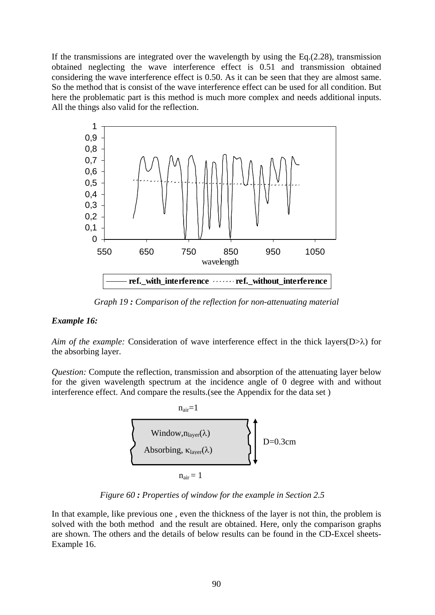If the transmissions are integrated over the wavelength by using the  $Eq.(2.28)$ , transmission obtained neglecting the wave interference effect is 0.51 and transmission obtained considering the wave interference effect is 0.50. As it can be seen that they are almost same. So the method that is consist of the wave interference effect can be used for all condition. But here the problematic part is this method is much more complex and needs additional inputs. All the things also valid for the reflection.



*Graph 19 : Comparison of the reflection for non-attenuating material* 

## *Example 16:*

*Aim of the example:* Consideration of wave interference effect in the thick layers(D>λ) for the absorbing layer.

*Question:* Compute the reflection, transmission and absorption of the attenuating layer below for the given wavelength spectrum at the incidence angle of 0 degree with and without interference effect. And compare the results.(see the Appendix for the data set )



*Figure 60 : Properties of window for the example in Section 2.5* 

In that example, like previous one , even the thickness of the layer is not thin, the problem is solved with the both method and the result are obtained. Here, only the comparison graphs are shown. The others and the details of below results can be found in the CD-Excel sheets-Example 16.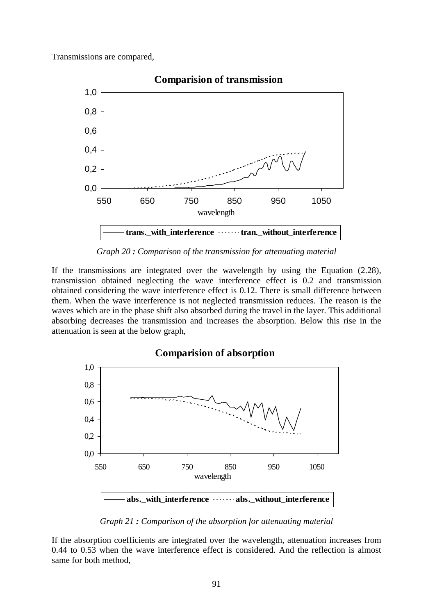Transmissions are compared,



**Comparision of transmission**

*Graph 20 : Comparison of the transmission for attenuating material* 

If the transmissions are integrated over the wavelength by using the Equation (2.28), transmission obtained neglecting the wave interference effect is 0.2 and transmission obtained considering the wave interference effect is 0.12. There is small difference between them. When the wave interference is not neglected transmission reduces. The reason is the waves which are in the phase shift also absorbed during the travel in the layer. This additional absorbing decreases the transmission and increases the absorption. Below this rise in the attenuation is seen at the below graph,



*Graph 21 : Comparison of the absorption for attenuating material* 

If the absorption coefficients are integrated over the wavelength, attenuation increases from 0.44 to 0.53 when the wave interference effect is considered. And the reflection is almost same for both method,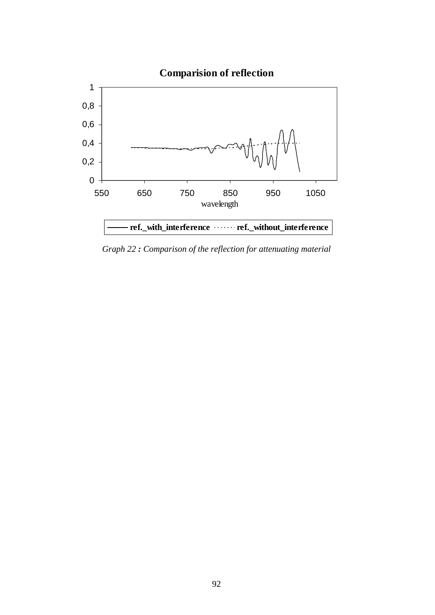

*Graph 22 : Comparison of the reflection for attenuating material*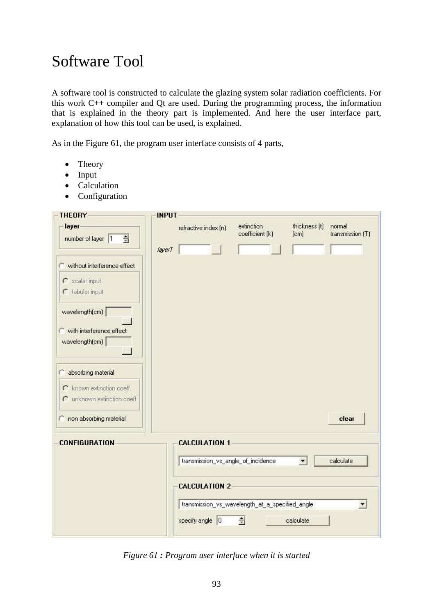# Software Tool

A software tool is constructed to calculate the glazing system solar radiation coefficients. For this work C++ compiler and Qt are used. During the programming process, the information that is explained in the theory part is implemented. And here the user interface part, explanation of how this tool can be used, is explained.

As in the Figure 61, the program user interface consists of 4 parts,

- Theory
- Input
- Calculation
- Configuration

| <b>THEORY</b>                                                                  | <b>INPUT</b> |                                    |                                                 |                       |                            |
|--------------------------------------------------------------------------------|--------------|------------------------------------|-------------------------------------------------|-----------------------|----------------------------|
| layer<br>$\frac{1}{2}$<br>number of layer 1                                    |              | refractive index (n)               | extinction<br>coefficient (k)                   | thickness (t)<br>[cm] | normal<br>transmission (T) |
|                                                                                | layer1       |                                    |                                                 |                       |                            |
| without interference effect<br>C<br>$\Gamma$ scalar input<br>$C$ tabular input |              |                                    |                                                 |                       |                            |
| wavelength(cm)                                                                 |              |                                    |                                                 |                       |                            |
| with interference effect<br>wavelength(cm)                                     |              |                                    |                                                 |                       |                            |
| absorbing material                                                             |              |                                    |                                                 |                       |                            |
| C known extinction coeff.<br>C unknown extinction coeff.                       |              |                                    |                                                 |                       |                            |
| non absorbing material                                                         |              |                                    |                                                 |                       | clear                      |
| <b>CONFIGURATION</b>                                                           |              | <b>CALCULATION 1</b>               |                                                 |                       |                            |
|                                                                                |              | transmission_vs_angle_of_incidence |                                                 | $\blacktriangledown$  | calculate                  |
|                                                                                |              | <b>CALCULATION 2</b>               |                                                 |                       |                            |
|                                                                                |              |                                    | transmission_vs_wavelength_at_a_specified_angle |                       | $\blacktriangledown$       |
|                                                                                |              | specify angle 0                    | 승                                               | calculate             |                            |

*Figure 61 : Program user interface when it is started*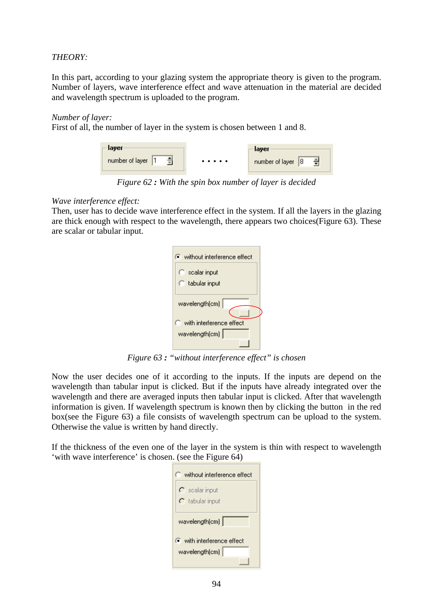# *THEORY:*

In this part, according to your glazing system the appropriate theory is given to the program. Number of layers, wave interference effect and wave attenuation in the material are decided and wavelength spectrum is uploaded to the program.

## *Number of layer:*

First of all, the number of layer in the system is chosen between 1 and 8.



*Figure 62 : With the spin box number of layer is decided* 

# *Wave interference effect:*

Then, user has to decide wave interference effect in the system. If all the layers in the glazing are thick enough with respect to the wavelength, there appears two choices(Figure 63). These are scalar or tabular input.

| $\bullet$ without interference effect |
|---------------------------------------|
| C scalar input<br>C tabular input     |
| wavelength(cm)                        |
| $\Box$ with interference effect       |
| wavelength(cm)                        |

*Figure 63 : "without interference effect" is chosen* 

Now the user decides one of it according to the inputs. If the inputs are depend on the wavelength than tabular input is clicked. But if the inputs have already integrated over the wavelength and there are averaged inputs then tabular input is clicked. After that wavelength information is given. If wavelength spectrum is known then by clicking the button in the red box(see the Figure 63) a file consists of wavelength spectrum can be upload to the system. Otherwise the value is written by hand directly.

If the thickness of the even one of the layer in the system is thin with respect to wavelength 'with wave interference' is chosen. (see the Figure 64)

| without interference effect                                    |
|----------------------------------------------------------------|
| $\Gamma$ scalar input<br>$\cap$ tabular input                  |
| wavelength(cm)                                                 |
| $\widehat{\bullet}$ with interference effect<br>wavelength(cm) |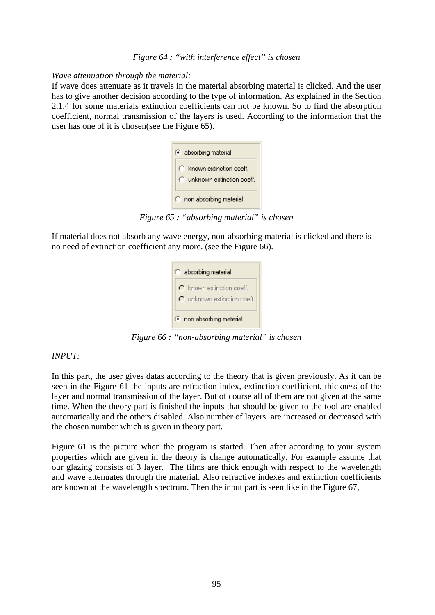#### *Wave attenuation through the material:*

If wave does attenuate as it travels in the material absorbing material is clicked. And the user has to give another decision according to the type of information. As explained in the Section 2.1.4 for some materials extinction coefficients can not be known. So to find the absorption coefficient, normal transmission of the layers is used. According to the information that the user has one of it is chosen(see the Figure 65).



*Figure 65 : "absorbing material" is chosen* 

If material does not absorb any wave energy, non-absorbing material is clicked and there is no need of extinction coefficient any more. (see the Figure 66).



*Figure 66 : "non-absorbing material" is chosen* 

## *INPUT:*

In this part, the user gives datas according to the theory that is given previously. As it can be seen in the Figure 61 the inputs are refraction index, extinction coefficient, thickness of the layer and normal transmission of the layer. But of course all of them are not given at the same time. When the theory part is finished the inputs that should be given to the tool are enabled automatically and the others disabled. Also number of layers are increased or decreased with the chosen number which is given in theory part.

Figure 61 is the picture when the program is started. Then after according to your system properties which are given in the theory is change automatically. For example assume that our glazing consists of 3 layer. The films are thick enough with respect to the wavelength and wave attenuates through the material. Also refractive indexes and extinction coefficients are known at the wavelength spectrum. Then the input part is seen like in the Figure 67,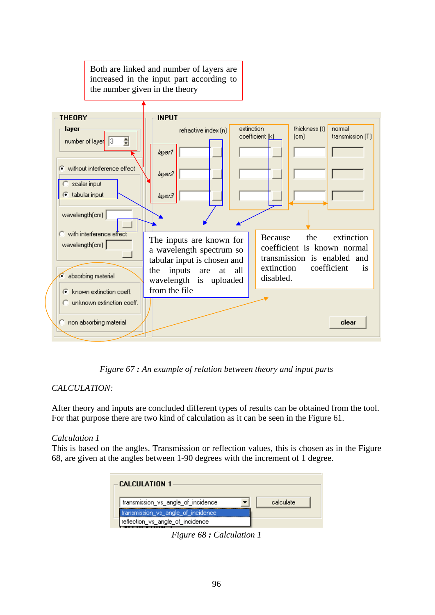

*Figure 67 : An example of relation between theory and input parts* 

# *CALCULATION:*

After theory and inputs are concluded different types of results can be obtained from the tool. For that purpose there are two kind of calculation as it can be seen in the Figure 61.

# *Calculation 1*

This is based on the angles. Transmission or reflection values, this is chosen as in the Figure 68, are given at the angles between 1-90 degrees with the increment of 1 degree.

| <b>CALCULATION 1</b>               |           |
|------------------------------------|-----------|
| transmission vs angle of incidence | calculate |
| transmission vs angle of incidence |           |
| reflection vs_angle_of_incidence   |           |

*Figure 68 : Calculation 1*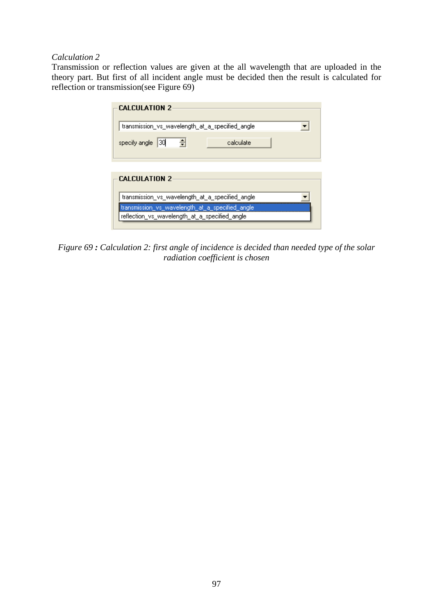## *Calculation 2*

Transmission or reflection values are given at the all wavelength that are uploaded in the theory part. But first of all incident angle must be decided then the result is calculated for reflection or transmission(see Figure 69)

| <b>CALCULATION 2</b>                            |
|-------------------------------------------------|
| transmission_vs_wavelength_at_a_specified_angle |
| specify angle 30<br>츽<br>calculate              |
|                                                 |
| <b>CALCULATION 2</b>                            |
| transmission_vs_wavelength_at_a_specified_angle |
| transmission_vs_wavelength_at_a_specified_angle |
| reflection_vs_wavelength_at_a_specified_angle   |
|                                                 |

*Figure 69 : Calculation 2: first angle of incidence is decided than needed type of the solar radiation coefficient is chosen*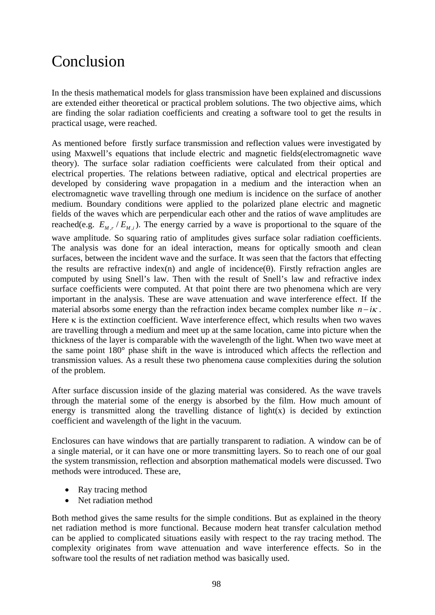# Conclusion

In the thesis mathematical models for glass transmission have been explained and discussions are extended either theoretical or practical problem solutions. The two objective aims, which are finding the solar radiation coefficients and creating a software tool to get the results in practical usage, were reached.

As mentioned before firstly surface transmission and reflection values were investigated by using Maxwell's equations that include electric and magnetic fields(electromagnetic wave theory). The surface solar radiation coefficients were calculated from their optical and electrical properties. The relations between radiative, optical and electrical properties are developed by considering wave propagation in a medium and the interaction when an electromagnetic wave travelling through one medium is incidence on the surface of another medium. Boundary conditions were applied to the polarized plane electric and magnetic fields of the waves which are perpendicular each other and the ratios of wave amplitudes are reached(e.g.  $E_{Mr}/E_{Mi}$ ). The energy carried by a wave is proportional to the square of the wave amplitude. So squaring ratio of amplitudes gives surface solar radiation coefficients. The analysis was done for an ideal interaction, means for optically smooth and clean surfaces, between the incident wave and the surface. It was seen that the factors that effecting the results are refractive index(n) and angle of incidence( $\theta$ ). Firstly refraction angles are computed by using Snell's law. Then with the result of Snell's law and refractive index surface coefficients were computed. At that point there are two phenomena which are very important in the analysis. These are wave attenuation and wave interference effect. If the material absorbs some energy than the refraction index became complex number like  $n - i\kappa$ . Here  $\kappa$  is the extinction coefficient. Wave interference effect, which results when two waves are travelling through a medium and meet up at the same location, came into picture when the thickness of the layer is comparable with the wavelength of the light. When two wave meet at the same point 180° phase shift in the wave is introduced which affects the reflection and transmission values. As a result these two phenomena cause complexities during the solution of the problem.

After surface discussion inside of the glazing material was considered. As the wave travels through the material some of the energy is absorbed by the film. How much amount of energy is transmitted along the travelling distance of light $(x)$  is decided by extinction coefficient and wavelength of the light in the vacuum.

Enclosures can have windows that are partially transparent to radiation. A window can be of a single material, or it can have one or more transmitting layers. So to reach one of our goal the system transmission, reflection and absorption mathematical models were discussed. Two methods were introduced. These are,

- Ray tracing method
- Net radiation method

Both method gives the same results for the simple conditions. But as explained in the theory net radiation method is more functional. Because modern heat transfer calculation method can be applied to complicated situations easily with respect to the ray tracing method. The complexity originates from wave attenuation and wave interference effects. So in the software tool the results of net radiation method was basically used.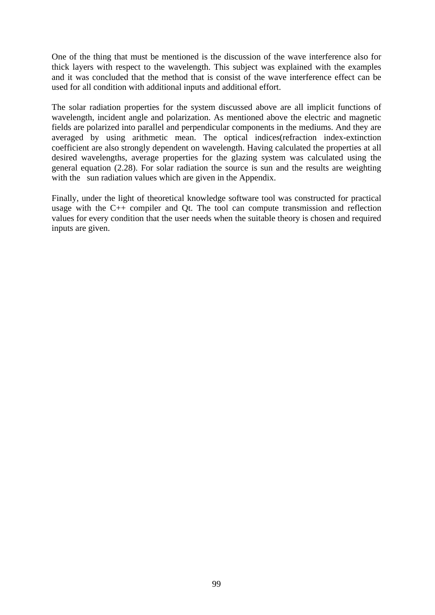One of the thing that must be mentioned is the discussion of the wave interference also for thick layers with respect to the wavelength. This subject was explained with the examples and it was concluded that the method that is consist of the wave interference effect can be used for all condition with additional inputs and additional effort.

The solar radiation properties for the system discussed above are all implicit functions of wavelength, incident angle and polarization. As mentioned above the electric and magnetic fields are polarized into parallel and perpendicular components in the mediums. And they are averaged by using arithmetic mean. The optical indices(refraction index-extinction coefficient are also strongly dependent on wavelength. Having calculated the properties at all desired wavelengths, average properties for the glazing system was calculated using the general equation (2.28). For solar radiation the source is sun and the results are weighting with the sun radiation values which are given in the Appendix.

Finally, under the light of theoretical knowledge software tool was constructed for practical usage with the C++ compiler and Qt. The tool can compute transmission and reflection values for every condition that the user needs when the suitable theory is chosen and required inputs are given.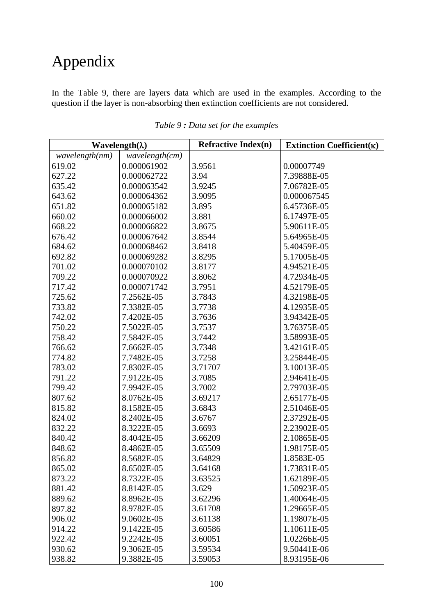## Appendix

In the Table 9, there are layers data which are used in the examples. According to the question if the layer is non-absorbing then extinction coefficients are not considered.

|                | Wavelength( $\lambda$ ) | <b>Refractive Index(n)</b> | Extinction Coefficient( $\kappa$ ) |
|----------------|-------------------------|----------------------------|------------------------------------|
| wavelength(nm) | wavelength(cm)          |                            |                                    |
| 619.02         | 0.000061902             | 3.9561                     | 0.00007749                         |
| 627.22         | 0.000062722             | 3.94                       | 7.39888E-05                        |
| 635.42         | 0.000063542             | 3.9245                     | 7.06782E-05                        |
| 643.62         | 0.000064362             | 3.9095                     | 0.000067545                        |
| 651.82         | 0.000065182             | 3.895                      | 6.45736E-05                        |
| 660.02         | 0.000066002             | 3.881                      | 6.17497E-05                        |
| 668.22         | 0.000066822             | 3.8675                     | 5.90611E-05                        |
| 676.42         | 0.000067642             | 3.8544                     | 5.64965E-05                        |
| 684.62         | 0.000068462             | 3.8418                     | 5.40459E-05                        |
| 692.82         | 0.000069282             | 3.8295                     | 5.17005E-05                        |
| 701.02         | 0.000070102             | 3.8177                     | 4.94521E-05                        |
| 709.22         | 0.000070922             | 3.8062                     | 4.72934E-05                        |
| 717.42         | 0.000071742             | 3.7951                     | 4.52179E-05                        |
| 725.62         | 7.2562E-05              | 3.7843                     | 4.32198E-05                        |
| 733.82         | 7.3382E-05              | 3.7738                     | 4.12935E-05                        |
| 742.02         | 7.4202E-05              | 3.7636                     | 3.94342E-05                        |
| 750.22         | 7.5022E-05              | 3.7537                     | 3.76375E-05                        |
| 758.42         | 7.5842E-05              | 3.7442                     | 3.58993E-05                        |
| 766.62         | 7.6662E-05              | 3.7348                     | 3.42161E-05                        |
| 774.82         | 7.7482E-05              | 3.7258                     | 3.25844E-05                        |
| 783.02         | 7.8302E-05              | 3.71707                    | 3.10013E-05                        |
| 791.22         | 7.9122E-05              | 3.7085                     | 2.94641E-05                        |
| 799.42         | 7.9942E-05              | 3.7002                     | 2.79703E-05                        |
| 807.62         | 8.0762E-05              | 3.69217                    | 2.65177E-05                        |
| 815.82         | 8.1582E-05              | 3.6843                     | 2.51046E-05                        |
| 824.02         | 8.2402E-05              | 3.6767                     | 2.37292E-05                        |
| 832.22         | 8.3222E-05              | 3.6693                     | 2.23902E-05                        |
| 840.42         | 8.4042E-05              | 3.66209                    | 2.10865E-05                        |
| 848.62         | 8.4862E-05              | 3.65509                    | 1.98175E-05                        |
| 856.82         | 8.5682E-05              | 3.64829                    | 1.8583E-05                         |
| 865.02         | 8.6502E-05              | 3.64168                    | 1.73831E-05                        |
| 873.22         | 8.7322E-05              | 3.63525                    | 1.62189E-05                        |
| 881.42         | 8.8142E-05              | 3.629                      | 1.50923E-05                        |
| 889.62         | 8.8962E-05              | 3.62296                    | 1.40064E-05                        |
| 897.82         | 8.9782E-05              | 3.61708                    | 1.29665E-05                        |
| 906.02         | 9.0602E-05              | 3.61138                    | 1.19807E-05                        |
| 914.22         | 9.1422E-05              | 3.60586                    | 1.10611E-05                        |
| 922.42         | 9.2242E-05              | 3.60051                    | 1.02266E-05                        |
| 930.62         | 9.3062E-05              | 3.59534                    | 9.50441E-06                        |
| 938.82         | 9.3882E-05              | 3.59053                    | 8.93195E-06                        |

*Table 9 : Data set for the examples*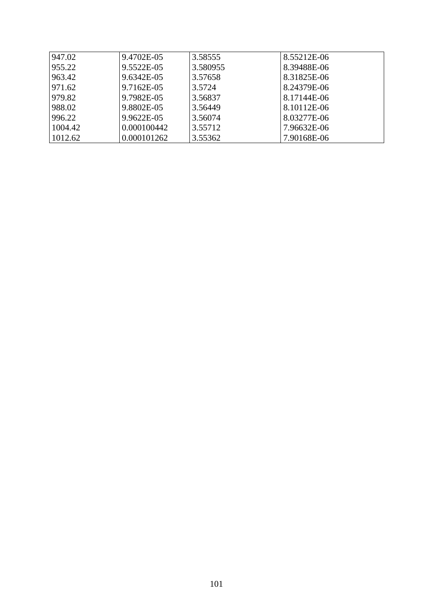| 947.02  | 9.4702E-05  | 3.58555  | 8.55212E-06 |
|---------|-------------|----------|-------------|
| 955.22  | 9.5522E-05  | 3.580955 | 8.39488E-06 |
| 963.42  | 9.6342E-05  | 3.57658  | 8.31825E-06 |
| 971.62  | 9.7162E-05  | 3.5724   | 8.24379E-06 |
| 979.82  | 9.7982E-05  | 3.56837  | 8.17144E-06 |
| 988.02  | 9.8802E-05  | 3.56449  | 8.10112E-06 |
| 996.22  | 9.9622E-05  | 3.56074  | 8.03277E-06 |
| 1004.42 | 0.000100442 | 3.55712  | 7.96632E-06 |
| 1012.62 | 0.000101262 | 3.55362  | 7.90168E-06 |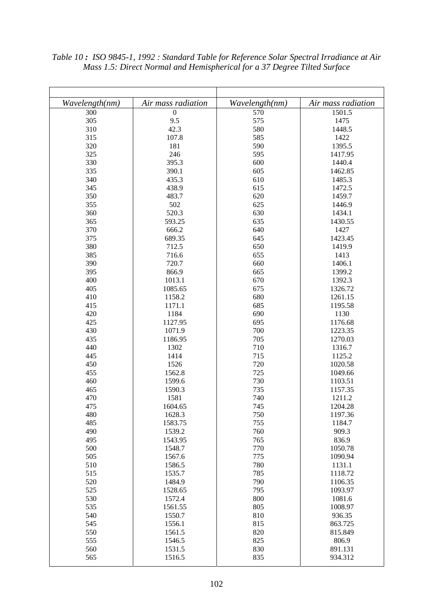| Wavelength(nm) | Air mass radiation | Wavelength(nm) | Air mass radiation |
|----------------|--------------------|----------------|--------------------|
| 300            | $\boldsymbol{0}$   | 570            | 1501.5             |
| 305            | 9.5                | 575            | 1475               |
| 310            | 42.3               | 580            | 1448.5             |
| 315            | 107.8              | 585            | 1422               |
| 320            | 181                | 590            | 1395.5             |
| 325            | 246                | 595            | 1417.95            |
| 330            | 395.3              | 600            | 1440.4             |
| 335            | 390.1              | 605            | 1462.85            |
| 340            | 435.3              | 610            | 1485.3             |
| 345            | 438.9              | 615            | 1472.5             |
| 350            | 483.7              | 620            | 1459.7             |
| 355            | 502                | 625            | 1446.9             |
| 360            | 520.3              | 630            | 1434.1             |
| 365            | 593.25             | 635            | 1430.55            |
| 370            |                    | 640            |                    |
| 375            | 666.2              | 645            | 1427               |
|                | 689.35             |                | 1423.45            |
| 380            | 712.5              | 650            | 1419.9             |
| 385            | 716.6              | 655            | 1413               |
| 390            | 720.7              | 660            | 1406.1             |
| 395            | 866.9              | 665            | 1399.2             |
| 400            | 1013.1             | 670            | 1392.3             |
| 405            | 1085.65            | 675            | 1326.72            |
| 410            | 1158.2             | 680            | 1261.15            |
| 415            | 1171.1             | 685            | 1195.58            |
| 420            | 1184               | 690            | 1130               |
| 425            | 1127.95            | 695            | 1176.68            |
| 430            | 1071.9             | 700            | 1223.35            |
| 435            | 1186.95            | 705            | 1270.03            |
| 440            | 1302               | 710            | 1316.7             |
| 445            | 1414               | 715            | 1125.2             |
| 450            | 1526               | 720            | 1020.58            |
| 455            | 1562.8             | 725            | 1049.66            |
| 460            | 1599.6             | 730            | 1103.51            |
| 465            | 1590.3             | 735            | 1157.35            |
| 470            | 1581               | 740            | 1211.2             |
| 475            | 1604.65            | 745            | 1204.28            |
| 480            | 1628.3             | 750            | 1197.36            |
| 485            | 1583.75            | 755            | 1184.7             |
| 490            | 1539.2             | 760            | 909.3              |
| 495            | 1543.95            | 765            | 836.9              |
| 500            | 1548.7             | 770            | 1050.78            |
| 505            | 1567.6             | 775            | 1090.94            |
| 510            | 1586.5             | 780            | 1131.1             |
| 515            | 1535.7             | 785            | 1118.72            |
| 520            | 1484.9             | 790            | 1106.35            |
| 525            | 1528.65            | 795            | 1093.97            |
| 530            | 1572.4             | 800            | 1081.6             |
| 535            | 1561.55            | 805            | 1008.97            |
| 540            | 1550.7             | 810            | 936.35             |
| 545            | 1556.1             | 815            | 863.725            |
| 550            | 1561.5             | 820            | 815.849            |
| 555            | 1546.5             | 825            | 806.9              |
| 560            | 1531.5             | 830            | 891.131            |
| 565            | 1516.5             | 835            | 934.312            |
|                |                    |                |                    |

*Table 10 : ISO 9845-1, 1992 : Standard Table for Reference Solar Spectral Irradiance at Air Mass 1.5: Direct Normal and Hemispherical for a 37 Degree Tilted Surface*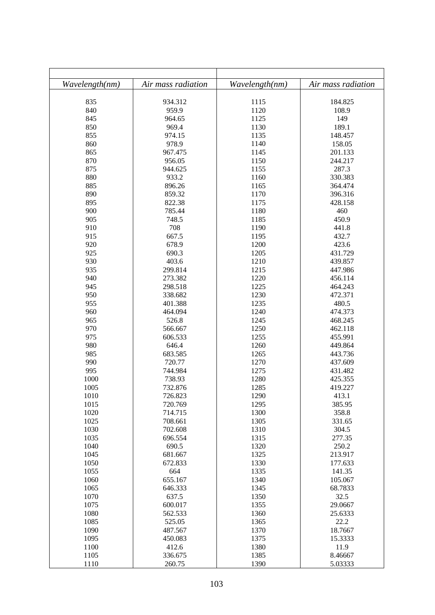| Wavelength(nm) | Air mass radiation | Wavelength(nm) | Air mass radiation |
|----------------|--------------------|----------------|--------------------|
| 835            | 934.312            | 1115           | 184.825            |
| 840            | 959.9              | 1120           | 108.9              |
| 845            | 964.65             | 1125           | 149                |
| 850            | 969.4              | 1130           | 189.1              |
| 855            | 974.15             | 1135           | 148.457            |
| 860            | 978.9              | 1140           | 158.05             |
| 865            | 967.475            | 1145           | 201.133            |
| 870            | 956.05             | 1150           | 244.217            |
| 875            | 944.625            | 1155           | 287.3              |
| 880            | 933.2              | 1160           | 330.383            |
| 885            | 896.26             | 1165           | 364.474            |
| 890            | 859.32             | 1170           | 396.316            |
| 895            | 822.38             | 1175           | 428.158            |
| 900            | 785.44             | 1180           | 460                |
| 905            | 748.5              | 1185           | 450.9              |
| 910            | 708                | 1190           | 441.8              |
| 915            | 667.5              |                | 432.7              |
| 920            | 678.9              | 1195<br>1200   |                    |
| 925            | 690.3              |                | 423.6              |
| 930            | 403.6              | 1205<br>1210   | 431.729            |
| 935            |                    | 1215           | 439.857            |
| 940            | 299.814            | 1220           | 447.986            |
|                | 273.382            |                | 456.114            |
| 945            | 298.518            | 1225           | 464.243            |
| 950<br>955     | 338.682            | 1230           | 472.371            |
|                | 401.388            | 1235           | 480.5              |
| 960            | 464.094            | 1240           | 474.373            |
| 965<br>970     | 526.8              | 1245           | 468.245            |
| 975            | 566.667            | 1250           | 462.118            |
|                | 606.533            | 1255           | 455.991            |
| 980            | 646.4<br>683.585   | 1260           | 449.864<br>443.736 |
| 985            |                    | 1265<br>1270   |                    |
| 990            | 720.77             |                | 437.609            |
| 995            | 744.984            | 1275<br>1280   | 431.482            |
| 1000           | 738.93             |                | 425.355            |
| 1005           | 732.876            | 1285           | 419.227            |
| 1010           | 726.823            | 1290           | 413.1              |
| 1015<br>1020   | 720.769<br>714.715 | 1295<br>1300   | 385.95<br>358.8    |
| 1025           | 708.661            | 1305           | 331.65             |
| 1030           | 702.608            | 1310           | 304.5              |
| 1035           | 696.554            | 1315           | 277.35             |
| 1040           | 690.5              | 1320           | 250.2              |
| 1045           | 681.667            | 1325           | 213.917            |
| 1050           | 672.833            | 1330           | 177.633            |
| 1055           | 664                | 1335           | 141.35             |
| 1060           | 655.167            | 1340           | 105.067            |
| 1065           |                    | 1345           | 68.7833            |
| 1070           | 646.333<br>637.5   | 1350           | 32.5               |
| 1075           | 600.017            | 1355           | 29.0667            |
| 1080           | 562.533            | 1360           | 25.6333            |
| 1085           | 525.05             | 1365           | 22.2               |
| 1090           | 487.567            | 1370           | 18.7667            |
| 1095           |                    | 1375           | 15.3333            |
|                | 450.083            | 1380           |                    |
| 1100<br>1105   | 412.6<br>336.675   | 1385           | 11.9<br>8.46667    |
| 1110           | 260.75             | 1390           | 5.03333            |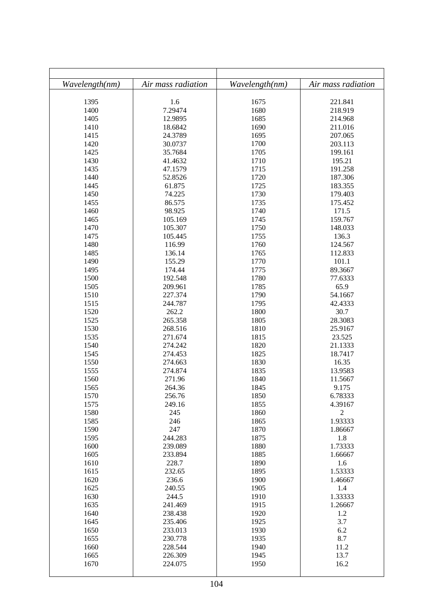| Wavelength(nm) | Air mass radiation | Wavelength(nm) | Air mass radiation |
|----------------|--------------------|----------------|--------------------|
|                |                    |                |                    |
| 1395           | 1.6                | 1675           | 221.841            |
| 1400           | 7.29474            | 1680           | 218.919            |
| 1405           | 12.9895            | 1685           | 214.968            |
| 1410           | 18.6842            | 1690           | 211.016            |
| 1415           | 24.3789            | 1695           | 207.065            |
| 1420           | 30.0737            | 1700           | 203.113            |
| 1425           | 35.7684            | 1705           | 199.161            |
| 1430           | 41.4632            | 1710           | 195.21             |
| 1435           | 47.1579            | 1715           | 191.258            |
| 1440           | 52.8526            | 1720           | 187.306            |
| 1445           | 61.875             | 1725           | 183.355            |
| 1450           | 74.225             | 1730           | 179.403            |
| 1455           | 86.575             | 1735           | 175.452            |
| 1460           | 98.925             | 1740           | 171.5              |
| 1465           | 105.169            | 1745           | 159.767            |
| 1470           | 105.307            | 1750           | 148.033            |
| 1475           | 105.445            | 1755           | 136.3              |
| 1480           | 116.99             | 1760           | 124.567            |
| 1485           | 136.14             | 1765           | 112.833            |
| 1490           | 155.29             | 1770           | 101.1              |
| 1495           | 174.44             | 1775           | 89.3667            |
| 1500           | 192.548            | 1780           | 77.6333            |
| 1505           | 209.961            | 1785           | 65.9               |
| 1510           | 227.374            | 1790           | 54.1667            |
| 1515           | 244.787            | 1795           | 42.4333            |
| 1520           | 262.2              | 1800           | 30.7               |
| 1525           | 265.358            | 1805           | 28.3083            |
| 1530           | 268.516            | 1810           | 25.9167            |
| 1535           | 271.674            | 1815           | 23.525             |
| 1540           | 274.242            | 1820           | 21.1333            |
| 1545           | 274.453            | 1825           | 18.7417            |
| 1550           | 274.663            | 1830           | 16.35              |
| 1555           | 274.874            | 1835           | 13.9583            |
| 1560           | 271.96             | 1840           | 11.5667            |
| 1565           | 264.36             | 1845           | 9.175              |
| 1570           | 256.76             | 1850           | 6.78333            |
| 1575           | 249.16             | 1855           | 4.39167            |
| 1580           | 245                | 1860           | $\sqrt{2}$         |
| 1585           | 246                | 1865           | 1.93333            |
| 1590           | 247                | 1870           | 1.86667            |
| 1595           | 244.283            | 1875           | 1.8                |
| 1600           | 239.089            | 1880           | 1.73333            |
| 1605           | 233.894            | 1885           | 1.66667            |
| 1610           | 228.7              | 1890           | 1.6                |
| 1615           | 232.65             | 1895           | 1.53333            |
| 1620           | 236.6              | 1900           | 1.46667            |
| 1625           | 240.55             | 1905           | 1.4                |
| 1630           | 244.5              | 1910           | 1.33333            |
| 1635           | 241.469            | 1915           | 1.26667            |
| 1640           | 238.438            | 1920           | 1.2                |
| 1645           | 235.406            | 1925           | 3.7                |
| 1650           | 233.013            | 1930           | 6.2                |
| 1655           | 230.778            | 1935           | 8.7                |
| 1660           | 228.544            | 1940           | 11.2               |
| 1665           | 226.309            | 1945           | 13.7               |
| 1670           | 224.075            | 1950           | 16.2               |
|                |                    |                |                    |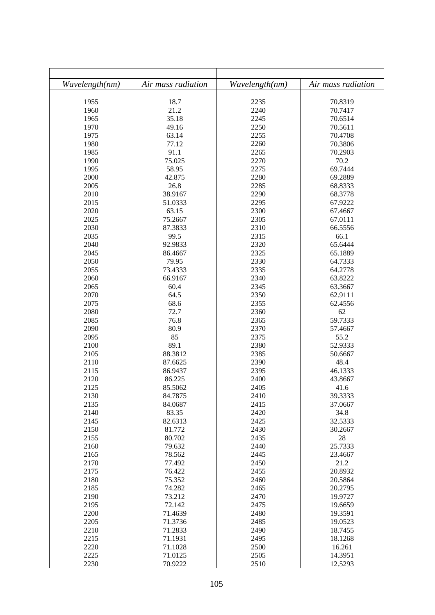| Wavelength(nm) | Air mass radiation | Wavelength(nm) | Air mass radiation |
|----------------|--------------------|----------------|--------------------|
| 1955           | 18.7               | 2235           | 70.8319            |
| 1960           | 21.2               | 2240           | 70.7417            |
| 1965           | 35.18              | 2245           | 70.6514            |
| 1970           | 49.16              | 2250           | 70.5611            |
| 1975           | 63.14              | 2255           | 70.4708            |
| 1980           | 77.12              | 2260           | 70.3806            |
| 1985           | 91.1               | 2265           | 70.2903            |
| 1990           | 75.025             | 2270           | 70.2               |
| 1995           | 58.95              | 2275           | 69.7444            |
| 2000           | 42.875             | 2280           | 69.2889            |
| 2005           | 26.8               | 2285           | 68.8333            |
| 2010           | 38.9167            | 2290           | 68.3778            |
| 2015           | 51.0333            | 2295           | 67.9222            |
| 2020           | 63.15              | 2300           | 67.4667            |
| 2025           | 75.2667            | 2305           | 67.0111            |
| 2030           | 87.3833            | 2310           | 66.5556            |
| 2035           | 99.5               | 2315           | 66.1               |
| 2040           | 92.9833            | 2320           | 65.6444            |
| 2045           | 86.4667            | 2325           | 65.1889            |
| 2050           | 79.95              | 2330           | 64.7333            |
| 2055           | 73.4333            | 2335           | 64.2778            |
| 2060           | 66.9167            | 2340           | 63.8222            |
| 2065           | 60.4               | 2345           | 63.3667            |
| 2070           | 64.5               | 2350           | 62.9111            |
| 2075           | 68.6               | 2355           | 62.4556            |
| 2080           | 72.7               | 2360           | 62                 |
| 2085           | 76.8               | 2365           | 59.7333            |
| 2090           | 80.9               | 2370           | 57.4667            |
| 2095           | 85                 | 2375           | 55.2               |
| 2100           | 89.1               | 2380           | 52.9333            |
| 2105           | 88.3812            | 2385           | 50.6667            |
| 2110           | 87.6625            | 2390           | 48.4               |
| 2115           | 86.9437            | 2395           | 46.1333            |
| 2120           | 86.225             | 2400           | 43.8667            |
| 2125           | 85.5062            | 2405           | 41.6               |
| 2130           |                    |                | 39.3333            |
| 2135           | 84.7875<br>84.0687 | 2410<br>2415   | 37.0667            |
| 2140           | 83.35              | 2420           | 34.8               |
| 2145           | 82.6313            | 2425           | 32.5333            |
| 2150           | 81.772             | 2430           | 30.2667            |
| 2155           | 80.702             | 2435           | 28                 |
| 2160           | 79.632             | 2440           | 25.7333            |
| 2165           | 78.562             | 2445           | 23.4667            |
| 2170           | 77.492             | 2450           | 21.2               |
| 2175           | 76.422             | 2455           | 20.8932            |
| 2180           | 75.352             | 2460           | 20.5864            |
| 2185           | 74.282             | 2465           | 20.2795            |
| 2190           | 73.212             | 2470           | 19.9727            |
| 2195           | 72.142             | 2475           | 19.6659            |
| 2200           | 71.4639            | 2480           | 19.3591            |
| 2205           | 71.3736            | 2485           | 19.0523            |
| 2210           | 71.2833            | 2490           | 18.7455            |
| 2215           | 71.1931            | 2495           | 18.1268            |
| 2220           | 71.1028            | 2500           | 16.261             |
| 2225           | 71.0125            | 2505           | 14.3951            |
| 2230           | 70.9222            | 2510           | 12.5293            |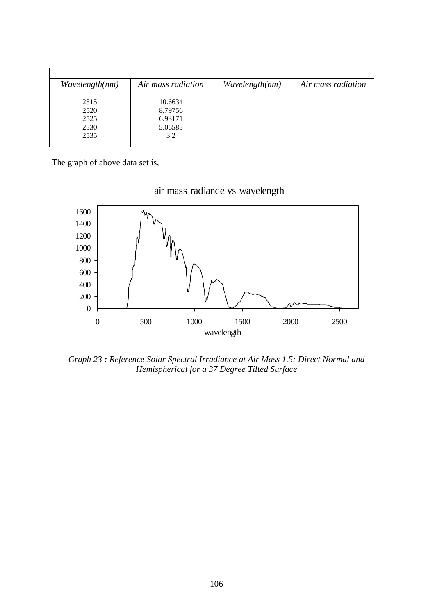| Wavelength(nm) | Air mass radiation | Wavelength(nm) | Air mass radiation |
|----------------|--------------------|----------------|--------------------|
|                |                    |                |                    |
| 2515           | 10.6634            |                |                    |
| 2520           | 8.79756            |                |                    |
| 2525           | 6.93171            |                |                    |
| 2530           | 5.06585            |                |                    |
| 2535           | 3.2                |                |                    |
|                |                    |                |                    |

The graph of above data set is,





*Graph 23 : Reference Solar Spectral Irradiance at Air Mass 1.5: Direct Normal and Hemispherical for a 37 Degree Tilted Surface*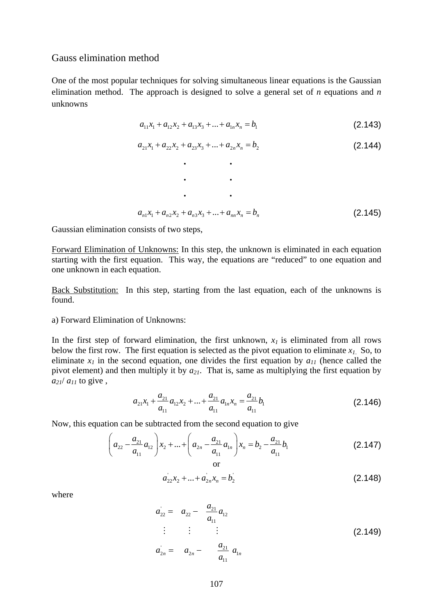## Gauss elimination method

One of the most popular techniques for solving simultaneous linear equations is the Gaussian elimination method. The approach is designed to solve a general set of *n* equations and *n* unknowns

$$
a_{11}x_1 + a_{12}x_2 + a_{13}x_3 + \dots + a_{1n}x_n = b_1
$$
\n(2.143)

$$
a_{21}x_1 + a_{22}x_2 + a_{23}x_3 + \dots + a_{2n}x_n = b_2
$$
\n(2.144)

$$
\cdot \qquad \cdot
$$
  
\n
$$
a_{n1}x_1 + a_{n2}x_2 + a_{n3}x_3 + \dots + a_{nn}x_n = b_n
$$
 (2.145)

Gaussian elimination consists of two steps,

Forward Elimination of Unknowns: In this step, the unknown is eliminated in each equation starting with the first equation. This way, the equations are "reduced" to one equation and one unknown in each equation.

Back Substitution: In this step, starting from the last equation, each of the unknowns is found.

## a) Forward Elimination of Unknowns:

In the first step of forward elimination, the first unknown,  $x<sub>l</sub>$  is eliminated from all rows below the first row. The first equation is selected as the pivot equation to eliminate  $x_1$ . So, to eliminate  $x_l$  in the second equation, one divides the first equation by  $a_{1l}$  (hence called the pivot element) and then multiply it by *a21*. That is, same as multiplying the first equation by  $a_{21}/a_{11}$  to give,

$$
a_{21}x_1 + \frac{a_{21}}{a_{11}}a_{12}x_2 + \dots + \frac{a_{21}}{a_{11}}a_{1n}x_n = \frac{a_{21}}{a_{11}}b_1
$$
 (2.146)

Now, this equation can be subtracted from the second equation to give

$$
\left(a_{22} - \frac{a_{21}}{a_{11}}a_{12}\right)x_2 + \dots + \left(a_{2n} - \frac{a_{21}}{a_{11}}a_{1n}\right)x_n = b_2 - \frac{a_{21}}{a_{11}}b_1
$$
\n(2.147)

$$
a_{22}x_2 + ... + a_{2n}x_n = b_2 \tag{2.148}
$$

where

$$
a_{22} = a_{22} - \frac{a_{21}}{a_{11}} a_{12}
$$
  
\n
$$
\vdots \qquad \vdots \qquad \vdots
$$
  
\n
$$
a_{2n} = a_{2n} - \frac{a_{21}}{a_{11}} a_{1n}
$$
\n(2.149)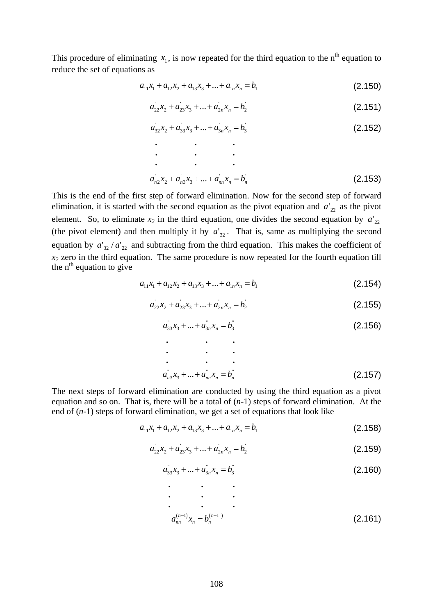This procedure of eliminating  $x_1$ , is now repeated for the third equation to the n<sup>th</sup> equation to reduce the set of equations as

$$
a_{11}x_1 + a_{12}x_2 + a_{13}x_3 + \dots + a_{1n}x_n = b_1
$$
\n(2.150)

$$
a_{22}x_2 + a_{23}x_3 + \dots + a_{2n}x_n = b_2 \tag{2.151}
$$

$$
a_{32}x_2 + a_{33}x_3 + \dots + a_{3n}x_n = b_3
$$
 (2.152)

$$
\vdots \t\t\t\vdots \t\t\t\vdots \t\t\t\vdots \t\t\t\vdots \t\t\t\vdots \t\t\t\vdots \t\t\t\vdots \t\t\t\vdots \t\t\t\vdots \t\t\t\vdots \t\t\t\vdots \t\t\t\t\vdots \t\t\t\t\vdots \t\t\t\t\vdots \t\t\t\t\vdots \t\t\t\t\vdots \t\t\t\t\vdots \t\t\t\t\vdots \t\t\t\t\vdots \t\t\t\t\vdots \t\t\t\t\vdots \t\t\t\t\vdots \t\t\t\t\vdots \t\t\t\t\vdots \t\t\t\t\vdots \t\t\t\t\vdots \t\t\t\t\vdots \t\t\t\t\vdots \t\t\t\t\vdots \t\t\t\t\vdots \t\t\t\t\vdots \t\t\t\t\vdots \t\t\t\t\vdots \t\t\t\t\vdots \t\t\t\t\vdots \t\t\t\t\vdots \t\t\t\t\vdots \t\t\t\t\vdots \t\t\t\t\vdots \t\t\t\t\vdots \t\t\t\t\vdots \t\t\t\t\vdots \t\t\t\t\vdots \t\t\t\t\vdots \t\t\t\t\vdots \t\t\t\t\vdots \t\t\t\t\vdots \t\t\t\t\vdots \t\t\t\t\vdots \t\t\t\t\vdots \t\t\t\t\vdots \t\t\t\t\vdots \t\t\t\t\vdots \t\t\t\t\vdots \t\t\t\t\vdots \t\t\t\t\vdots \t\t\t\t\vdots \t\t\t\t\vdots \t\t\t\t\vdots \t\t\t\t\vdots \t\t\t\t\vdots \t\t\t\t\vdots \t\t\t\t\vdots \t\t\t\t\vdots \t\t\t\t\vdots \t\t\t\t\vdots \t\t\t\t\vdots \t\t\t\t\vdots \t\t\t\t\vdots \t\t\t\t\vdots \t\t\t\t\vdots \t\t\t\t\vdots \t\t\t\t\vdots \t\t\t\t\vdots \t\t\t\t\vdots \t\t\t\t\vdots \t\t\t\t\vdots \t\t\t\t\vdots \t\t\t\t\vdots \t\t\t\t\vdots \t\t\t\t\vdots \t\t\t\t\vdots \t\t\t\t\vdots \t\t\t\t\vdots \t\t\t\t\vdots \t\t\t\t\vdots \t\t\t\t\vdots \t\t\t\t\vdots \t\t\t\t\vdots \t\t\t\t\vdots \t\t\t\t\vdots \t\t\t\t\vdots \t\t\t\t\vdots \t\t\t\t\vdots \t\t\t\t\vdots \t\t\t\t\vdots
$$

This is the end of the first step of forward elimination. Now for the second step of forward elimination, it is started with the second equation as the pivot equation and  $a_{22}$  as the pivot element. So, to eliminate  $x_2$  in the third equation, one divides the second equation by  $a'_{22}$ (the pivot element) and then multiply it by  $a'_{32}$ . That is, same as multiplying the second equation by  $a'_{32}/a'_{22}$  and subtracting from the third equation. This makes the coefficient of *x2* zero in the third equation. The same procedure is now repeated for the fourth equation till the  $n^{th}$  equation to give

$$
a_{11}x_1 + a_{12}x_2 + a_{13}x_3 + \dots + a_{1n}x_n = b_1
$$
\n(2.154)

$$
a_{22}x_2 + a_{23}x_3 + \dots + a_{2n}x_n = b_2 \tag{2.155}
$$

$$
a_{33}^{\dagger}x_3 + \ldots + a_{3n}^{\dagger}x_n = b_3^{\dagger} \tag{2.156}
$$

$$
\vdots \qquad \vdots
$$
\n
$$
a_{n3}^{\dagger}x_3 + \ldots + a_{nn}^{\dagger}x_n = b_n^{\dagger}
$$
\n
$$
(2.157)
$$

The next steps of forward elimination are conducted by using the third equation as a pivot equation and so on. That is, there will be a total of (*n*-1) steps of forward elimination. At the end of (*n*-1) steps of forward elimination, we get a set of equations that look like

$$
a_{11}x_1 + a_{12}x_2 + a_{13}x_3 + \dots + a_{1n}x_n = b_1
$$
\n(2.158)

$$
a_{22}x_2 + a_{23}x_3 + \dots + a_{2n}x_n = b_2 \tag{2.159}
$$

$$
a_{33}^{\dagger}x_3 + \ldots + a_{3n}^{\dagger}x_n = b_3^{\dagger} \tag{2.160}
$$

$$
\begin{array}{ccc}\n\cdot & \cdot & \cdot \\
\cdot & \cdot & \cdot \\
a_{nn}^{(n-1)}x_n = b_n^{(n-1)}\n\end{array}
$$
\n(2.161)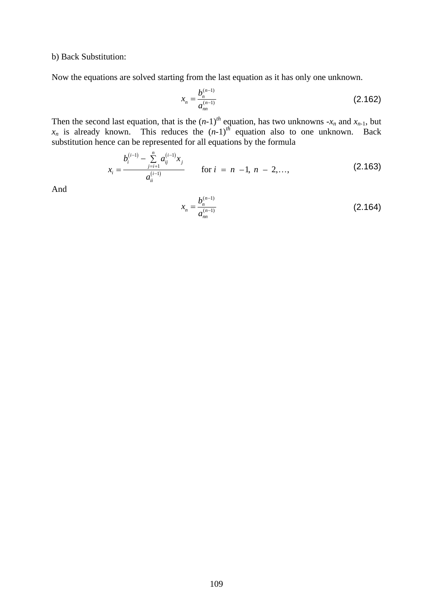b) Back Substitution:

Now the equations are solved starting from the last equation as it has only one unknown.

$$
x_n = \frac{b_n^{(n-1)}}{a_m^{(n-1)}}
$$
 (2.162)

Then the second last equation, that is the  $(n-1)^{th}$  equation, has two unknowns  $-x_n$  and  $x_{n-1}$ , but  $x_n$  is already known. This reduces the  $(n-1)^{th}$  equation also to one unknown. Back substitution hence can be represented for all equations by the formula

$$
x_{i} = \frac{b_{i}^{(i-1)} - \sum_{j=i+1}^{n} a_{ij}^{(i-1)} x_{j}}{a_{ii}^{(i-1)}}
$$
 for  $i = n - 1, n - 2, ...,$  (2.163)

And

$$
x_n = \frac{b_n^{(n-1)}}{a_{nn}^{(n-1)}}
$$
 (2.164)